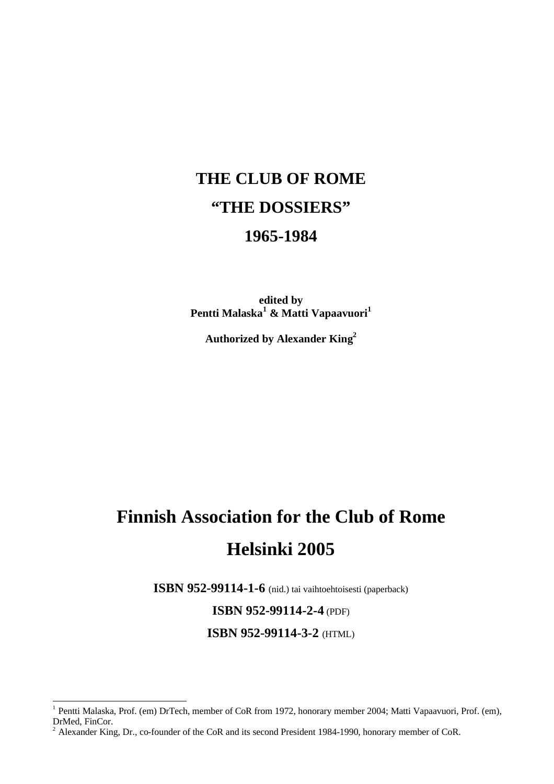# **THE CLUB OF ROME "THE DOSSIERS" 1965-1984**

**edited by Pentti Malaska<sup>1</sup> & Matti Vapaavuori<sup>1</sup>**

**Authorized by Alexander King<sup>2</sup>**

# **Finnish Association for the Club of Rome Helsinki 2005**

**ISBN 952-99114-1-6** (nid.) tai vaihtoehtoisesti (paperback)

**ISBN 952-99114-2-4** (PDF)

**ISBN 952-99114-3-2** (HTML)

<sup>&</sup>lt;sup>1</sup> Pentti Malaska, Prof. (em) DrTech, member of CoR from 1972, honorary member 2004; Matti Vapaavuori, Prof. (em), DrMed, FinCor.

<sup>&</sup>lt;sup>2</sup> Alexander King, Dr., co-founder of the CoR and its second President 1984-1990, honorary member of CoR.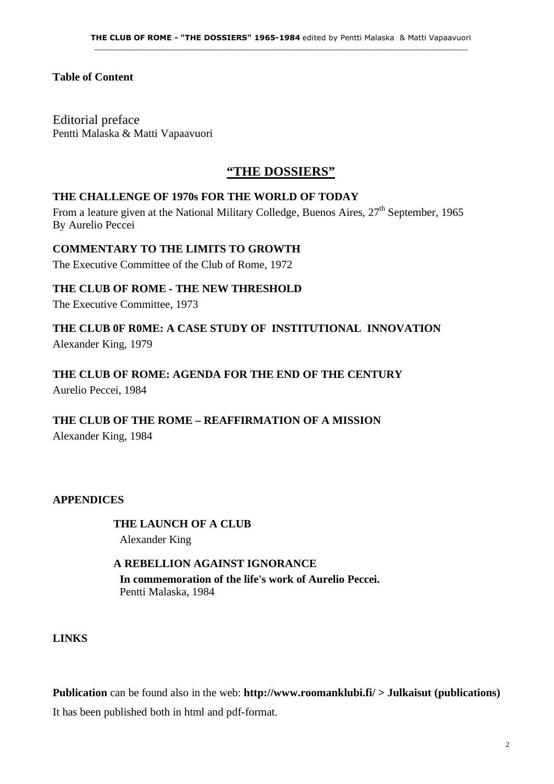# **Table of Content**

Editorial preface Pentti Malaska & Matti Vapaavuori

# **"THE DOSSIERS"**

# **THE CHALLENGE OF 1970s FOR THE WORLD OF TODAY**

From a leature given at the National Military Colledge, Buenos Aires,  $27<sup>th</sup>$  September, 1965 By Aurelio Peccei

# **COMMENTARY TO THE LIMITS TO GROWTH**

The Executive Committee of the Club of Rome, 1972

# **THE CLUB OF ROME - THE NEW THRESHOLD**

The Executive Committee, 1973

# **THE CLUB 0F R0ME: A CASE STUDY OF INSTITUTIONAL INNOVATION**

Alexander King, 1979

# **THE CLUB OF ROME: AGENDA FOR THE END OF THE CENTURY**

Aurelio Peccei, 1984

# **THE CLUB OF THE ROME – REAFFIRMATION OF A MISSION**

Alexander King, 1984

# **APPENDICES**

**THE LAUNCH OF A CLUB** Alexander King

# **A REBELLION AGAINST IGNORANCE**

**In commemoration of the life's work of Aurelio Peccei.**  Pentti Malaska, 1984

**LINKS**

**Publication** can be found also in the web: **<http://www.roomanklubi.fi/> > Julkaisut (publications)**  It has been published both in html and pdf-format.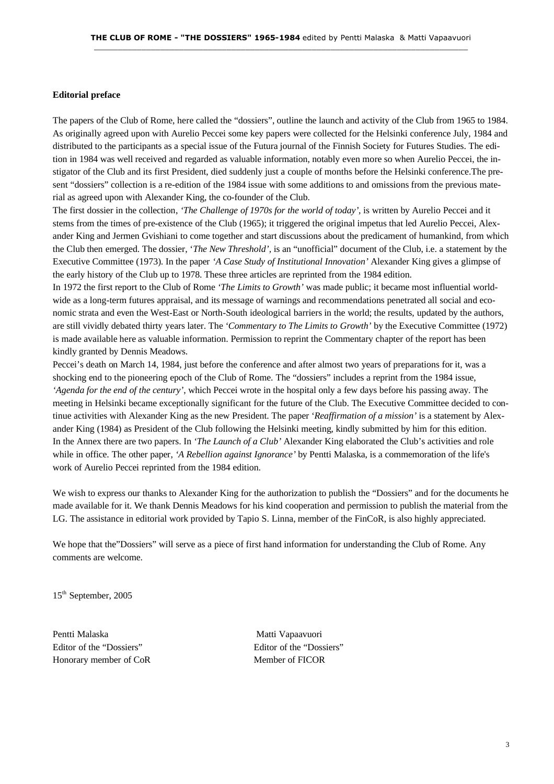#### **Editorial preface**

The papers of the Club of Rome, here called the "dossiers", outline the launch and activity of the Club from 1965 to 1984. As originally agreed upon with Aurelio Peccei some key papers were collected for the Helsinki conference July, 1984 and distributed to the participants as a special issue of the Futura journal of the Finnish Society for Futures Studies. The edition in 1984 was well received and regarded as valuable information, notably even more so when Aurelio Peccei, the instigator of the Club and its first President, died suddenly just a couple of months before the Helsinki conference.The present "dossiers" collection is a re-edition of the 1984 issue with some additions to and omissions from the previous material as agreed upon with Alexander King, the co-founder of the Club.

The first dossier in the collection, *'The Challenge of 1970s for the world of today'*, is written by Aurelio Peccei and it stems from the times of pre-existence of the Club (1965); it triggered the original impetus that led Aurelio Peccei, Alexander King and Jermen Gvishiani to come together and start discussions about the predicament of humankind, from which the Club then emerged. The dossier, '*The New Threshold',* is an "unofficial" document of the Club, i.e. a statement by the Executive Committee (1973). In the paper *'A Case Study of Institutional Innovation'* Alexander King gives a glimpse of the early history of the Club up to 1978. These three articles are reprinted from the 1984 edition.

In 1972 the first report to the Club of Rome *'The Limits to Growth'* was made public; it became most influential worldwide as a long-term futures appraisal, and its message of warnings and recommendations penetrated all social and economic strata and even the West-East or North-South ideological barriers in the world; the results, updated by the authors, are still vividly debated thirty years later. The *'Commentary to The Limits to Growth'* by the Executive Committee (1972) is made available here as valuable information. Permission to reprint the Commentary chapter of the report has been kindly granted by Dennis Meadows.

Peccei's death on March 14, 1984, just before the conference and after almost two years of preparations for it, was a shocking end to the pioneering epoch of the Club of Rome. The "dossiers" includes a reprint from the 1984 issue, *'Agenda for the end of the century'*, which Peccei wrote in the hospital only a few days before his passing away. The meeting in Helsinki became exceptionally significant for the future of the Club. The Executive Committee decided to continue activities with Alexander King as the new President. The paper '*Reaffirmation of a mission'* is a statement by Alexander King (1984) as President of the Club following the Helsinki meeting, kindly submitted by him for this edition. In the Annex there are two papers. In *'The Launch of a Club'* Alexander King elaborated the Club's activities and role while in office. The other paper, *'A Rebellion against Ignorance'* by Pentti Malaska, is a commemoration of the life's work of Aurelio Peccei reprinted from the 1984 edition.

We wish to express our thanks to Alexander King for the authorization to publish the "Dossiers" and for the documents he made available for it. We thank Dennis Meadows for his kind cooperation and permission to publish the material from the LG. The assistance in editorial work provided by Tapio S. Linna, member of the FinCoR, is also highly appreciated.

We hope that the "Dossiers" will serve as a piece of first hand information for understanding the Club of Rome. Any comments are welcome.

15<sup>th</sup> September, 2005

Pentti Malaska Matti Vapaavuori Editor of the "Dossiers" Editor of the "Dossiers" Honorary member of CoR Member of FICOR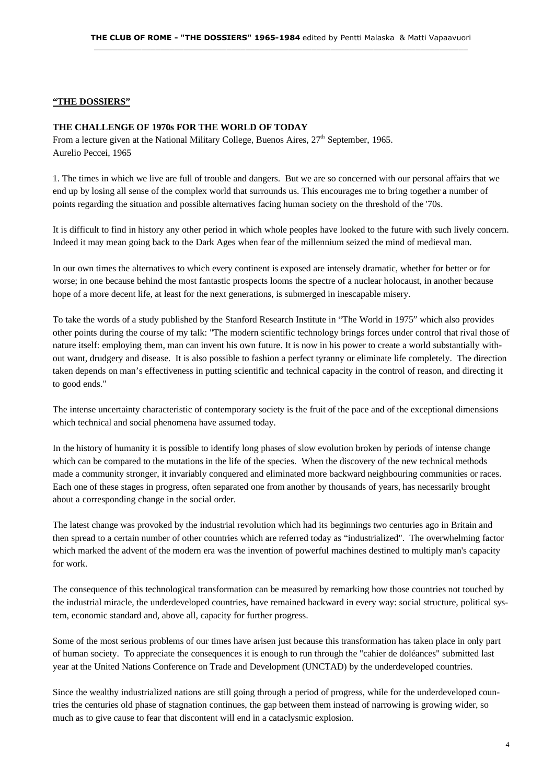#### **"THE DOSSIERS"**

# **THE CHALLENGE OF 1970s FOR THE WORLD OF TODAY**

From a lecture given at the National Military College, Buenos Aires,  $27<sup>th</sup>$  September, 1965. Aurelio Peccei, 1965

1. The times in which we live are full of trouble and dangers. But we are so concerned with our personal affairs that we end up by losing all sense of the complex world that surrounds us. This encourages me to bring together a number of points regarding the situation and possible alternatives facing human society on the threshold of the '70s.

It is difficult to find in history any other period in which whole peoples have looked to the future with such lively concern. Indeed it may mean going back to the Dark Ages when fear of the millennium seized the mind of medieval man.

In our own times the alternatives to which every continent is exposed are intensely dramatic, whether for better or for worse; in one because behind the most fantastic prospects looms the spectre of a nuclear holocaust, in another because hope of a more decent life, at least for the next generations, is submerged in inescapable misery.

To take the words of a study published by the Stanford Research Institute in "The World in 1975" which also provides other points during the course of my talk: "The modern scientific technology brings forces under control that rival those of nature itself: employing them, man can invent his own future. It is now in his power to create a world substantially without want, drudgery and disease. It is also possible to fashion a perfect tyranny or eliminate life completely. The direction taken depends on man's effectiveness in putting scientific and technical capacity in the control of reason, and directing it to good ends."

The intense uncertainty characteristic of contemporary society is the fruit of the pace and of the exceptional dimensions which technical and social phenomena have assumed today.

In the history of humanity it is possible to identify long phases of slow evolution broken by periods of intense change which can be compared to the mutations in the life of the species. When the discovery of the new technical methods made a community stronger, it invariably conquered and eliminated more backward neighbouring communities or races. Each one of these stages in progress, often separated one from another by thousands of years, has necessarily brought about a corresponding change in the social order.

The latest change was provoked by the industrial revolution which had its beginnings two centuries ago in Britain and then spread to a certain number of other countries which are referred today as "industrialized". The overwhelming factor which marked the advent of the modern era was the invention of powerful machines destined to multiply man's capacity for work.

The consequence of this technological transformation can be measured by remarking how those countries not touched by the industrial miracle, the underdeveloped countries, have remained backward in every way: social structure, political system, economic standard and, above all, capacity for further progress.

Some of the most serious problems of our times have arisen just because this transformation has taken place in only part of human society. To appreciate the consequences it is enough to run through the "cahier de doléances" submitted last year at the United Nations Conference on Trade and Development (UNCTAD) by the underdeveloped countries.

Since the wealthy industrialized nations are still going through a period of progress, while for the underdeveloped countries the centuries old phase of stagnation continues, the gap between them instead of narrowing is growing wider, so much as to give cause to fear that discontent will end in a cataclysmic explosion.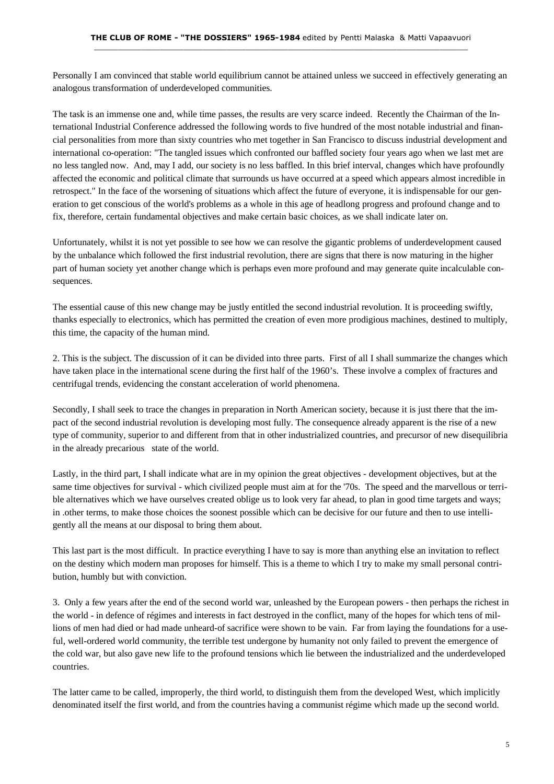Personally I am convinced that stable world equilibrium cannot be attained unless we succeed in effectively generating an analogous transformation of underdeveloped communities.

The task is an immense one and, while time passes, the results are very scarce indeed. Recently the Chairman of the International Industrial Conference addressed the following words to five hundred of the most notable industrial and financial personalities from more than sixty countries who met together in San Francisco to discuss industrial development and international co-operation: "The tangled issues which confronted our baffled society four years ago when we last met are no less tangled now. And, may I add, our society is no less baffled. In this brief interval, changes which have profoundly affected the economic and political climate that surrounds us have occurred at a speed which appears almost incredible in retrospect." In the face of the worsening of situations which affect the future of everyone, it is indispensable for our generation to get conscious of the world's problems as a whole in this age of headlong progress and profound change and to fix, therefore, certain fundamental objectives and make certain basic choices, as we shall indicate later on.

Unfortunately, whilst it is not yet possible to see how we can resolve the gigantic problems of underdevelopment caused by the unbalance which followed the first industrial revolution, there are signs that there is now maturing in the higher part of human society yet another change which is perhaps even more profound and may generate quite incalculable consequences.

The essential cause of this new change may be justly entitled the second industrial revolution. It is proceeding swiftly, thanks especially to electronics, which has permitted the creation of even more prodigious machines, destined to multiply, this time, the capacity of the human mind.

2. This is the subject. The discussion of it can be divided into three parts. First of all I shall summarize the changes which have taken place in the international scene during the first half of the 1960's. These involve a complex of fractures and centrifugal trends, evidencing the constant acceleration of world phenomena.

Secondly, I shall seek to trace the changes in preparation in North American society, because it is just there that the impact of the second industrial revolution is developing most fully. The consequence already apparent is the rise of a new type of community, superior to and different from that in other industrialized countries, and precursor of new disequilibria in the already precarious state of the world.

Lastly, in the third part, I shall indicate what are in my opinion the great objectives - development objectives, but at the same time objectives for survival - which civilized people must aim at for the '70s. The speed and the marvellous or terrible alternatives which we have ourselves created oblige us to look very far ahead, to plan in good time targets and ways; in .other terms, to make those choices the soonest possible which can be decisive for our future and then to use intelligently all the means at our disposal to bring them about.

This last part is the most difficult. In practice everything I have to say is more than anything else an invitation to reflect on the destiny which modern man proposes for himself. This is a theme to which I try to make my small personal contribution, humbly but with conviction.

3. Only a few years after the end of the second world war, unleashed by the European powers - then perhaps the richest in the world - in defence of régimes and interests in fact destroyed in the conflict, many of the hopes for which tens of millions of men had died or had made unheard-of sacrifice were shown to be vain. Far from laying the foundations for a useful, well-ordered world community, the terrible test undergone by humanity not only failed to prevent the emergence of the cold war, but also gave new life to the profound tensions which lie between the industrialized and the underdeveloped countries.

The latter came to be called, improperly, the third world, to distinguish them from the developed West, which implicitly denominated itself the first world, and from the countries having a communist régime which made up the second world.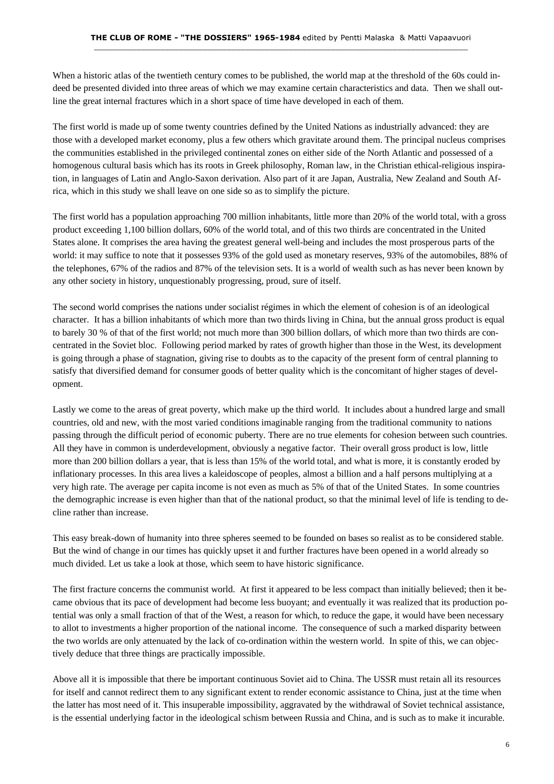When a historic atlas of the twentieth century comes to be published, the world map at the threshold of the 60s could indeed be presented divided into three areas of which we may examine certain characteristics and data. Then we shall outline the great internal fractures which in a short space of time have developed in each of them.

The first world is made up of some twenty countries defined by the United Nations as industrially advanced: they are those with a developed market economy, plus a few others which gravitate around them. The principal nucleus comprises the communities established in the privileged continental zones on either side of the North Atlantic and possessed of a homogenous cultural basis which has its roots in Greek philosophy, Roman law, in the Christian ethical-religious inspiration, in languages of Latin and Anglo-Saxon derivation. Also part of it are Japan, Australia, New Zealand and South Africa, which in this study we shall leave on one side so as to simplify the picture.

The first world has a population approaching 700 million inhabitants, little more than 20% of the world total, with a gross product exceeding 1,100 billion dollars, 60% of the world total, and of this two thirds are concentrated in the United States alone. It comprises the area having the greatest general well-being and includes the most prosperous parts of the world: it may suffice to note that it possesses 93% of the gold used as monetary reserves, 93% of the automobiles, 88% of the telephones, 67% of the radios and 87% of the television sets. It is a world of wealth such as has never been known by any other society in history, unquestionably progressing, proud, sure of itself.

The second world comprises the nations under socialist régimes in which the element of cohesion is of an ideological character. It has a billion inhabitants of which more than two thirds living in China, but the annual gross product is equal to barely 30 % of that of the first world; not much more than 300 billion dollars, of which more than two thirds are concentrated in the Soviet bloc. Following period marked by rates of growth higher than those in the West, its development is going through a phase of stagnation, giving rise to doubts as to the capacity of the present form of central planning to satisfy that diversified demand for consumer goods of better quality which is the concomitant of higher stages of development.

Lastly we come to the areas of great poverty, which make up the third world. It includes about a hundred large and small countries, old and new, with the most varied conditions imaginable ranging from the traditional community to nations passing through the difficult period of economic puberty. There are no true elements for cohesion between such countries. All they have in common is underdevelopment, obviously a negative factor. Their overall gross product is low, little more than 200 billion dollars a year, that is less than 15% of the world total, and what is more, it is constantly eroded by inflationary processes. In this area lives a kaleidoscope of peoples, almost a billion and a half persons multiplying at a very high rate. The average per capita income is not even as much as 5% of that of the United States. In some countries the demographic increase is even higher than that of the national product, so that the minimal level of life is tending to decline rather than increase.

This easy break-down of humanity into three spheres seemed to be founded on bases so realist as to be considered stable. But the wind of change in our times has quickly upset it and further fractures have been opened in a world already so much divided. Let us take a look at those, which seem to have historic significance.

The first fracture concerns the communist world. At first it appeared to be less compact than initially believed; then it became obvious that its pace of development had become less buoyant; and eventually it was realized that its production potential was only a small fraction of that of the West, a reason for which, to reduce the gape, it would have been necessary to allot to investments a higher proportion of the national income. The consequence of such a marked disparity between the two worlds are only attenuated by the lack of co-ordination within the western world. In spite of this, we can objectively deduce that three things are practically impossible.

Above all it is impossible that there be important continuous Soviet aid to China. The USSR must retain all its resources for itself and cannot redirect them to any significant extent to render economic assistance to China, just at the time when the latter has most need of it. This insuperable impossibility, aggravated by the withdrawal of Soviet technical assistance, is the essential underlying factor in the ideological schism between Russia and China, and is such as to make it incurable.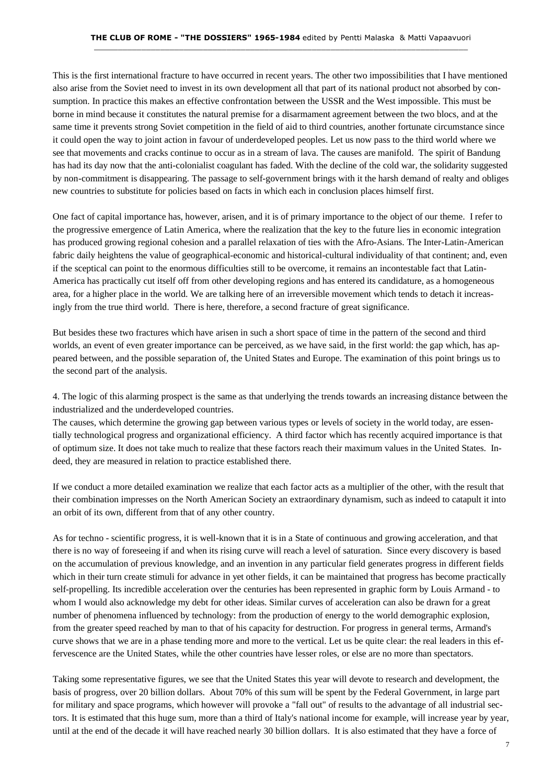This is the first international fracture to have occurred in recent years. The other two impossibilities that I have mentioned also arise from the Soviet need to invest in its own development all that part of its national product not absorbed by consumption. In practice this makes an effective confrontation between the USSR and the West impossible. This must be borne in mind because it constitutes the natural premise for a disarmament agreement between the two blocs, and at the same time it prevents strong Soviet competition in the field of aid to third countries, another fortunate circumstance since it could open the way to joint action in favour of underdeveloped peoples. Let us now pass to the third world where we see that movements and cracks continue to occur as in a stream of lava. The causes are manifold. The spirit of Bandung has had its day now that the anti-colonialist coagulant has faded. With the decline of the cold war, the solidarity suggested by non-commitment is disappearing. The passage to self-government brings with it the harsh demand of realty and obliges new countries to substitute for policies based on facts in which each in conclusion places himself first.

One fact of capital importance has, however, arisen, and it is of primary importance to the object of our theme. I refer to the progressive emergence of Latin America, where the realization that the key to the future lies in economic integration has produced growing regional cohesion and a parallel relaxation of ties with the Afro-Asians. The Inter-Latin-American fabric daily heightens the value of geographical-economic and historical-cultural individuality of that continent; and, even if the sceptical can point to the enormous difficulties still to be overcome, it remains an incontestable fact that Latin-America has practically cut itself off from other developing regions and has entered its candidature, as a homogeneous area, for a higher place in the world. We are talking here of an irreversible movement which tends to detach it increasingly from the true third world. There is here, therefore, a second fracture of great significance.

But besides these two fractures which have arisen in such a short space of time in the pattern of the second and third worlds, an event of even greater importance can be perceived, as we have said, in the first world: the gap which, has appeared between, and the possible separation of, the United States and Europe. The examination of this point brings us to the second part of the analysis.

4. The logic of this alarming prospect is the same as that underlying the trends towards an increasing distance between the industrialized and the underdeveloped countries.

The causes, which determine the growing gap between various types or levels of society in the world today, are essentially technological progress and organizational efficiency. A third factor which has recently acquired importance is that of optimum size. It does not take much to realize that these factors reach their maximum values in the United States. Indeed, they are measured in relation to practice established there.

If we conduct a more detailed examination we realize that each factor acts as a multiplier of the other, with the result that their combination impresses on the North American Society an extraordinary dynamism, such as indeed to catapult it into an orbit of its own, different from that of any other country.

As for techno - scientific progress, it is well-known that it is in a State of continuous and growing acceleration, and that there is no way of foreseeing if and when its rising curve will reach a level of saturation. Since every discovery is based on the accumulation of previous knowledge, and an invention in any particular field generates progress in different fields which in their turn create stimuli for advance in yet other fields, it can be maintained that progress has become practically self-propelling. Its incredible acceleration over the centuries has been represented in graphic form by Louis Armand - to whom I would also acknowledge my debt for other ideas. Similar curves of acceleration can also be drawn for a great number of phenomena influenced by technology: from the production of energy to the world demographic explosion, from the greater speed reached by man to that of his capacity for destruction. For progress in general terms, Armand's curve shows that we are in a phase tending more and more to the vertical. Let us be quite clear: the real leaders in this effervescence are the United States, while the other countries have lesser roles, or else are no more than spectators.

Taking some representative figures, we see that the United States this year will devote to research and development, the basis of progress, over 20 billion dollars. About 70% of this sum will be spent by the Federal Government, in large part for military and space programs, which however will provoke a "fall out" of results to the advantage of all industrial sectors. It is estimated that this huge sum, more than a third of Italy's national income for example, will increase year by year, until at the end of the decade it will have reached nearly 30 billion dollars. It is also estimated that they have a force of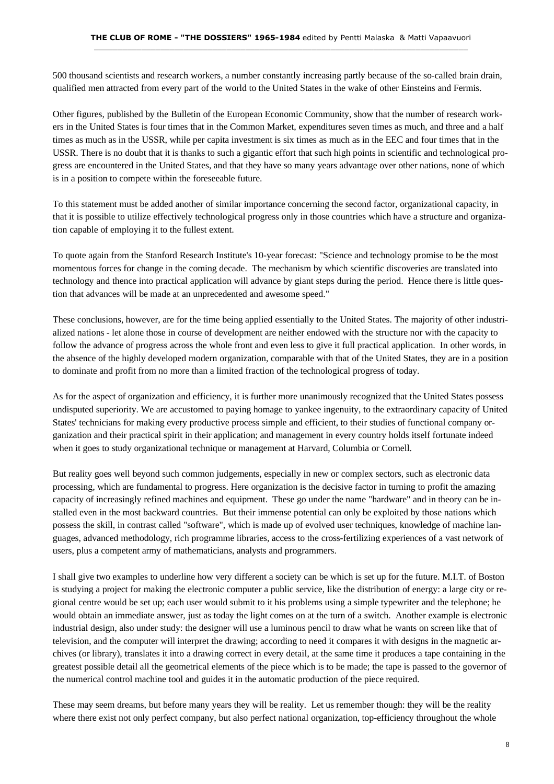500 thousand scientists and research workers, a number constantly increasing partly because of the so-called brain drain, qualified men attracted from every part of the world to the United States in the wake of other Einsteins and Fermis.

Other figures, published by the Bulletin of the European Economic Community, show that the number of research workers in the United States is four times that in the Common Market, expenditures seven times as much, and three and a half times as much as in the USSR, while per capita investment is six times as much as in the EEC and four times that in the USSR. There is no doubt that it is thanks to such a gigantic effort that such high points in scientific and technological progress are encountered in the United States, and that they have so many years advantage over other nations, none of which is in a position to compete within the foreseeable future.

To this statement must be added another of similar importance concerning the second factor, organizational capacity, in that it is possible to utilize effectively technological progress only in those countries which have a structure and organization capable of employing it to the fullest extent.

To quote again from the Stanford Research Institute's 10-year forecast: "Science and technology promise to be the most momentous forces for change in the coming decade. The mechanism by which scientific discoveries are translated into technology and thence into practical application will advance by giant steps during the period. Hence there is little question that advances will be made at an unprecedented and awesome speed."

These conclusions, however, are for the time being applied essentially to the United States. The majority of other industrialized nations - let alone those in course of development are neither endowed with the structure nor with the capacity to follow the advance of progress across the whole front and even less to give it full practical application. In other words, in the absence of the highly developed modern organization, comparable with that of the United States, they are in a position to dominate and profit from no more than a limited fraction of the technological progress of today.

As for the aspect of organization and efficiency, it is further more unanimously recognized that the United States possess undisputed superiority. We are accustomed to paying homage to yankee ingenuity, to the extraordinary capacity of United States' technicians for making every productive process simple and efficient, to their studies of functional company organization and their practical spirit in their application; and management in every country holds itself fortunate indeed when it goes to study organizational technique or management at Harvard, Columbia or Cornell.

But reality goes well beyond such common judgements, especially in new or complex sectors, such as electronic data processing, which are fundamental to progress. Here organization is the decisive factor in turning to profit the amazing capacity of increasingly refined machines and equipment. These go under the name "hardware" and in theory can be installed even in the most backward countries. But their immense potential can only be exploited by those nations which possess the skill, in contrast called "software", which is made up of evolved user techniques, knowledge of machine languages, advanced methodology, rich programme libraries, access to the cross-fertilizing experiences of a vast network of users, plus a competent army of mathematicians, analysts and programmers.

I shall give two examples to underline how very different a society can be which is set up for the future. M.I.T. of Boston is studying a project for making the electronic computer a public service, like the distribution of energy: a large city or regional centre would be set up; each user would submit to it his problems using a simple typewriter and the telephone; he would obtain an immediate answer, just as today the light comes on at the turn of a switch. Another example is electronic industrial design, also under study: the designer will use a luminous pencil to draw what he wants on screen like that of television, and the computer will interpret the drawing; according to need it compares it with designs in the magnetic archives (or library), translates it into a drawing correct in every detail, at the same time it produces a tape containing in the greatest possible detail all the geometrical elements of the piece which is to be made; the tape is passed to the governor of the numerical control machine tool and guides it in the automatic production of the piece required.

These may seem dreams, but before many years they will be reality. Let us remember though: they will be the reality where there exist not only perfect company, but also perfect national organization, top-efficiency throughout the whole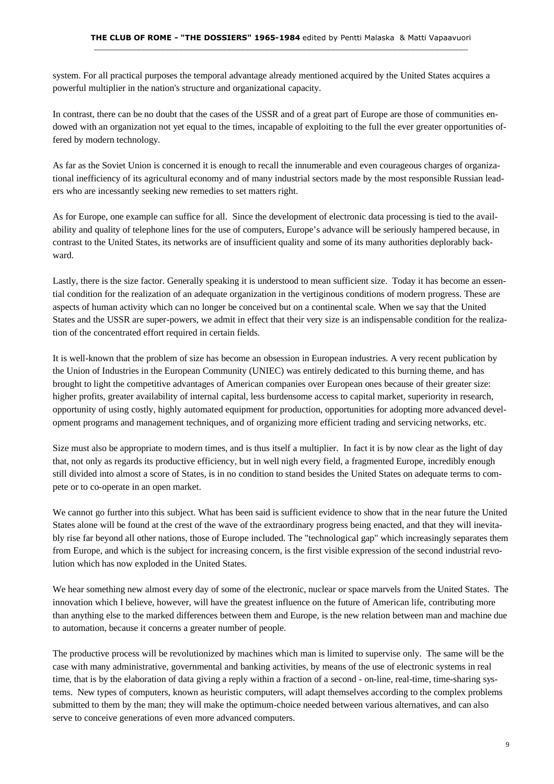system. For all practical purposes the temporal advantage already mentioned acquired by the United States acquires a powerful multiplier in the nation's structure and organizational capacity.

In contrast, there can be no doubt that the cases of the USSR and of a great part of Europe are those of communities endowed with an organization not yet equal to the times, incapable of exploiting to the full the ever greater opportunities offered by modern technology.

As far as the Soviet Union is concerned it is enough to recall the innumerable and even courageous charges of organizational inefficiency of its agricultural economy and of many industrial sectors made by the most responsible Russian leaders who are incessantly seeking new remedies to set matters right.

As for Europe, one example can suffice for all. Since the development of electronic data processing is tied to the availability and quality of telephone lines for the use of computers, Europe's advance will be seriously hampered because, in contrast to the United States, its networks are of insufficient quality and some of its many authorities deplorably backward.

Lastly, there is the size factor. Generally speaking it is understood to mean sufficient size. Today it has become an essential condition for the realization of an adequate organization in the vertiginous conditions of modern progress. These are aspects of human activity which can no longer be conceived but on a continental scale. When we say that the United States and the USSR are super-powers, we admit in effect that their very size is an indispensable condition for the realization of the concentrated effort required in certain fields.

It is well-known that the problem of size has become an obsession in European industries. A very recent publication by the Union of Industries in the European Community (UNIEC) was entirely dedicated to this burning theme, and has brought to light the competitive advantages of American companies over European ones because of their greater size: higher profits, greater availability of internal capital, less burdensome access to capital market, superiority in research, opportunity of using costly, highly automated equipment for production, opportunities for adopting more advanced development programs and management techniques, and of organizing more efficient trading and servicing networks, etc.

Size must also be appropriate to modern times, and is thus itself a multiplier. In fact it is by now clear as the light of day that, not only as regards its productive efficiency, but in well nigh every field, a fragmented Europe, incredibly enough still divided into almost a score of States, is in no condition to stand besides the United States on adequate terms to compete or to co-operate in an open market.

We cannot go further into this subject. What has been said is sufficient evidence to show that in the near future the United States alone will be found at the crest of the wave of the extraordinary progress being enacted, and that they will inevitably rise far beyond all other nations, those of Europe included. The "technological gap" which increasingly separates them from Europe, and which is the subject for increasing concern, is the first visible expression of the second industrial revolution which has now exploded in the United States.

We hear something new almost every day of some of the electronic, nuclear or space marvels from the United States. The innovation which I believe, however, will have the greatest influence on the future of American life, contributing more than anything else to the marked differences between them and Europe, is the new relation between man and machine due to automation, because it concerns a greater number of people.

The productive process will be revolutionized by machines which man is limited to supervise only. The same will be the case with many administrative, governmental and banking activities, by means of the use of electronic systems in real time, that is by the elaboration of data giving a reply within a fraction of a second - on-line, real-time, time-sharing systems. New types of computers, known as heuristic computers, will adapt themselves according to the complex problems submitted to them by the man; they will make the optimum-choice needed between various alternatives, and can also serve to conceive generations of even more advanced computers.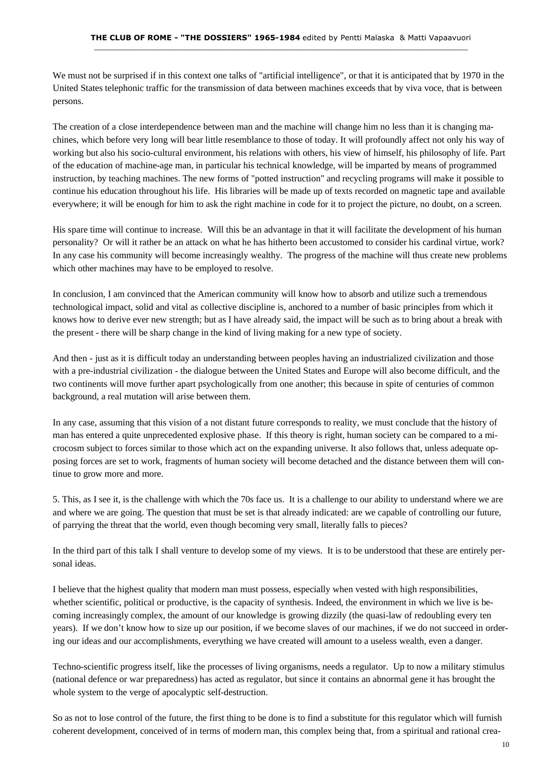We must not be surprised if in this context one talks of "artificial intelligence", or that it is anticipated that by 1970 in the United States telephonic traffic for the transmission of data between machines exceeds that by viva voce, that is between persons.

The creation of a close interdependence between man and the machine will change him no less than it is changing machines, which before very long will bear little resemblance to those of today. It will profoundly affect not only his way of working but also his socio-cultural environment, his relations with others, his view of himself, his philosophy of life. Part of the education of machine-age man, in particular his technical knowledge, will be imparted by means of programmed instruction, by teaching machines. The new forms of "potted instruction" and recycling programs will make it possible to continue his education throughout his life. His libraries will be made up of texts recorded on magnetic tape and available everywhere; it will be enough for him to ask the right machine in code for it to project the picture, no doubt, on a screen.

His spare time will continue to increase. Will this be an advantage in that it will facilitate the development of his human personality? Or will it rather be an attack on what he has hitherto been accustomed to consider his cardinal virtue, work? In any case his community will become increasingly wealthy. The progress of the machine will thus create new problems which other machines may have to be employed to resolve.

In conclusion, I am convinced that the American community will know how to absorb and utilize such a tremendous technological impact, solid and vital as collective discipline is, anchored to a number of basic principles from which it knows how to derive ever new strength; but as I have already said, the impact will be such as to bring about a break with the present - there will be sharp change in the kind of living making for a new type of society.

And then - just as it is difficult today an understanding between peoples having an industrialized civilization and those with a pre-industrial civilization - the dialogue between the United States and Europe will also become difficult, and the two continents will move further apart psychologically from one another; this because in spite of centuries of common background, a real mutation will arise between them.

In any case, assuming that this vision of a not distant future corresponds to reality, we must conclude that the history of man has entered a quite unprecedented explosive phase. If this theory is right, human society can be compared to a microcosm subject to forces similar to those which act on the expanding universe. It also follows that, unless adequate opposing forces are set to work, fragments of human society will become detached and the distance between them will continue to grow more and more.

5. This, as I see it, is the challenge with which the 70s face us. It is a challenge to our ability to understand where we are and where we are going. The question that must be set is that already indicated: are we capable of controlling our future, of parrying the threat that the world, even though becoming very small, literally falls to pieces?

In the third part of this talk I shall venture to develop some of my views. It is to be understood that these are entirely personal ideas.

I believe that the highest quality that modern man must possess, especially when vested with high responsibilities, whether scientific, political or productive, is the capacity of synthesis. Indeed, the environment in which we live is becoming increasingly complex, the amount of our knowledge is growing dizzily (the quasi-law of redoubling every ten years). If we don't know how to size up our position, if we become slaves of our machines, if we do not succeed in ordering our ideas and our accomplishments, everything we have created will amount to a useless wealth, even a danger.

Techno-scientific progress itself, like the processes of living organisms, needs a regulator. Up to now a military stimulus (national defence or war preparedness) has acted as regulator, but since it contains an abnormal gene it has brought the whole system to the verge of apocalyptic self-destruction.

So as not to lose control of the future, the first thing to be done is to find a substitute for this regulator which will furnish coherent development, conceived of in terms of modern man, this complex being that, from a spiritual and rational crea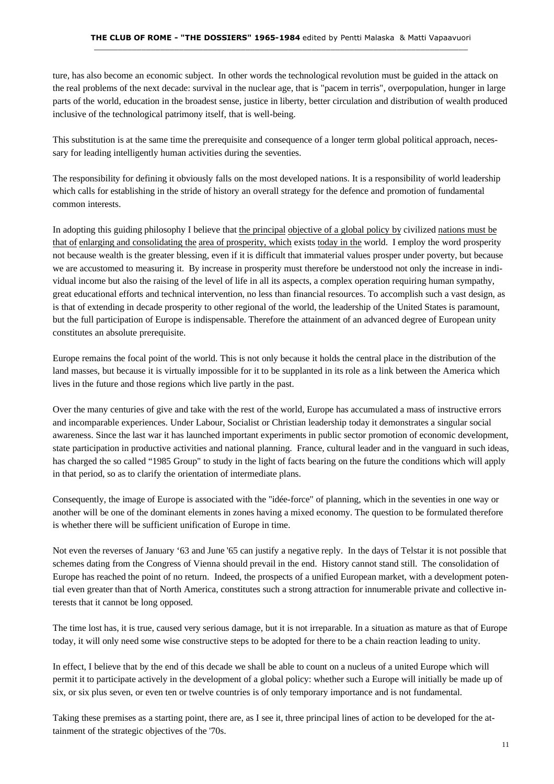ture, has also become an economic subject. In other words the technological revolution must be guided in the attack on the real problems of the next decade: survival in the nuclear age, that is "pacem in terris", overpopulation, hunger in large parts of the world, education in the broadest sense, justice in liberty, better circulation and distribution of wealth produced inclusive of the technological patrimony itself, that is well-being.

This substitution is at the same time the prerequisite and consequence of a longer term global political approach, necessary for leading intelligently human activities during the seventies.

The responsibility for defining it obviously falls on the most developed nations. It is a responsibility of world leadership which calls for establishing in the stride of history an overall strategy for the defence and promotion of fundamental common interests.

In adopting this guiding philosophy I believe that the principal objective of a global policy by civilized nations must be that of enlarging and consolidating the area of prosperity, which exists today in the world. I employ the word prosperity not because wealth is the greater blessing, even if it is difficult that immaterial values prosper under poverty, but because we are accustomed to measuring it. By increase in prosperity must therefore be understood not only the increase in individual income but also the raising of the level of life in all its aspects, a complex operation requiring human sympathy, great educational efforts and technical intervention, no less than financial resources. To accomplish such a vast design, as is that of extending in decade prosperity to other regional of the world, the leadership of the United States is paramount, but the full participation of Europe is indispensable. Therefore the attainment of an advanced degree of European unity constitutes an absolute prerequisite.

Europe remains the focal point of the world. This is not only because it holds the central place in the distribution of the land masses, but because it is virtually impossible for it to be supplanted in its role as a link between the America which lives in the future and those regions which live partly in the past.

Over the many centuries of give and take with the rest of the world, Europe has accumulated a mass of instructive errors and incomparable experiences. Under Labour, Socialist or Christian leadership today it demonstrates a singular social awareness. Since the last war it has launched important experiments in public sector promotion of economic development, state participation in productive activities and national planning. France, cultural leader and in the vanguard in such ideas, has charged the so called "1985 Group" to study in the light of facts bearing on the future the conditions which will apply in that period, so as to clarify the orientation of intermediate plans.

Consequently, the image of Europe is associated with the "idée-force" of planning, which in the seventies in one way or another will be one of the dominant elements in zones having a mixed economy. The question to be formulated therefore is whether there will be sufficient unification of Europe in time.

Not even the reverses of January '63 and June '65 can justify a negative reply. In the days of Telstar it is not possible that schemes dating from the Congress of Vienna should prevail in the end. History cannot stand still. The consolidation of Europe has reached the point of no return. Indeed, the prospects of a unified European market, with a development potential even greater than that of North America, constitutes such a strong attraction for innumerable private and collective interests that it cannot be long opposed.

The time lost has, it is true, caused very serious damage, but it is not irreparable. In a situation as mature as that of Europe today, it will only need some wise constructive steps to be adopted for there to be a chain reaction leading to unity.

In effect, I believe that by the end of this decade we shall be able to count on a nucleus of a united Europe which will permit it to participate actively in the development of a global policy: whether such a Europe will initially be made up of six, or six plus seven, or even ten or twelve countries is of only temporary importance and is not fundamental.

Taking these premises as a starting point, there are, as I see it, three principal lines of action to be developed for the attainment of the strategic objectives of the '70s.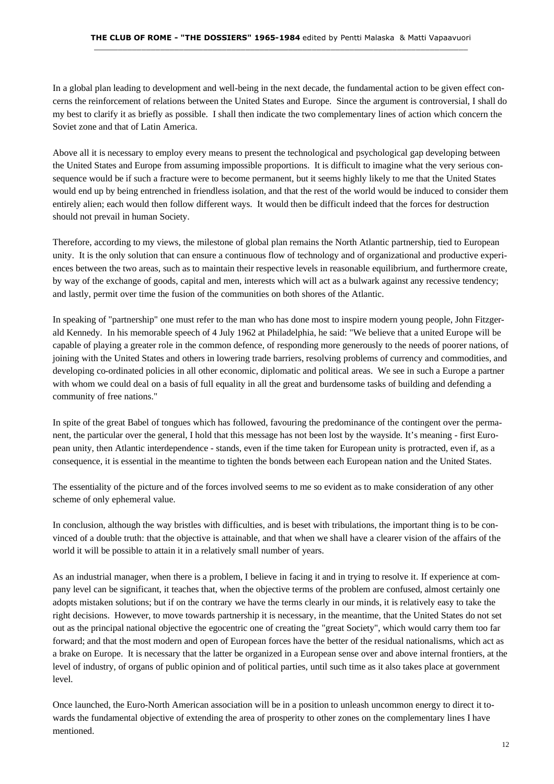In a global plan leading to development and well-being in the next decade, the fundamental action to be given effect concerns the reinforcement of relations between the United States and Europe. Since the argument is controversial, I shall do my best to clarify it as briefly as possible. I shall then indicate the two complementary lines of action which concern the Soviet zone and that of Latin America.

Above all it is necessary to employ every means to present the technological and psychological gap developing between the United States and Europe from assuming impossible proportions. It is difficult to imagine what the very serious consequence would be if such a fracture were to become permanent, but it seems highly likely to me that the United States would end up by being entrenched in friendless isolation, and that the rest of the world would be induced to consider them entirely alien; each would then follow different ways. It would then be difficult indeed that the forces for destruction should not prevail in human Society.

Therefore, according to my views, the milestone of global plan remains the North Atlantic partnership, tied to European unity. It is the only solution that can ensure a continuous flow of technology and of organizational and productive experiences between the two areas, such as to maintain their respective levels in reasonable equilibrium, and furthermore create, by way of the exchange of goods, capital and men, interests which will act as a bulwark against any recessive tendency; and lastly, permit over time the fusion of the communities on both shores of the Atlantic.

In speaking of "partnership" one must refer to the man who has done most to inspire modern young people, John Fitzgerald Kennedy. In his memorable speech of 4 July 1962 at Philadelphia, he said: "We believe that a united Europe will be capable of playing a greater role in the common defence, of responding more generously to the needs of poorer nations, of joining with the United States and others in lowering trade barriers, resolving problems of currency and commodities, and developing co-ordinated policies in all other economic, diplomatic and political areas. We see in such a Europe a partner with whom we could deal on a basis of full equality in all the great and burdensome tasks of building and defending a community of free nations."

In spite of the great Babel of tongues which has followed, favouring the predominance of the contingent over the permanent, the particular over the general, I hold that this message has not been lost by the wayside. It's meaning - first European unity, then Atlantic interdependence - stands, even if the time taken for European unity is protracted, even if, as a consequence, it is essential in the meantime to tighten the bonds between each European nation and the United States.

The essentiality of the picture and of the forces involved seems to me so evident as to make consideration of any other scheme of only ephemeral value.

In conclusion, although the way bristles with difficulties, and is beset with tribulations, the important thing is to be convinced of a double truth: that the objective is attainable, and that when we shall have a clearer vision of the affairs of the world it will be possible to attain it in a relatively small number of years.

As an industrial manager, when there is a problem, I believe in facing it and in trying to resolve it. If experience at company level can be significant, it teaches that, when the objective terms of the problem are confused, almost certainly one adopts mistaken solutions; but if on the contrary we have the terms clearly in our minds, it is relatively easy to take the right decisions. However, to move towards partnership it is necessary, in the meantime, that the United States do not set out as the principal national objective the egocentric one of creating the "great Society", which would carry them too far forward; and that the most modern and open of European forces have the better of the residual nationalisms, which act as a brake on Europe. It is necessary that the latter be organized in a European sense over and above internal frontiers, at the level of industry, of organs of public opinion and of political parties, until such time as it also takes place at government level.

Once launched, the Euro-North American association will be in a position to unleash uncommon energy to direct it towards the fundamental objective of extending the area of prosperity to other zones on the complementary lines I have mentioned.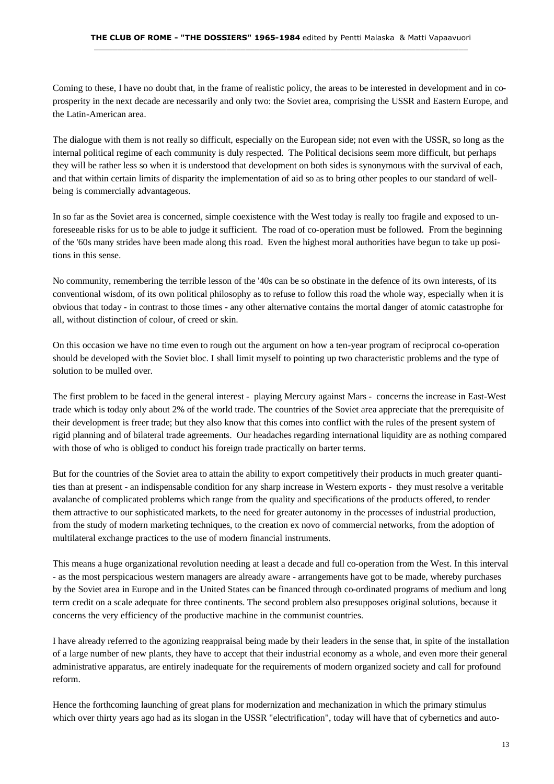Coming to these, I have no doubt that, in the frame of realistic policy, the areas to be interested in development and in coprosperity in the next decade are necessarily and only two: the Soviet area, comprising the USSR and Eastern Europe, and the Latin-American area.

The dialogue with them is not really so difficult, especially on the European side; not even with the USSR, so long as the internal political regime of each community is duly respected. The Political decisions seem more difficult, but perhaps they will be rather less so when it is understood that development on both sides is synonymous with the survival of each, and that within certain limits of disparity the implementation of aid so as to bring other peoples to our standard of wellbeing is commercially advantageous.

In so far as the Soviet area is concerned, simple coexistence with the West today is really too fragile and exposed to unforeseeable risks for us to be able to judge it sufficient. The road of co-operation must be followed. From the beginning of the '60s many strides have been made along this road. Even the highest moral authorities have begun to take up positions in this sense.

No community, remembering the terrible lesson of the '40s can be so obstinate in the defence of its own interests, of its conventional wisdom, of its own political philosophy as to refuse to follow this road the whole way, especially when it is obvious that today - in contrast to those times - any other alternative contains the mortal danger of atomic catastrophe for all, without distinction of colour, of creed or skin.

On this occasion we have no time even to rough out the argument on how a ten-year program of reciprocal co-operation should be developed with the Soviet bloc. I shall limit myself to pointing up two characteristic problems and the type of solution to be mulled over.

The first problem to be faced in the general interest - playing Mercury against Mars - concerns the increase in East-West trade which is today only about 2% of the world trade. The countries of the Soviet area appreciate that the prerequisite of their development is freer trade; but they also know that this comes into conflict with the rules of the present system of rigid planning and of bilateral trade agreements. Our headaches regarding international liquidity are as nothing compared with those of who is obliged to conduct his foreign trade practically on barter terms.

But for the countries of the Soviet area to attain the ability to export competitively their products in much greater quantities than at present - an indispensable condition for any sharp increase in Western exports - they must resolve a veritable avalanche of complicated problems which range from the quality and specifications of the products offered, to render them attractive to our sophisticated markets, to the need for greater autonomy in the processes of industrial production, from the study of modern marketing techniques, to the creation ex novo of commercial networks, from the adoption of multilateral exchange practices to the use of modern financial instruments.

This means a huge organizational revolution needing at least a decade and full co-operation from the West. In this interval - as the most perspicacious western managers are already aware - arrangements have got to be made, whereby purchases by the Soviet area in Europe and in the United States can be financed through co-ordinated programs of medium and long term credit on a scale adequate for three continents. The second problem also presupposes original solutions, because it concerns the very efficiency of the productive machine in the communist countries.

I have already referred to the agonizing reappraisal being made by their leaders in the sense that, in spite of the installation of a large number of new plants, they have to accept that their industrial economy as a whole, and even more their general administrative apparatus, are entirely inadequate for the requirements of modern organized society and call for profound reform.

Hence the forthcoming launching of great plans for modernization and mechanization in which the primary stimulus which over thirty years ago had as its slogan in the USSR "electrification", today will have that of cybernetics and auto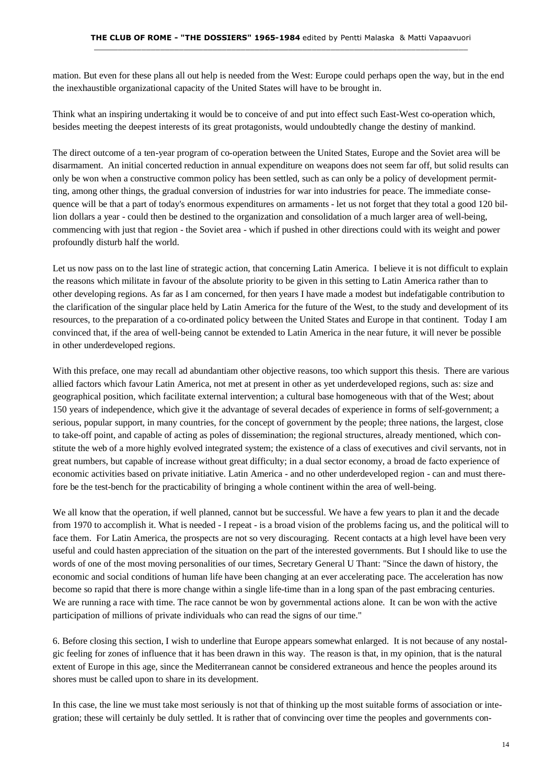mation. But even for these plans all out help is needed from the West: Europe could perhaps open the way, but in the end the inexhaustible organizational capacity of the United States will have to be brought in.

Think what an inspiring undertaking it would be to conceive of and put into effect such East-West co-operation which, besides meeting the deepest interests of its great protagonists, would undoubtedly change the destiny of mankind.

The direct outcome of a ten-year program of co-operation between the United States, Europe and the Soviet area will be disarmament. An initial concerted reduction in annual expenditure on weapons does not seem far off, but solid results can only be won when a constructive common policy has been settled, such as can only be a policy of development permitting, among other things, the gradual conversion of industries for war into industries for peace. The immediate consequence will be that a part of today's enormous expenditures on armaments - let us not forget that they total a good 120 billion dollars a year - could then be destined to the organization and consolidation of a much larger area of well-being, commencing with just that region - the Soviet area - which if pushed in other directions could with its weight and power profoundly disturb half the world.

Let us now pass on to the last line of strategic action, that concerning Latin America. I believe it is not difficult to explain the reasons which militate in favour of the absolute priority to be given in this setting to Latin America rather than to other developing regions. As far as I am concerned, for then years I have made a modest but indefatigable contribution to the clarification of the singular place held by Latin America for the future of the West, to the study and development of its resources, to the preparation of a co-ordinated policy between the United States and Europe in that continent. Today I am convinced that, if the area of well-being cannot be extended to Latin America in the near future, it will never be possible in other underdeveloped regions.

With this preface, one may recall ad abundantiam other objective reasons, too which support this thesis. There are various allied factors which favour Latin America, not met at present in other as yet underdeveloped regions, such as: size and geographical position, which facilitate external intervention; a cultural base homogeneous with that of the West; about 150 years of independence, which give it the advantage of several decades of experience in forms of self-government; a serious, popular support, in many countries, for the concept of government by the people; three nations, the largest, close to take-off point, and capable of acting as poles of dissemination; the regional structures, already mentioned, which constitute the web of a more highly evolved integrated system; the existence of a class of executives and civil servants, not in great numbers, but capable of increase without great difficulty; in a dual sector economy, a broad de facto experience of economic activities based on private initiative. Latin America - and no other underdeveloped region - can and must therefore be the test-bench for the practicability of bringing a whole continent within the area of well-being.

We all know that the operation, if well planned, cannot but be successful. We have a few years to plan it and the decade from 1970 to accomplish it. What is needed - I repeat - is a broad vision of the problems facing us, and the political will to face them. For Latin America, the prospects are not so very discouraging. Recent contacts at a high level have been very useful and could hasten appreciation of the situation on the part of the interested governments. But I should like to use the words of one of the most moving personalities of our times, Secretary General U Thant: "Since the dawn of history, the economic and social conditions of human life have been changing at an ever accelerating pace. The acceleration has now become so rapid that there is more change within a single life-time than in a long span of the past embracing centuries. We are running a race with time. The race cannot be won by governmental actions alone. It can be won with the active participation of millions of private individuals who can read the signs of our time."

6. Before closing this section, I wish to underline that Europe appears somewhat enlarged. It is not because of any nostalgic feeling for zones of influence that it has been drawn in this way. The reason is that, in my opinion, that is the natural extent of Europe in this age, since the Mediterranean cannot be considered extraneous and hence the peoples around its shores must be called upon to share in its development.

In this case, the line we must take most seriously is not that of thinking up the most suitable forms of association or integration; these will certainly be duly settled. It is rather that of convincing over time the peoples and governments con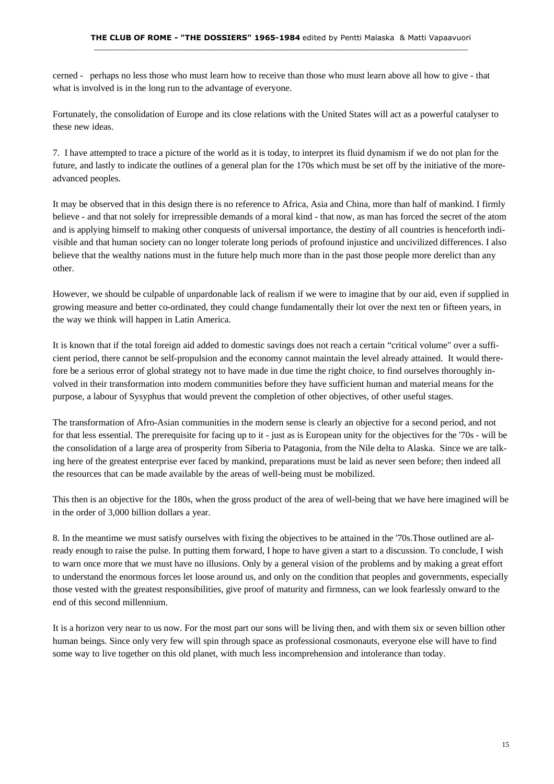cerned - perhaps no less those who must learn how to receive than those who must learn above all how to give - that what is involved is in the long run to the advantage of everyone.

Fortunately, the consolidation of Europe and its close relations with the United States will act as a powerful catalyser to these new ideas.

7. I have attempted to trace a picture of the world as it is today, to interpret its fluid dynamism if we do not plan for the future, and lastly to indicate the outlines of a general plan for the 170s which must be set off by the initiative of the moreadvanced peoples.

It may be observed that in this design there is no reference to Africa, Asia and China, more than half of mankind. I firmly believe - and that not solely for irrepressible demands of a moral kind - that now, as man has forced the secret of the atom and is applying himself to making other conquests of universal importance, the destiny of all countries is henceforth indivisible and that human society can no longer tolerate long periods of profound injustice and uncivilized differences. I also believe that the wealthy nations must in the future help much more than in the past those people more derelict than any other.

However, we should be culpable of unpardonable lack of realism if we were to imagine that by our aid, even if supplied in growing measure and better co-ordinated, they could change fundamentally their lot over the next ten or fifteen years, in the way we think will happen in Latin America.

It is known that if the total foreign aid added to domestic savings does not reach a certain "critical volume" over a sufficient period, there cannot be self-propulsion and the economy cannot maintain the level already attained. It would therefore be a serious error of global strategy not to have made in due time the right choice, to find ourselves thoroughly involved in their transformation into modern communities before they have sufficient human and material means for the purpose, a labour of Sysyphus that would prevent the completion of other objectives, of other useful stages.

The transformation of Afro-Asian communities in the modern sense is clearly an objective for a second period, and not for that less essential. The prerequisite for facing up to it - just as is European unity for the objectives for the '70s - will be the consolidation of a large area of prosperity from Siberia to Patagonia, from the Nile delta to Alaska. Since we are talking here of the greatest enterprise ever faced by mankind, preparations must be laid as never seen before; then indeed all the resources that can be made available by the areas of well-being must be mobilized.

This then is an objective for the 180s, when the gross product of the area of well-being that we have here imagined will be in the order of 3,000 billion dollars a year.

8. In the meantime we must satisfy ourselves with fixing the objectives to be attained in the '70s.Those outlined are already enough to raise the pulse. In putting them forward, I hope to have given a start to a discussion. To conclude, I wish to warn once more that we must have no illusions. Only by a general vision of the problems and by making a great effort to understand the enormous forces let loose around us, and only on the condition that peoples and governments, especially those vested with the greatest responsibilities, give proof of maturity and firmness, can we look fearlessly onward to the end of this second millennium.

It is a horizon very near to us now. For the most part our sons will be living then, and with them six or seven billion other human beings. Since only very few will spin through space as professional cosmonauts, everyone else will have to find some way to live together on this old planet, with much less incomprehension and intolerance than today.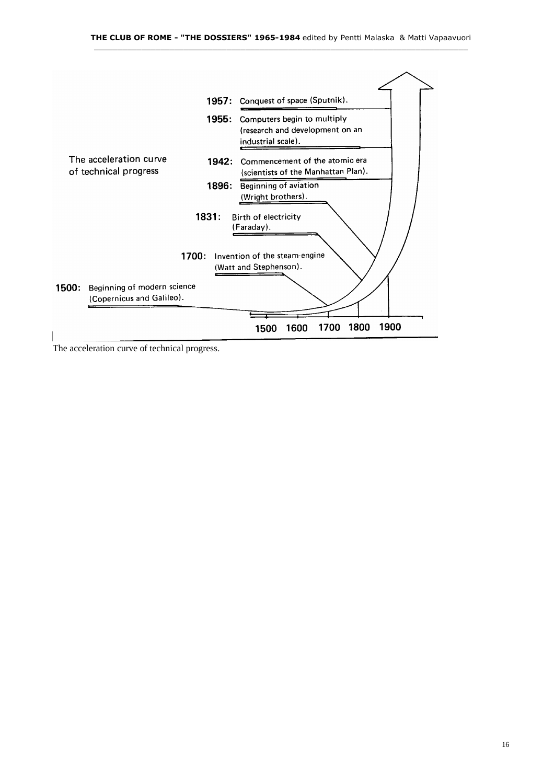

The acceleration curve of technical progress.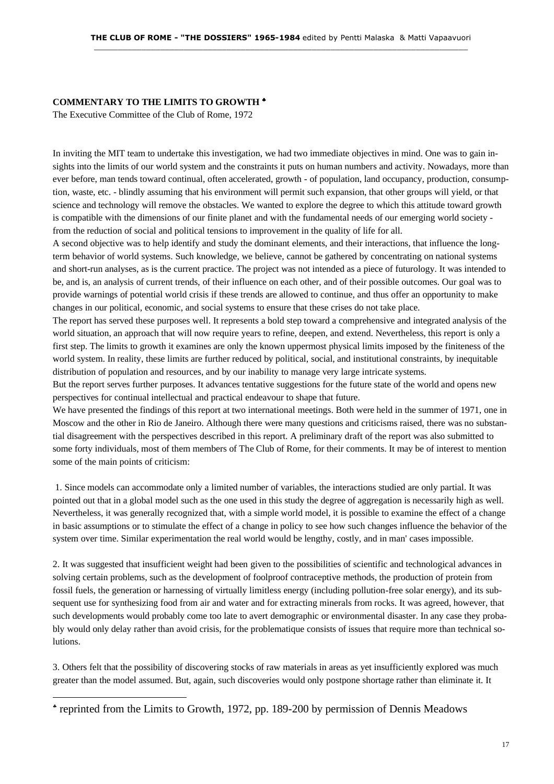#### **COMMENTARY TO THE LIMITS TO GROWTH**

The Executive Committee of the Club of Rome, 1972

In inviting the MIT team to undertake this investigation, we had two immediate objectives in mind. One was to gain insights into the limits of our world system and the constraints it puts on human numbers and activity. Nowadays, more than ever before, man tends toward continual, often accelerated, growth - of population, land occupancy, production, consumption, waste, etc. - blindly assuming that his environment will permit such expansion, that other groups will yield, or that science and technology will remove the obstacles. We wanted to explore the degree to which this attitude toward growth is compatible with the dimensions of our finite planet and with the fundamental needs of our emerging world society from the reduction of social and political tensions to improvement in the quality of life for all.

A second objective was to help identify and study the dominant elements, and their interactions, that influence the longterm behavior of world systems. Such knowledge, we believe, cannot be gathered by concentrating on national systems and short-run analyses, as is the current practice. The project was not intended as a piece of futurology. It was intended to be, and is, an analysis of current trends, of their influence on each other, and of their possible outcomes. Our goal was to provide warnings of potential world crisis if these trends are allowed to continue, and thus offer an opportunity to make changes in our political, economic, and social systems to ensure that these crises do not take place.

The report has served these purposes well. It represents a bold step toward a comprehensive and integrated analysis of the world situation, an approach that will now require years to refine, deepen, and extend. Nevertheless, this report is only a first step. The limits to growth it examines are only the known uppermost physical limits imposed by the finiteness of the world system. In reality, these limits are further reduced by political, social, and institutional constraints, by inequitable distribution of population and resources, and by our inability to manage very large intricate systems.

But the report serves further purposes. It advances tentative suggestions for the future state of the world and opens new perspectives for continual intellectual and practical endeavour to shape that future.

We have presented the findings of this report at two international meetings. Both were held in the summer of 1971, one in Moscow and the other in Rio de Janeiro. Although there were many questions and criticisms raised, there was no substantial disagreement with the perspectives described in this report. A preliminary draft of the report was also submitted to some forty individuals, most of them members of The Club of Rome, for their comments. It may be of interest to mention some of the main points of criticism:

1. Since models can accommodate only a limited number of variables, the interactions studied are only partial. It was pointed out that in a global model such as the one used in this study the degree of aggregation is necessarily high as well. Nevertheless, it was generally recognized that, with a simple world model, it is possible to examine the effect of a change in basic assumptions or to stimulate the effect of a change in policy to see how such changes influence the behavior of the system over time. Similar experimentation the real world would be lengthy, costly, and in man' cases impossible.

2. It was suggested that insufficient weight had been given to the possibilities of scientific and technological advances in solving certain problems, such as the development of foolproof contraceptive methods, the production of protein from fossil fuels, the generation or harnessing of virtually limitless energy (including pollution-free solar energy), and its subsequent use for synthesizing food from air and water and for extracting minerals from rocks. It was agreed, however, that such developments would probably come too late to avert demographic or environmental disaster. In any case they probably would only delay rather than avoid crisis, for the problematique consists of issues that require more than technical solutions.

3. Others felt that the possibility of discovering stocks of raw materials in areas as yet insufficiently explored was much greater than the model assumed. But, again, such discoveries would only postpone shortage rather than eliminate it. It

<sup>\*</sup> reprinted from the Limits to Growth, 1972, pp. 189-200 by permission of Dennis Meadows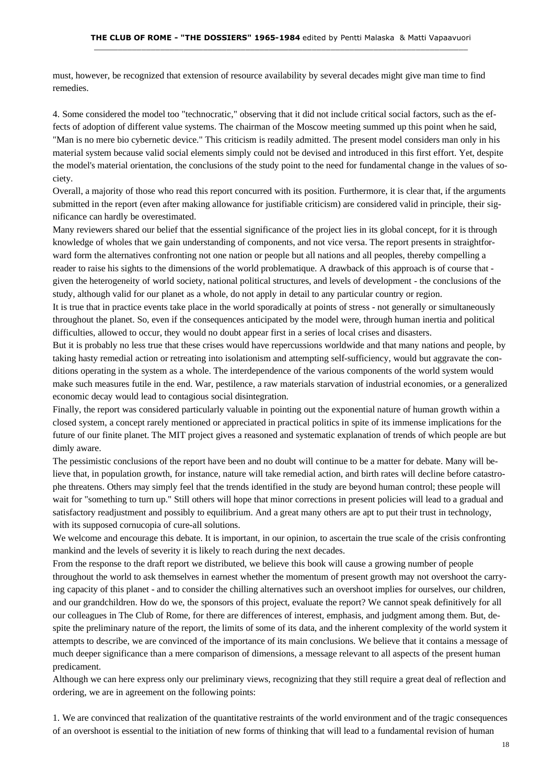must, however, be recognized that extension of resource availability by several decades might give man time to find remedies.

4. Some considered the model too "technocratic," observing that it did not include critical social factors, such as the effects of adoption of different value systems. The chairman of the Moscow meeting summed up this point when he said, "Man is no mere bio cybernetic device." This criticism is readily admitted. The present model considers man only in his material system because valid social elements simply could not be devised and introduced in this first effort. Yet, despite the model's material orientation, the conclusions of the study point to the need for fundamental change in the values of society.

Overall, a majority of those who read this report concurred with its position. Furthermore, it is clear that, if the arguments submitted in the report (even after making allowance for justifiable criticism) are considered valid in principle, their significance can hardly be overestimated.

Many reviewers shared our belief that the essential significance of the project lies in its global concept, for it is through knowledge of wholes that we gain understanding of components, and not vice versa. The report presents in straightforward form the alternatives confronting not one nation or people but all nations and all peoples, thereby compelling a reader to raise his sights to the dimensions of the world problematique. A drawback of this approach is of course that given the heterogeneity of world society, national political structures, and levels of development - the conclusions of the study, although valid for our planet as a whole, do not apply in detail to any particular country or region.

It is true that in practice events take place in the world sporadically at points of stress - not generally or simultaneously throughout the planet. So, even if the consequences anticipated by the model were, through human inertia and political difficulties, allowed to occur, they would no doubt appear first in a series of local crises and disasters.

But it is probably no less true that these crises would have repercussions worldwide and that many nations and people, by taking hasty remedial action or retreating into isolationism and attempting self-sufficiency, would but aggravate the conditions operating in the system as a whole. The interdependence of the various components of the world system would make such measures futile in the end. War, pestilence, a raw materials starvation of industrial economies, or a generalized economic decay would lead to contagious social disintegration.

Finally, the report was considered particularly valuable in pointing out the exponential nature of human growth within a closed system, a concept rarely mentioned or appreciated in practical politics in spite of its immense implications for the future of our finite planet. The MIT project gives a reasoned and systematic explanation of trends of which people are but dimly aware.

The pessimistic conclusions of the report have been and no doubt will continue to be a matter for debate. Many will believe that, in population growth, for instance, nature will take remedial action, and birth rates will decline before catastrophe threatens. Others may simply feel that the trends identified in the study are beyond human control; these people will wait for "something to turn up." Still others will hope that minor corrections in present policies will lead to a gradual and satisfactory readjustment and possibly to equilibrium. And a great many others are apt to put their trust in technology, with its supposed cornucopia of cure-all solutions.

We welcome and encourage this debate. It is important, in our opinion, to ascertain the true scale of the crisis confronting mankind and the levels of severity it is likely to reach during the next decades.

From the response to the draft report we distributed, we believe this book will cause a growing number of people throughout the world to ask themselves in earnest whether the momentum of present growth may not overshoot the carrying capacity of this planet - and to consider the chilling alternatives such an overshoot implies for ourselves, our children, and our grandchildren. How do we, the sponsors of this project, evaluate the report? We cannot speak definitively for all our colleagues in The Club of Rome, for there are differences of interest, emphasis, and judgment among them. But, despite the preliminary nature of the report, the limits of some of its data, and the inherent complexity of the world system it attempts to describe, we are convinced of the importance of its main conclusions. We believe that it contains a message of much deeper significance than a mere comparison of dimensions, a message relevant to all aspects of the present human predicament.

Although we can here express only our preliminary views, recognizing that they still require a great deal of reflection and ordering, we are in agreement on the following points:

1. We are convinced that realization of the quantitative restraints of the world environment and of the tragic consequences of an overshoot is essential to the initiation of new forms of thinking that will lead to a fundamental revision of human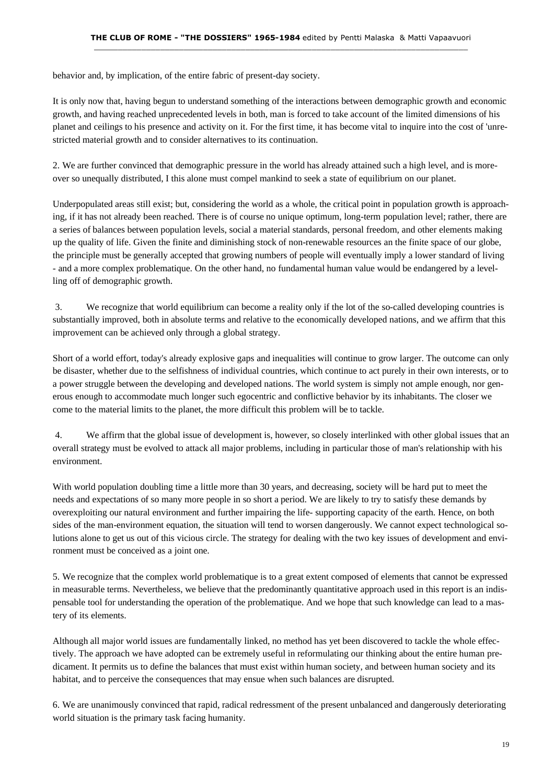behavior and, by implication, of the entire fabric of present-day society.

It is only now that, having begun to understand something of the interactions between demographic growth and economic growth, and having reached unprecedented levels in both, man is forced to take account of the limited dimensions of his planet and ceilings to his presence and activity on it. For the first time, it has become vital to inquire into the cost of 'unrestricted material growth and to consider alternatives to its continuation.

2. We are further convinced that demographic pressure in the world has already attained such a high level, and is moreover so unequally distributed, I this alone must compel mankind to seek a state of equilibrium on our planet.

Underpopulated areas still exist; but, considering the world as a whole, the critical point in population growth is approaching, if it has not already been reached. There is of course no unique optimum, long-term population level; rather, there are a series of balances between population levels, social a material standards, personal freedom, and other elements making up the quality of life. Given the finite and diminishing stock of non-renewable resources an the finite space of our globe, the principle must be generally accepted that growing numbers of people will eventually imply a lower standard of living - and a more complex problematique. On the other hand, no fundamental human value would be endangered by a levelling off of demographic growth.

3. We recognize that world equilibrium can become a reality only if the lot of the so-called developing countries is substantially improved, both in absolute terms and relative to the economically developed nations, and we affirm that this improvement can be achieved only through a global strategy.

Short of a world effort, today's already explosive gaps and inequalities will continue to grow larger. The outcome can only be disaster, whether due to the selfishness of individual countries, which continue to act purely in their own interests, or to a power struggle between the developing and developed nations. The world system is simply not ample enough, nor generous enough to accommodate much longer such egocentric and conflictive behavior by its inhabitants. The closer we come to the material limits to the planet, the more difficult this problem will be to tackle.

4. We affirm that the global issue of development is, however, so closely interlinked with other global issues that an overall strategy must be evolved to attack all major problems, including in particular those of man's relationship with his environment.

With world population doubling time a little more than 30 years, and decreasing, society will be hard put to meet the needs and expectations of so many more people in so short a period. We are likely to try to satisfy these demands by overexploiting our natural environment and further impairing the life- supporting capacity of the earth. Hence, on both sides of the man-environment equation, the situation will tend to worsen dangerously. We cannot expect technological solutions alone to get us out of this vicious circle. The strategy for dealing with the two key issues of development and environment must be conceived as a joint one.

5. We recognize that the complex world problematique is to a great extent composed of elements that cannot be expressed in measurable terms. Nevertheless, we believe that the predominantly quantitative approach used in this report is an indispensable tool for understanding the operation of the problematique. And we hope that such knowledge can lead to a mastery of its elements.

Although all major world issues are fundamentally linked, no method has yet been discovered to tackle the whole effectively. The approach we have adopted can be extremely useful in reformulating our thinking about the entire human predicament. It permits us to define the balances that must exist within human society, and between human society and its habitat, and to perceive the consequences that may ensue when such balances are disrupted.

6. We are unanimously convinced that rapid, radical redressment of the present unbalanced and dangerously deteriorating world situation is the primary task facing humanity.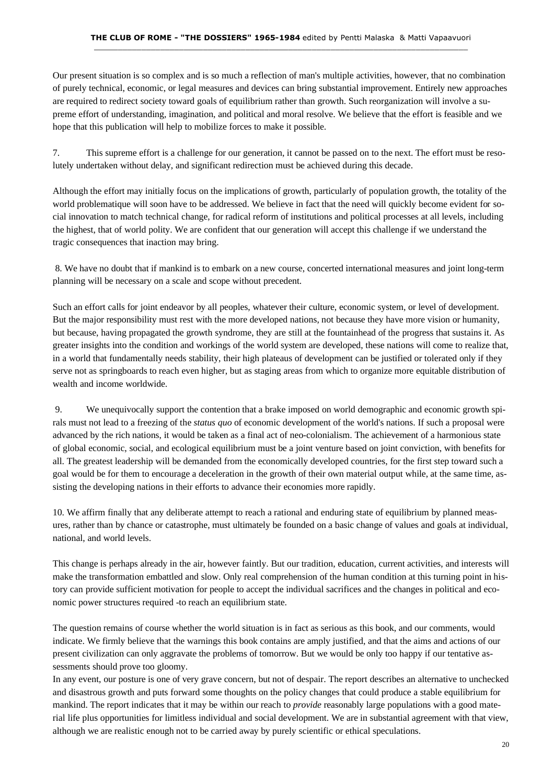Our present situation is so complex and is so much a reflection of man's multiple activities, however, that no combination of purely technical, economic, or legal measures and devices can bring substantial improvement. Entirely new approaches are required to redirect society toward goals of equilibrium rather than growth. Such reorganization will involve a supreme effort of understanding, imagination, and political and moral resolve. We believe that the effort is feasible and we hope that this publication will help to mobilize forces to make it possible.

7. This supreme effort is a challenge for our generation, it cannot be passed on to the next. The effort must be resolutely undertaken without delay, and significant redirection must be achieved during this decade.

Although the effort may initially focus on the implications of growth, particularly of population growth, the totality of the world problematique will soon have to be addressed. We believe in fact that the need will quickly become evident for social innovation to match technical change, for radical reform of institutions and political processes at all levels, including the highest, that of world polity. We are confident that our generation will accept this challenge if we understand the tragic consequences that inaction may bring.

8. We have no doubt that if mankind is to embark on a new course, concerted international measures and joint long-term planning will be necessary on a scale and scope without precedent.

Such an effort calls for joint endeavor by all peoples, whatever their culture, economic system, or level of development. But the major responsibility must rest with the more developed nations, not because they have more vision or humanity, but because, having propagated the growth syndrome, they are still at the fountainhead of the progress that sustains it. As greater insights into the condition and workings of the world system are developed, these nations will come to realize that, in a world that fundamentally needs stability, their high plateaus of development can be justified or tolerated only if they serve not as springboards to reach even higher, but as staging areas from which to organize more equitable distribution of wealth and income worldwide.

9. We unequivocally support the contention that a brake imposed on world demographic and economic growth spirals must not lead to a freezing of the *status quo* of economic development of the world's nations. If such a proposal were advanced by the rich nations, it would be taken as a final act of neo-colonialism. The achievement of a harmonious state of global economic, social, and ecological equilibrium must be a joint venture based on joint conviction, with benefits for all. The greatest leadership will be demanded from the economically developed countries, for the first step toward such a goal would be for them to encourage a deceleration in the growth of their own material output while, at the same time, assisting the developing nations in their efforts to advance their economies more rapidly.

10. We affirm finally that any deliberate attempt to reach a rational and enduring state of equilibrium by planned measures, rather than by chance or catastrophe, must ultimately be founded on a basic change of values and goals at individual, national, and world levels.

This change is perhaps already in the air, however faintly. But our tradition, education, current activities, and interests will make the transformation embattled and slow. Only real comprehension of the human condition at this turning point in history can provide sufficient motivation for people to accept the individual sacrifices and the changes in political and economic power structures required -to reach an equilibrium state.

The question remains of course whether the world situation is in fact as serious as this book, and our comments, would indicate. We firmly believe that the warnings this book contains are amply justified, and that the aims and actions of our present civilization can only aggravate the problems of tomorrow. But we would be only too happy if our tentative assessments should prove too gloomy.

In any event, our posture is one of very grave concern, but not of despair. The report describes an alternative to unchecked and disastrous growth and puts forward some thoughts on the policy changes that could produce a stable equilibrium for mankind. The report indicates that it may be within our reach to *provide* reasonably large populations with a good material life plus opportunities for limitless individual and social development. We are in substantial agreement with that view, although we are realistic enough not to be carried away by purely scientific or ethical speculations.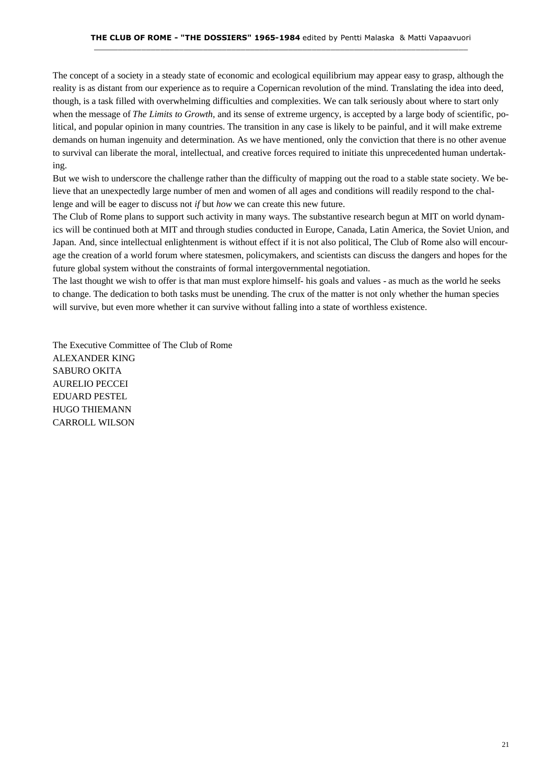The concept of a society in a steady state of economic and ecological equilibrium may appear easy to grasp, although the reality is as distant from our experience as to require a Copernican revolution of the mind. Translating the idea into deed, though, is a task filled with overwhelming difficulties and complexities. We can talk seriously about where to start only when the message of *The Limits to Growth*, and its sense of extreme urgency, is accepted by a large body of scientific, political, and popular opinion in many countries. The transition in any case is likely to be painful, and it will make extreme demands on human ingenuity and determination. As we have mentioned, only the conviction that there is no other avenue to survival can liberate the moral, intellectual, and creative forces required to initiate this unprecedented human undertaking.

But we wish to underscore the challenge rather than the difficulty of mapping out the road to a stable state society. We believe that an unexpectedly large number of men and women of all ages and conditions will readily respond to the challenge and will be eager to discuss not *if* but *how* we can create this new future.

The Club of Rome plans to support such activity in many ways. The substantive research begun at MIT on world dynamics will be continued both at MIT and through studies conducted in Europe, Canada, Latin America, the Soviet Union, and Japan. And, since intellectual enlightenment is without effect if it is not also political, The Club of Rome also will encourage the creation of a world forum where statesmen, policymakers, and scientists can discuss the dangers and hopes for the future global system without the constraints of formal intergovernmental negotiation.

The last thought we wish to offer is that man must explore himself- his goals and values - as much as the world he seeks to change. The dedication to both tasks must be unending. The crux of the matter is not only whether the human species will survive, but even more whether it can survive without falling into a state of worthless existence.

The Executive Committee of The Club of Rome ALEXANDER KING SABURO OKITA AURELIO PECCEI EDUARD PESTEL HUGO THIEMANN CARROLL WILSON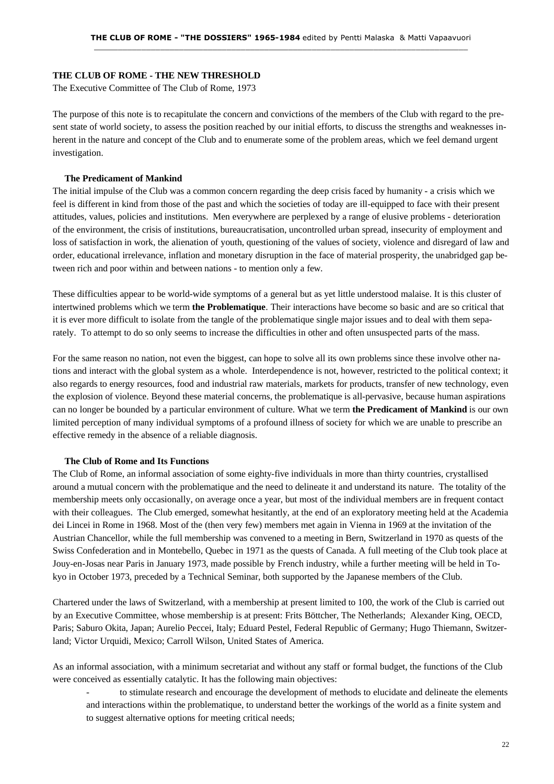#### **THE CLUB OF ROME - THE NEW THRESHOLD**

The Executive Committee of The Club of Rome, 1973

The purpose of this note is to recapitulate the concern and convictions of the members of the Club with regard to the present state of world society, to assess the position reached by our initial efforts, to discuss the strengths and weaknesses inherent in the nature and concept of the Club and to enumerate some of the problem areas, which we feel demand urgent investigation.

# **The Predicament of Mankind**

The initial impulse of the Club was a common concern regarding the deep crisis faced by humanity - a crisis which we feel is different in kind from those of the past and which the societies of today are ill-equipped to face with their present attitudes, values, policies and institutions. Men everywhere are perplexed by a range of elusive problems - deterioration of the environment, the crisis of institutions, bureaucratisation, uncontrolled urban spread, insecurity of employment and loss of satisfaction in work, the alienation of youth, questioning of the values of society, violence and disregard of law and order, educational irrelevance, inflation and monetary disruption in the face of material prosperity, the unabridged gap between rich and poor within and between nations - to mention only a few.

These difficulties appear to be world-wide symptoms of a general but as yet little understood malaise. It is this cluster of intertwined problems which we term **the Problematique**. Their interactions have become so basic and are so critical that it is ever more difficult to isolate from the tangle of the problematique single major issues and to deal with them separately. To attempt to do so only seems to increase the difficulties in other and often unsuspected parts of the mass.

For the same reason no nation, not even the biggest, can hope to solve all its own problems since these involve other nations and interact with the global system as a whole. Interdependence is not, however, restricted to the political context; it also regards to energy resources, food and industrial raw materials, markets for products, transfer of new technology, even the explosion of violence. Beyond these material concerns, the problematique is all-pervasive, because human aspirations can no longer be bounded by a particular environment of culture. What we term **the Predicament of Mankind** is our own limited perception of many individual symptoms of a profound illness of society for which we are unable to prescribe an effective remedy in the absence of a reliable diagnosis.

#### **The Club of Rome and Its Functions**

The Club of Rome, an informal association of some eighty-five individuals in more than thirty countries, crystallised around a mutual concern with the problematique and the need to delineate it and understand its nature. The totality of the membership meets only occasionally, on average once a year, but most of the individual members are in frequent contact with their colleagues. The Club emerged, somewhat hesitantly, at the end of an exploratory meeting held at the Academia dei Lincei in Rome in 1968. Most of the (then very few) members met again in Vienna in 1969 at the invitation of the Austrian Chancellor, while the full membership was convened to a meeting in Bern, Switzerland in 1970 as quests of the Swiss Confederation and in Montebello, Quebec in 1971 as the quests of Canada. A full meeting of the Club took place at Jouy-en-Josas near Paris in January 1973, made possible by French industry, while a further meeting will be held in Tokyo in October 1973, preceded by a Technical Seminar, both supported by the Japanese members of the Club.

Chartered under the laws of Switzerland, with a membership at present limited to 100, the work of the Club is carried out by an Executive Committee, whose membership is at present: Frits Böttcher, The Netherlands; Alexander King, OECD, Paris; Saburo Okita, Japan; Aurelio Peccei, Italy; Eduard Pestel, Federal Republic of Germany; Hugo Thiemann, Switzerland; Victor Urquidi, Mexico; Carroll Wilson, United States of America.

As an informal association, with a minimum secretariat and without any staff or formal budget, the functions of the Club were conceived as essentially catalytic. It has the following main objectives:

to stimulate research and encourage the development of methods to elucidate and delineate the elements and interactions within the problematique, to understand better the workings of the world as a finite system and to suggest alternative options for meeting critical needs;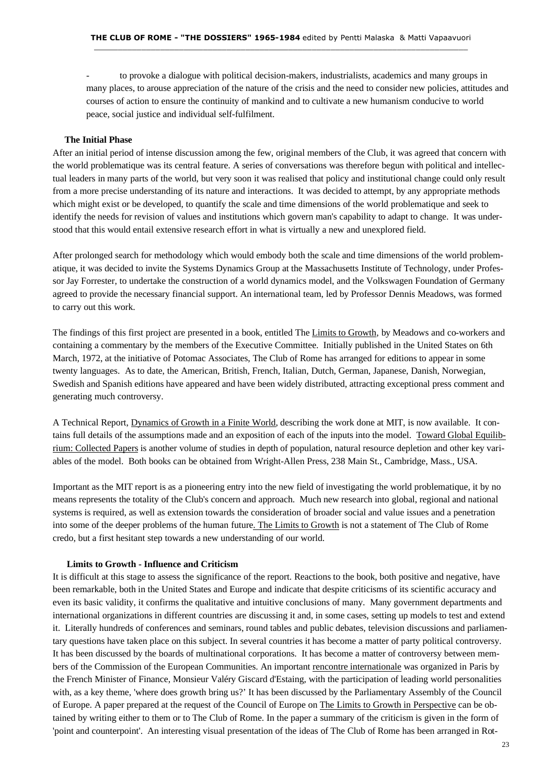- to provoke a dialogue with political decision-makers, industrialists, academics and many groups in many places, to arouse appreciation of the nature of the crisis and the need to consider new policies, attitudes and courses of action to ensure the continuity of mankind and to cultivate a new humanism conducive to world peace, social justice and individual self-fulfilment.

#### **The Initial Phase**

After an initial period of intense discussion among the few, original members of the Club, it was agreed that concern with the world problematique was its central feature. A series of conversations was therefore begun with political and intellectual leaders in many parts of the world, but very soon it was realised that policy and institutional change could only result from a more precise understanding of its nature and interactions. It was decided to attempt, by any appropriate methods which might exist or be developed, to quantify the scale and time dimensions of the world problematique and seek to identify the needs for revision of values and institutions which govern man's capability to adapt to change. It was understood that this would entail extensive research effort in what is virtually a new and unexplored field.

After prolonged search for methodology which would embody both the scale and time dimensions of the world problematique, it was decided to invite the Systems Dynamics Group at the Massachusetts Institute of Technology, under Professor Jay Forrester, to undertake the construction of a world dynamics model, and the Volkswagen Foundation of Germany agreed to provide the necessary financial support. An international team, led by Professor Dennis Meadows, was formed to carry out this work.

The findings of this first project are presented in a book, entitled The Limits to Growth, by Meadows and co-workers and containing a commentary by the members of the Executive Committee. Initially published in the United States on 6th March, 1972, at the initiative of Potomac Associates, The Club of Rome has arranged for editions to appear in some twenty languages. As to date, the American, British, French, Italian, Dutch, German, Japanese, Danish, Norwegian, Swedish and Spanish editions have appeared and have been widely distributed, attracting exceptional press comment and generating much controversy.

A Technical Report, Dynamics of Growth in a Finite World, describing the work done at MIT, is now available. It contains full details of the assumptions made and an exposition of each of the inputs into the model. Toward Global Equilibrium: Collected Papers is another volume of studies in depth of population, natural resource depletion and other key variables of the model. Both books can be obtained from Wright-Allen Press, 238 Main St., Cambridge, Mass., USA.

Important as the MIT report is as a pioneering entry into the new field of investigating the world problematique, it by no means represents the totality of the Club's concern and approach. Much new research into global, regional and national systems is required, as well as extension towards the consideration of broader social and value issues and a penetration into some of the deeper problems of the human future. The Limits to Growth is not a statement of The Club of Rome credo, but a first hesitant step towards a new understanding of our world.

#### **Limits to Growth - Influence and Criticism**

It is difficult at this stage to assess the significance of the report. Reactions to the book, both positive and negative, have been remarkable, both in the United States and Europe and indicate that despite criticisms of its scientific accuracy and even its basic validity, it confirms the qualitative and intuitive conclusions of many. Many government departments and international organizations in different countries are discussing it and, in some cases, setting up models to test and extend it. Literally hundreds of conferences and seminars, round tables and public debates, television discussions and parliamentary questions have taken place on this subject. In several countries it has become a matter of party political controversy. It has been discussed by the boards of multinational corporations. It has become a matter of controversy between members of the Commission of the European Communities. An important rencontre internationale was organized in Paris by the French Minister of Finance, Monsieur Valéry Giscard d'Estaing, with the participation of leading world personalities with, as a key theme, 'where does growth bring us?' It has been discussed by the Parliamentary Assembly of the Council of Europe. A paper prepared at the request of the Council of Europe on The Limits to Growth in Perspective can be obtained by writing either to them or to The Club of Rome. In the paper a summary of the criticism is given in the form of 'point and counterpoint'. An interesting visual presentation of the ideas of The Club of Rome has been arranged in Rot-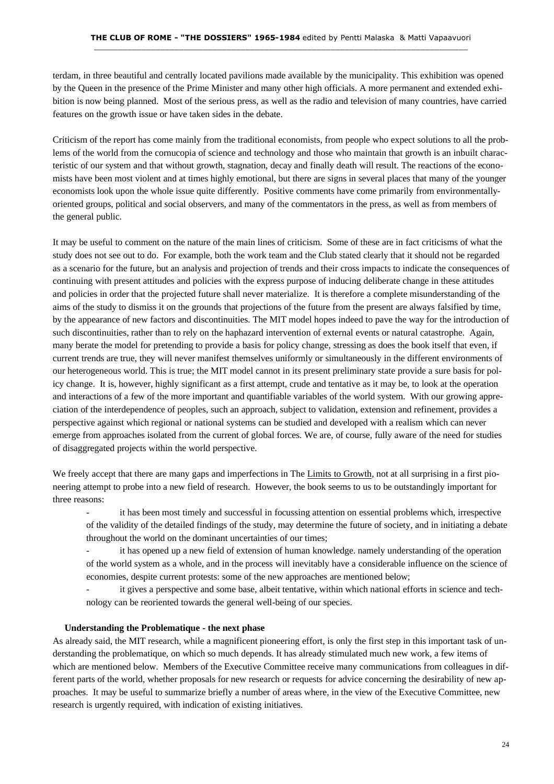terdam, in three beautiful and centrally located pavilions made available by the municipality. This exhibition was opened by the Queen in the presence of the Prime Minister and many other high officials. A more permanent and extended exhibition is now being planned. Most of the serious press, as well as the radio and television of many countries, have carried features on the growth issue or have taken sides in the debate.

Criticism of the report has come mainly from the traditional economists, from people who expect solutions to all the problems of the world from the cornucopia of science and technology and those who maintain that growth is an inbuilt characteristic of our system and that without growth, stagnation, decay and finally death will result. The reactions of the economists have been most violent and at times highly emotional, but there are signs in several places that many of the younger economists look upon the whole issue quite differently. Positive comments have come primarily from environmentallyoriented groups, political and social observers, and many of the commentators in the press, as well as from members of the general public.

It may be useful to comment on the nature of the main lines of criticism. Some of these are in fact criticisms of what the study does not see out to do. For example, both the work team and the Club stated clearly that it should not be regarded as a scenario for the future, but an analysis and projection of trends and their cross impacts to indicate the consequences of continuing with present attitudes and policies with the express purpose of inducing deliberate change in these attitudes and policies in order that the projected future shall never materialize. It is therefore a complete misunderstanding of the aims of the study to dismiss it on the grounds that projections of the future from the present are always falsified by time, by the appearance of new factors and discontinuities. The MIT model hopes indeed to pave the way for the introduction of such discontinuities, rather than to rely on the haphazard intervention of external events or natural catastrophe. Again, many berate the model for pretending to provide a basis for policy change, stressing as does the book itself that even, if current trends are true, they will never manifest themselves uniformly or simultaneously in the different environments of our heterogeneous world. This is true; the MIT model cannot in its present preliminary state provide a sure basis for policy change. It is, however, highly significant as a first attempt, crude and tentative as it may be, to look at the operation and interactions of a few of the more important and quantifiable variables of the world system. With our growing appreciation of the interdependence of peoples, such an approach, subject to validation, extension and refinement, provides a perspective against which regional or national systems can be studied and developed with a realism which can never emerge from approaches isolated from the current of global forces. We are, of course, fully aware of the need for studies of disaggregated projects within the world perspective.

We freely accept that there are many gaps and imperfections in The Limits to Growth, not at all surprising in a first pioneering attempt to probe into a new field of research. However, the book seems to us to be outstandingly important for three reasons:

it has been most timely and successful in focussing attention on essential problems which, irrespective of the validity of the detailed findings of the study, may determine the future of society, and in initiating a debate throughout the world on the dominant uncertainties of our times;

it has opened up a new field of extension of human knowledge. namely understanding of the operation of the world system as a whole, and in the process will inevitably have a considerable influence on the science of economies, despite current protests: some of the new approaches are mentioned below;

it gives a perspective and some base, albeit tentative, within which national efforts in science and technology can be reoriented towards the general well-being of our species.

# **Understanding the Problematique - the next phase**

As already said, the MIT research, while a magnificent pioneering effort, is only the first step in this important task of understanding the problematique, on which so much depends. It has already stimulated much new work, a few items of which are mentioned below. Members of the Executive Committee receive many communications from colleagues in different parts of the world, whether proposals for new research or requests for advice concerning the desirability of new approaches. It may be useful to summarize briefly a number of areas where, in the view of the Executive Committee, new research is urgently required, with indication of existing initiatives.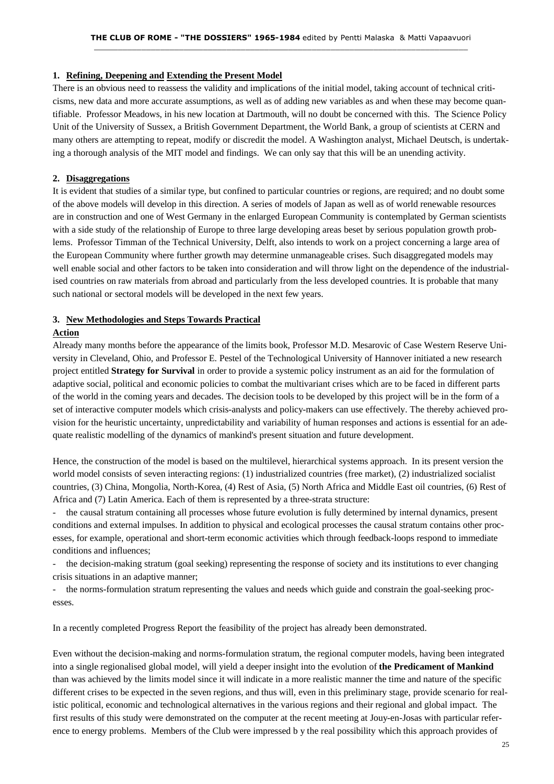#### **1. Refining, Deepening and Extending the Present Model**

There is an obvious need to reassess the validity and implications of the initial model, taking account of technical criticisms, new data and more accurate assumptions, as well as of adding new variables as and when these may become quantifiable. Professor Meadows, in his new location at Dartmouth, will no doubt be concerned with this. The Science Policy Unit of the University of Sussex, a British Government Department, the World Bank, a group of scientists at CERN and many others are attempting to repeat, modify or discredit the model. A Washington analyst, Michael Deutsch, is undertaking a thorough analysis of the MIT model and findings. We can only say that this will be an unending activity.

# **2. Disaggregations**

It is evident that studies of a similar type, but confined to particular countries or regions, are required; and no doubt some of the above models will develop in this direction. A series of models of Japan as well as of world renewable resources are in construction and one of West Germany in the enlarged European Community is contemplated by German scientists with a side study of the relationship of Europe to three large developing areas beset by serious population growth problems. Professor Timman of the Technical University, Delft, also intends to work on a project concerning a large area of the European Community where further growth may determine unmanageable crises. Such disaggregated models may well enable social and other factors to be taken into consideration and will throw light on the dependence of the industrialised countries on raw materials from abroad and particularly from the less developed countries. It is probable that many such national or sectoral models will be developed in the next few years.

#### **3. New Methodologies and Steps Towards Practical**

# **Action**

Already many months before the appearance of the limits book, Professor M.D. Mesarovic of Case Western Reserve University in Cleveland, Ohio, and Professor E. Pestel of the Technological University of Hannover initiated a new research project entitled **Strategy for Survival** in order to provide a systemic policy instrument as an aid for the formulation of adaptive social, political and economic policies to combat the multivariant crises which are to be faced in different parts of the world in the coming years and decades. The decision tools to be developed by this project will be in the form of a set of interactive computer models which crisis-analysts and policy-makers can use effectively. The thereby achieved provision for the heuristic uncertainty, unpredictability and variability of human responses and actions is essential for an adequate realistic modelling of the dynamics of mankind's present situation and future development.

Hence, the construction of the model is based on the multilevel, hierarchical systems approach. In its present version the world model consists of seven interacting regions: (1) industrialized countries (free market), (2) industrialized socialist countries, (3) China, Mongolia, North-Korea, (4) Rest of Asia, (5) North Africa and Middle East oil countries, (6) Rest of Africa and (7) Latin America. Each of them is represented by a three-strata structure:

- the causal stratum containing all processes whose future evolution is fully determined by internal dynamics, present conditions and external impulses. In addition to physical and ecological processes the causal stratum contains other processes, for example, operational and short-term economic activities which through feedback-loops respond to immediate conditions and influences;

- the decision-making stratum (goal seeking) representing the response of society and its institutions to ever changing crisis situations in an adaptive manner;

the norms-formulation stratum representing the values and needs which guide and constrain the goal-seeking processes.

In a recently completed Progress Report the feasibility of the project has already been demonstrated.

Even without the decision-making and norms-formulation stratum, the regional computer models, having been integrated into a single regionalised global model, will yield a deeper insight into the evolution of **the Predicament of Mankind** than was achieved by the limits model since it will indicate in a more realistic manner the time and nature of the specific different crises to be expected in the seven regions, and thus will, even in this preliminary stage, provide scenario for realistic political, economic and technological alternatives in the various regions and their regional and global impact. The first results of this study were demonstrated on the computer at the recent meeting at Jouy-en-Josas with particular reference to energy problems. Members of the Club were impressed b y the real possibility which this approach provides of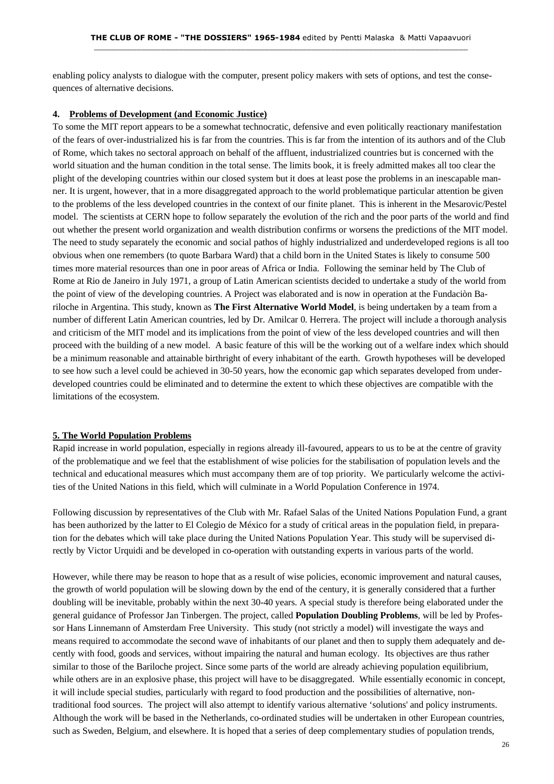enabling policy analysts to dialogue with the computer, present policy makers with sets of options, and test the consequences of alternative decisions.

#### **4. Problems of Development (and Economic Justice)**

To some the MIT report appears to be a somewhat technocratic, defensive and even politically reactionary manifestation of the fears of over-industrialized his is far from the countries. This is far from the intention of its authors and of the Club of Rome, which takes no sectoral approach on behalf of the affluent, industrialized countries but is concerned with the world situation and the human condition in the total sense. The limits book, it is freely admitted makes all too clear the plight of the developing countries within our closed system but it does at least pose the problems in an inescapable manner. It is urgent, however, that in a more disaggregated approach to the world problematique particular attention be given to the problems of the less developed countries in the context of our finite planet. This is inherent in the Mesarovic/Pestel model. The scientists at CERN hope to follow separately the evolution of the rich and the poor parts of the world and find out whether the present world organization and wealth distribution confirms or worsens the predictions of the MIT model. The need to study separately the economic and social pathos of highly industrialized and underdeveloped regions is all too obvious when one remembers (to quote Barbara Ward) that a child born in the United States is likely to consume 500 times more material resources than one in poor areas of Africa or India. Following the seminar held by The Club of Rome at Rio de Janeiro in July 1971, a group of Latin American scientists decided to undertake a study of the world from the point of view of the developing countries. A Project was elaborated and is now in operation at the Fundaciòn Bariloche in Argentina. This study, known as **The First Alternative World Model**, is being undertaken by a team from a number of different Latin American countries, led by Dr. Amilcar 0. Herrera. The project will include a thorough analysis and criticism of the MIT model and its implications from the point of view of the less developed countries and will then proceed with the building of a new model. A basic feature of this will be the working out of a welfare index which should be a minimum reasonable and attainable birthright of every inhabitant of the earth. Growth hypotheses will be developed to see how such a level could be achieved in 30-50 years, how the economic gap which separates developed from underdeveloped countries could be eliminated and to determine the extent to which these objectives are compatible with the limitations of the ecosystem.

#### **5. The World Population Problems**

Rapid increase in world population, especially in regions already ill-favoured, appears to us to be at the centre of gravity of the problematique and we feel that the establishment of wise policies for the stabilisation of population levels and the technical and educational measures which must accompany them are of top priority. We particularly welcome the activities of the United Nations in this field, which will culminate in a World Population Conference in 1974.

Following discussion by representatives of the Club with Mr. Rafael Salas of the United Nations Population Fund, a grant has been authorized by the latter to El Colegio de México for a study of critical areas in the population field, in preparation for the debates which will take place during the United Nations Population Year. This study will be supervised directly by Victor Urquidi and be developed in co-operation with outstanding experts in various parts of the world.

However, while there may be reason to hope that as a result of wise policies, economic improvement and natural causes, the growth of world population will be slowing down by the end of the century, it is generally considered that a further doubling will be inevitable, probably within the next 30-40 years. A special study is therefore being elaborated under the general guidance of Professor Jan Tinbergen. The project, called **Population Doubling Problems**, will be led by Professor Hans Linnemann of Amsterdam Free University. This study (not strictly a model) will investigate the ways and means required to accommodate the second wave of inhabitants of our planet and then to supply them adequately and decently with food, goods and services, without impairing the natural and human ecology. Its objectives are thus rather similar to those of the Bariloche project. Since some parts of the world are already achieving population equilibrium, while others are in an explosive phase, this project will have to be disaggregated. While essentially economic in concept, it will include special studies, particularly with regard to food production and the possibilities of alternative, nontraditional food sources. The project will also attempt to identify various alternative 'solutions' and policy instruments. Although the work will be based in the Netherlands, co-ordinated studies will be undertaken in other European countries, such as Sweden, Belgium, and elsewhere. It is hoped that a series of deep complementary studies of population trends,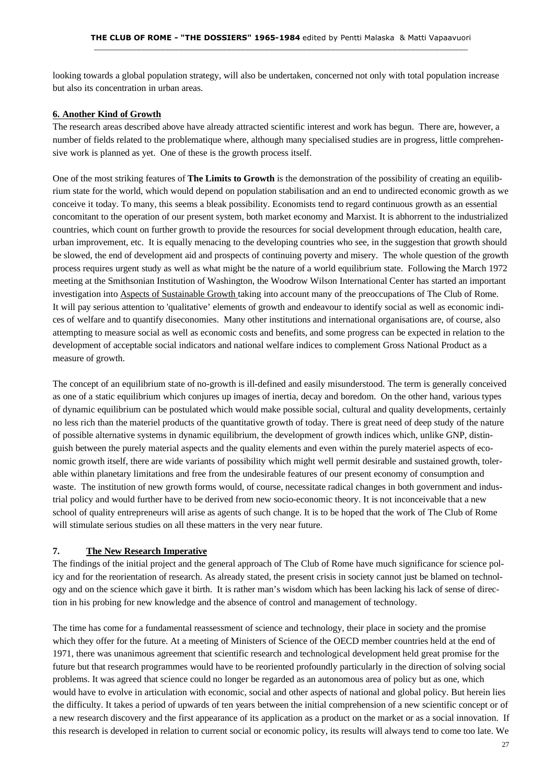looking towards a global population strategy, will also be undertaken, concerned not only with total population increase but also its concentration in urban areas.

# **6. Another Kind of Growth**

The research areas described above have already attracted scientific interest and work has begun. There are, however, a number of fields related to the problematique where, although many specialised studies are in progress, little comprehensive work is planned as yet. One of these is the growth process itself.

One of the most striking features of **The Limits to Growth** is the demonstration of the possibility of creating an equilibrium state for the world, which would depend on population stabilisation and an end to undirected economic growth as we conceive it today. To many, this seems a bleak possibility. Economists tend to regard continuous growth as an essential concomitant to the operation of our present system, both market economy and Marxist. It is abhorrent to the industrialized countries, which count on further growth to provide the resources for social development through education, health care, urban improvement, etc. It is equally menacing to the developing countries who see, in the suggestion that growth should be slowed, the end of development aid and prospects of continuing poverty and misery. The whole question of the growth process requires urgent study as well as what might be the nature of a world equilibrium state. Following the March 1972 meeting at the Smithsonian Institution of Washington, the Woodrow Wilson International Center has started an important investigation into Aspects of Sustainable Growth taking into account many of the preoccupations of The Club of Rome. It will pay serious attention to 'qualitative' elements of growth and endeavour to identify social as well as economic indices of welfare and to quantify diseconomies. Many other institutions and international organisations are, of course, also attempting to measure social as well as economic costs and benefits, and some progress can be expected in relation to the development of acceptable social indicators and national welfare indices to complement Gross National Product as a measure of growth.

The concept of an equilibrium state of no-growth is ill-defined and easily misunderstood. The term is generally conceived as one of a static equilibrium which conjures up images of inertia, decay and boredom. On the other hand, various types of dynamic equilibrium can be postulated which would make possible social, cultural and quality developments, certainly no less rich than the materiel products of the quantitative growth of today. There is great need of deep study of the nature of possible alternative systems in dynamic equilibrium, the development of growth indices which, unlike GNP, distinguish between the purely material aspects and the quality elements and even within the purely materiel aspects of economic growth itself, there are wide variants of possibility which might well permit desirable and sustained growth, tolerable within planetary limitations and free from the undesirable features of our present economy of consumption and waste. The institution of new growth forms would, of course, necessitate radical changes in both government and industrial policy and would further have to be derived from new socio-economic theory. It is not inconceivable that a new school of quality entrepreneurs will arise as agents of such change. It is to be hoped that the work of The Club of Rome will stimulate serious studies on all these matters in the very near future.

## **7. The New Research Imperative**

The findings of the initial project and the general approach of The Club of Rome have much significance for science policy and for the reorientation of research. As already stated, the present crisis in society cannot just be blamed on technology and on the science which gave it birth. It is rather man's wisdom which has been lacking his lack of sense of direction in his probing for new knowledge and the absence of control and management of technology.

The time has come for a fundamental reassessment of science and technology, their place in society and the promise which they offer for the future. At a meeting of Ministers of Science of the OECD member countries held at the end of 1971, there was unanimous agreement that scientific research and technological development held great promise for the future but that research programmes would have to be reoriented profoundly particularly in the direction of solving social problems. It was agreed that science could no longer be regarded as an autonomous area of policy but as one, which would have to evolve in articulation with economic, social and other aspects of national and global policy. But herein lies the difficulty. It takes a period of upwards of ten years between the initial comprehension of a new scientific concept or of a new research discovery and the first appearance of its application as a product on the market or as a social innovation. If this research is developed in relation to current social or economic policy, its results will always tend to come too late. We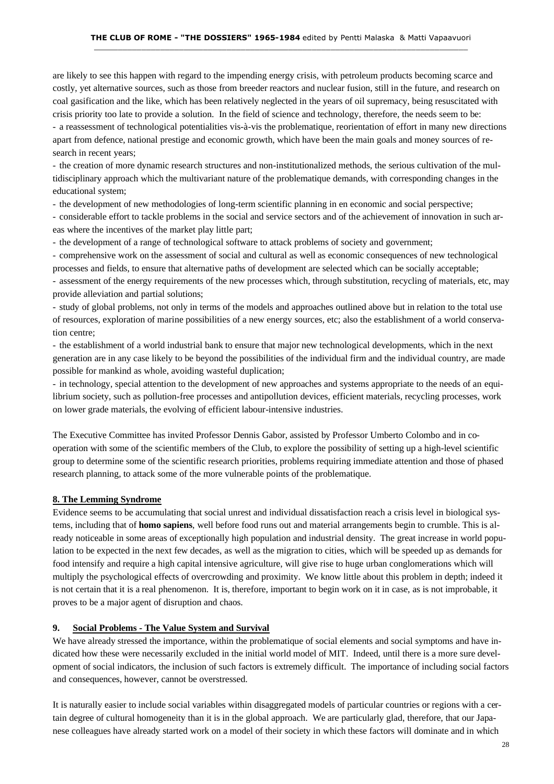are likely to see this happen with regard to the impending energy crisis, with petroleum products becoming scarce and costly, yet alternative sources, such as those from breeder reactors and nuclear fusion, still in the future, and research on coal gasification and the like, which has been relatively neglected in the years of oil supremacy, being resuscitated with crisis priority too late to provide a solution. In the field of science and technology, therefore, the needs seem to be: - a reassessment of technological potentialities vis-à-vis the problematique, reorientation of effort in many new directions apart from defence, national prestige and economic growth, which have been the main goals and money sources of research in recent years;

- the creation of more dynamic research structures and non-institutionalized methods, the serious cultivation of the multidisciplinary approach which the multivariant nature of the problematique demands, with corresponding changes in the educational system;

- the development of new methodologies of long-term scientific planning in en economic and social perspective;

- considerable effort to tackle problems in the social and service sectors and of the achievement of innovation in such areas where the incentives of the market play little part;

- the development of a range of technological software to attack problems of society and government;

- comprehensive work on the assessment of social and cultural as well as economic consequences of new technological processes and fields, to ensure that alternative paths of development are selected which can be socially acceptable;

- assessment of the energy requirements of the new processes which, through substitution, recycling of materials, etc, may provide alleviation and partial solutions;

- study of global problems, not only in terms of the models and approaches outlined above but in relation to the total use of resources, exploration of marine possibilities of a new energy sources, etc; also the establishment of a world conservation centre;

- the establishment of a world industrial bank to ensure that major new technological developments, which in the next generation are in any case likely to be beyond the possibilities of the individual firm and the individual country, are made possible for mankind as whole, avoiding wasteful duplication;

- in technology, special attention to the development of new approaches and systems appropriate to the needs of an equilibrium society, such as pollution-free processes and antipollution devices, efficient materials, recycling processes, work on lower grade materials, the evolving of efficient labour-intensive industries.

The Executive Committee has invited Professor Dennis Gabor, assisted by Professor Umberto Colombo and in cooperation with some of the scientific members of the Club, to explore the possibility of setting up a high-level scientific group to determine some of the scientific research priorities, problems requiring immediate attention and those of phased research planning, to attack some of the more vulnerable points of the problematique.

## **8. The Lemming Syndrome**

Evidence seems to be accumulating that social unrest and individual dissatisfaction reach a crisis level in biological systems, including that of **homo sapiens**, well before food runs out and material arrangements begin to crumble. This is already noticeable in some areas of exceptionally high population and industrial density. The great increase in world population to be expected in the next few decades, as well as the migration to cities, which will be speeded up as demands for food intensify and require a high capital intensive agriculture, will give rise to huge urban conglomerations which will multiply the psychological effects of overcrowding and proximity. We know little about this problem in depth; indeed it is not certain that it is a real phenomenon. It is, therefore, important to begin work on it in case, as is not improbable, it proves to be a major agent of disruption and chaos.

# **9. Social Problems - The Value System and Survival**

We have already stressed the importance, within the problematique of social elements and social symptoms and have indicated how these were necessarily excluded in the initial world model of MIT. Indeed, until there is a more sure development of social indicators, the inclusion of such factors is extremely difficult. The importance of including social factors and consequences, however, cannot be overstressed.

It is naturally easier to include social variables within disaggregated models of particular countries or regions with a certain degree of cultural homogeneity than it is in the global approach. We are particularly glad, therefore, that our Japanese colleagues have already started work on a model of their society in which these factors will dominate and in which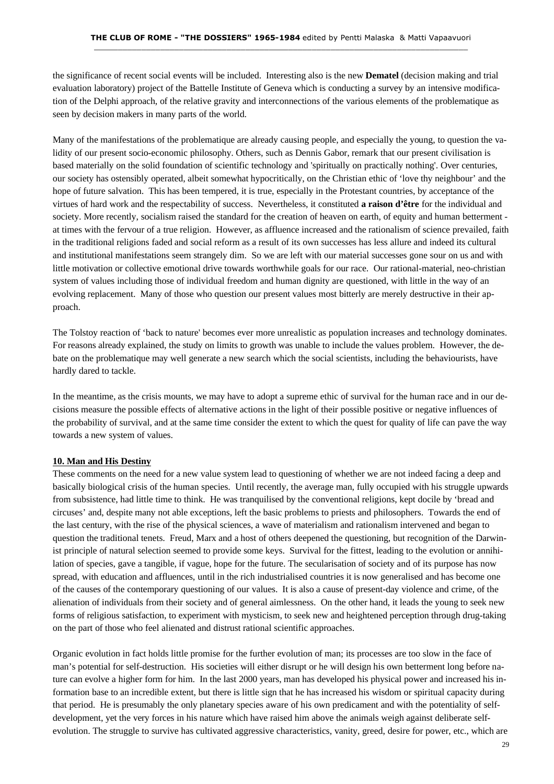the significance of recent social events will be included. Interesting also is the new **Dematel** (decision making and trial evaluation laboratory) project of the Battelle Institute of Geneva which is conducting a survey by an intensive modification of the Delphi approach, of the relative gravity and interconnections of the various elements of the problematique as seen by decision makers in many parts of the world.

Many of the manifestations of the problematique are already causing people, and especially the young, to question the validity of our present socio-economic philosophy. Others, such as Dennis Gabor, remark that our present civilisation is based materially on the solid foundation of scientific technology and 'spiritually on practically nothing'. Over centuries, our society has ostensibly operated, albeit somewhat hypocritically, on the Christian ethic of 'love thy neighbour' and the hope of future salvation. This has been tempered, it is true, especially in the Protestant countries, by acceptance of the virtues of hard work and the respectability of success. Nevertheless, it constituted **a raison d'être** for the individual and society. More recently, socialism raised the standard for the creation of heaven on earth, of equity and human betterment at times with the fervour of a true religion. However, as affluence increased and the rationalism of science prevailed, faith in the traditional religions faded and social reform as a result of its own successes has less allure and indeed its cultural and institutional manifestations seem strangely dim. So we are left with our material successes gone sour on us and with little motivation or collective emotional drive towards worthwhile goals for our race. Our rational-material, neo-christian system of values including those of individual freedom and human dignity are questioned, with little in the way of an evolving replacement. Many of those who question our present values most bitterly are merely destructive in their approach.

The Tolstoy reaction of 'back to nature' becomes ever more unrealistic as population increases and technology dominates. For reasons already explained, the study on limits to growth was unable to include the values problem. However, the debate on the problematique may well generate a new search which the social scientists, including the behaviourists, have hardly dared to tackle.

In the meantime, as the crisis mounts, we may have to adopt a supreme ethic of survival for the human race and in our decisions measure the possible effects of alternative actions in the light of their possible positive or negative influences of the probability of survival, and at the same time consider the extent to which the quest for quality of life can pave the way towards a new system of values.

## **10. Man and His Destiny**

These comments on the need for a new value system lead to questioning of whether we are not indeed facing a deep and basically biological crisis of the human species. Until recently, the average man, fully occupied with his struggle upwards from subsistence, had little time to think. He was tranquilised by the conventional religions, kept docile by 'bread and circuses' and, despite many not able exceptions, left the basic problems to priests and philosophers. Towards the end of the last century, with the rise of the physical sciences, a wave of materialism and rationalism intervened and began to question the traditional tenets. Freud, Marx and a host of others deepened the questioning, but recognition of the Darwinist principle of natural selection seemed to provide some keys. Survival for the fittest, leading to the evolution or annihilation of species, gave a tangible, if vague, hope for the future. The secularisation of society and of its purpose has now spread, with education and affluences, until in the rich industrialised countries it is now generalised and has become one of the causes of the contemporary questioning of our values. It is also a cause of present-day violence and crime, of the alienation of individuals from their society and of general aimlessness. On the other hand, it leads the young to seek new forms of religious satisfaction, to experiment with mysticism, to seek new and heightened perception through drug-taking on the part of those who feel alienated and distrust rational scientific approaches.

Organic evolution in fact holds little promise for the further evolution of man; its processes are too slow in the face of man's potential for self-destruction. His societies will either disrupt or he will design his own betterment long before nature can evolve a higher form for him. In the last 2000 years, man has developed his physical power and increased his information base to an incredible extent, but there is little sign that he has increased his wisdom or spiritual capacity during that period. He is presumably the only planetary species aware of his own predicament and with the potentiality of selfdevelopment, yet the very forces in his nature which have raised him above the animals weigh against deliberate selfevolution. The struggle to survive has cultivated aggressive characteristics, vanity, greed, desire for power, etc., which are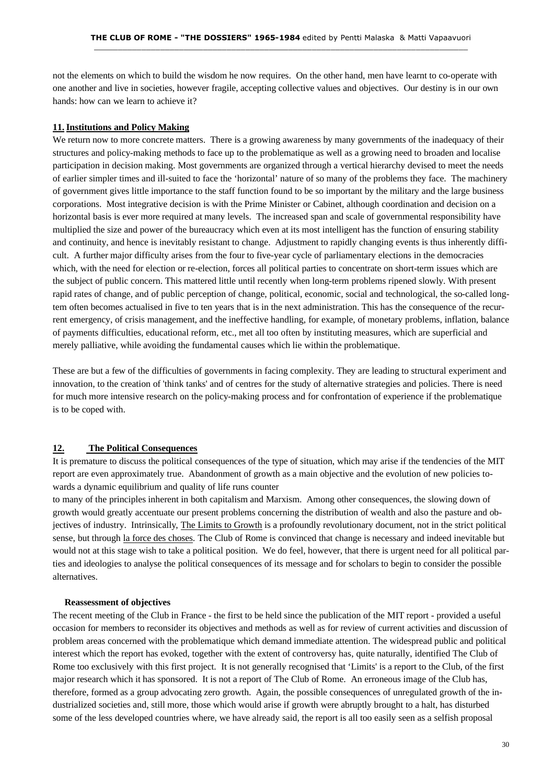not the elements on which to build the wisdom he now requires. On the other hand, men have learnt to co-operate with one another and live in societies, however fragile, accepting collective values and objectives. Our destiny is in our own hands: how can we learn to achieve it?

# **11.Institutions and Policy Making**

We return now to more concrete matters. There is a growing awareness by many governments of the inadequacy of their structures and policy-making methods to face up to the problematique as well as a growing need to broaden and localise participation in decision making. Most governments are organized through a vertical hierarchy devised to meet the needs of earlier simpler times and ill-suited to face the 'horizontal' nature of so many of the problems they face. The machinery of government gives little importance to the staff function found to be so important by the military and the large business corporations. Most integrative decision is with the Prime Minister or Cabinet, although coordination and decision on a horizontal basis is ever more required at many levels. The increased span and scale of governmental responsibility have multiplied the size and power of the bureaucracy which even at its most intelligent has the function of ensuring stability and continuity, and hence is inevitably resistant to change. Adjustment to rapidly changing events is thus inherently difficult. A further major difficulty arises from the four to five-year cycle of parliamentary elections in the democracies which, with the need for election or re-election, forces all political parties to concentrate on short-term issues which are the subject of public concern. This mattered little until recently when long-term problems ripened slowly. With present rapid rates of change, and of public perception of change, political, economic, social and technological, the so-called longtem often becomes actualised in five to ten years that is in the next administration. This has the consequence of the recurrent emergency, of crisis management, and the ineffective handling, for example, of monetary problems, inflation, balance of payments difficulties, educational reform, etc., met all too often by instituting measures, which are superficial and merely palliative, while avoiding the fundamental causes which lie within the problematique.

These are but a few of the difficulties of governments in facing complexity. They are leading to structural experiment and innovation, to the creation of 'think tanks' and of centres for the study of alternative strategies and policies. There is need for much more intensive research on the policy-making process and for confrontation of experience if the problematique is to be coped with.

#### **12. The Political Consequences**

It is premature to discuss the political consequences of the type of situation, which may arise if the tendencies of the MIT report are even approximately true. Abandonment of growth as a main objective and the evolution of new policies towards a dynamic equilibrium and quality of life runs counter

to many of the principles inherent in both capitalism and Marxism. Among other consequences, the slowing down of growth would greatly accentuate our present problems concerning the distribution of wealth and also the pasture and objectives of industry. Intrinsically, The Limits to Growth is a profoundly revolutionary document, not in the strict political sense, but through la force des choses. The Club of Rome is convinced that change is necessary and indeed inevitable but would not at this stage wish to take a political position. We do feel, however, that there is urgent need for all political parties and ideologies to analyse the political consequences of its message and for scholars to begin to consider the possible alternatives.

#### **Reassessment of objectives**

The recent meeting of the Club in France - the first to be held since the publication of the MIT report - provided a useful occasion for members to reconsider its objectives and methods as well as for review of current activities and discussion of problem areas concerned with the problematique which demand immediate attention. The widespread public and political interest which the report has evoked, together with the extent of controversy has, quite naturally, identified The Club of Rome too exclusively with this first project. It is not generally recognised that 'Limits' is a report to the Club, of the first major research which it has sponsored. It is not a report of The Club of Rome. An erroneous image of the Club has, therefore, formed as a group advocating zero growth. Again, the possible consequences of unregulated growth of the industrialized societies and, still more, those which would arise if growth were abruptly brought to a halt, has disturbed some of the less developed countries where, we have already said, the report is all too easily seen as a selfish proposal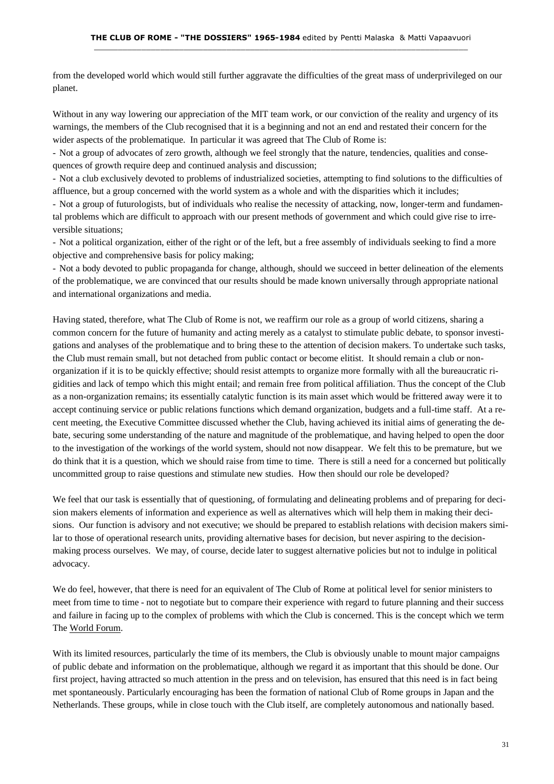from the developed world which would still further aggravate the difficulties of the great mass of underprivileged on our planet.

Without in any way lowering our appreciation of the MIT team work, or our conviction of the reality and urgency of its warnings, the members of the Club recognised that it is a beginning and not an end and restated their concern for the wider aspects of the problematique. In particular it was agreed that The Club of Rome is:

- Not a group of advocates of zero growth, although we feel strongly that the nature, tendencies, qualities and consequences of growth require deep and continued analysis and discussion;

- Not a club exclusively devoted to problems of industrialized societies, attempting to find solutions to the difficulties of affluence, but a group concerned with the world system as a whole and with the disparities which it includes;

- Not a group of futurologists, but of individuals who realise the necessity of attacking, now, longer-term and fundamental problems which are difficult to approach with our present methods of government and which could give rise to irreversible situations;

- Not a political organization, either of the right or of the left, but a free assembly of individuals seeking to find a more objective and comprehensive basis for policy making;

- Not a body devoted to public propaganda for change, although, should we succeed in better delineation of the elements of the problematique, we are convinced that our results should be made known universally through appropriate national and international organizations and media.

Having stated, therefore, what The Club of Rome is not, we reaffirm our role as a group of world citizens, sharing a common concern for the future of humanity and acting merely as a catalyst to stimulate public debate, to sponsor investigations and analyses of the problematique and to bring these to the attention of decision makers. To undertake such tasks, the Club must remain small, but not detached from public contact or become elitist. It should remain a club or nonorganization if it is to be quickly effective; should resist attempts to organize more formally with all the bureaucratic rigidities and lack of tempo which this might entail; and remain free from political affiliation. Thus the concept of the Club as a non-organization remains; its essentially catalytic function is its main asset which would be frittered away were it to accept continuing service or public relations functions which demand organization, budgets and a full-time staff. At a recent meeting, the Executive Committee discussed whether the Club, having achieved its initial aims of generating the debate, securing some understanding of the nature and magnitude of the problematique, and having helped to open the door to the investigation of the workings of the world system, should not now disappear. We felt this to be premature, but we do think that it is a question, which we should raise from time to time. There is still a need for a concerned but politically uncommitted group to raise questions and stimulate new studies. How then should our role be developed?

We feel that our task is essentially that of questioning, of formulating and delineating problems and of preparing for decision makers elements of information and experience as well as alternatives which will help them in making their decisions. Our function is advisory and not executive; we should be prepared to establish relations with decision makers similar to those of operational research units, providing alternative bases for decision, but never aspiring to the decisionmaking process ourselves. We may, of course, decide later to suggest alternative policies but not to indulge in political advocacy.

We do feel, however, that there is need for an equivalent of The Club of Rome at political level for senior ministers to meet from time to time - not to negotiate but to compare their experience with regard to future planning and their success and failure in facing up to the complex of problems with which the Club is concerned. This is the concept which we term The World Forum.

With its limited resources, particularly the time of its members, the Club is obviously unable to mount major campaigns of public debate and information on the problematique, although we regard it as important that this should be done. Our first project, having attracted so much attention in the press and on television, has ensured that this need is in fact being met spontaneously. Particularly encouraging has been the formation of national Club of Rome groups in Japan and the Netherlands. These groups, while in close touch with the Club itself, are completely autonomous and nationally based.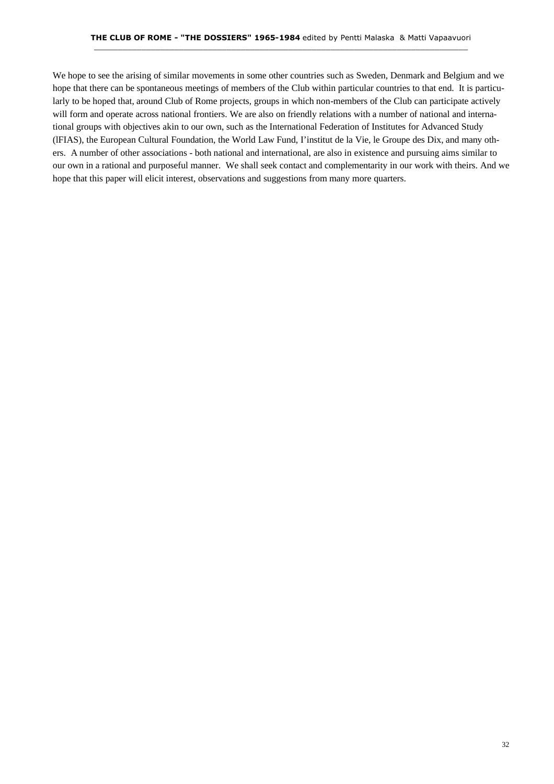We hope to see the arising of similar movements in some other countries such as Sweden, Denmark and Belgium and we hope that there can be spontaneous meetings of members of the Club within particular countries to that end. It is particularly to be hoped that, around Club of Rome projects, groups in which non-members of the Club can participate actively will form and operate across national frontiers. We are also on friendly relations with a number of national and international groups with objectives akin to our own, such as the International Federation of Institutes for Advanced Study (lFIAS), the European Cultural Foundation, the World Law Fund, I'institut de la Vie, le Groupe des Dix, and many others. A number of other associations - both national and international, are also in existence and pursuing aims similar to our own in a rational and purposeful manner. We shall seek contact and complementarity in our work with theirs. And we hope that this paper will elicit interest, observations and suggestions from many more quarters.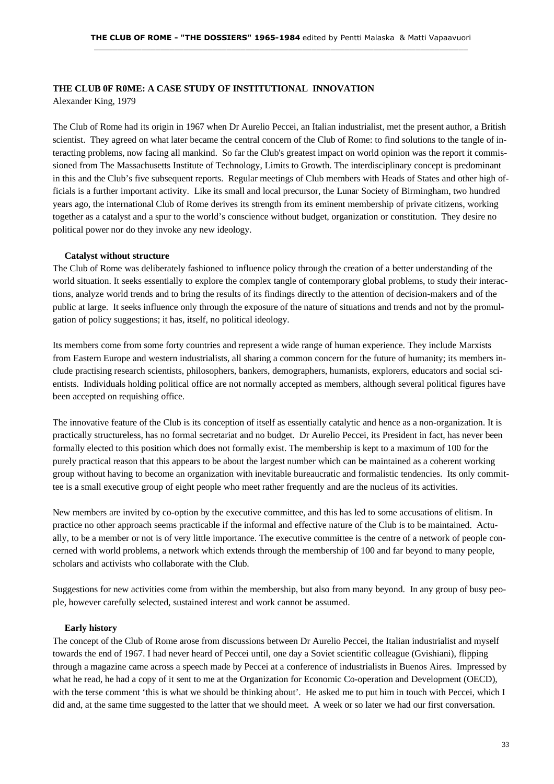# **THE CLUB 0F R0ME: A CASE STUDY OF INSTITUTIONAL INNOVATION**

Alexander King, 1979

The Club of Rome had its origin in 1967 when Dr Aurelio Peccei, an Italian industrialist, met the present author, a British scientist. They agreed on what later became the central concern of the Club of Rome: to find solutions to the tangle of interacting problems, now facing all mankind. So far the Club's greatest impact on world opinion was the report it commissioned from The Massachusetts Institute of Technology, Limits to Growth. The interdisciplinary concept is predominant in this and the Club's five subsequent reports. Regular meetings of Club members with Heads of States and other high officials is a further important activity. Like its small and local precursor, the Lunar Society of Birmingham, two hundred years ago, the international Club of Rome derives its strength from its eminent membership of private citizens, working together as a catalyst and a spur to the world's conscience without budget, organization or constitution. They desire no political power nor do they invoke any new ideology.

#### **Catalyst without structure**

The Club of Rome was deliberately fashioned to influence policy through the creation of a better understanding of the world situation. It seeks essentially to explore the complex tangle of contemporary global problems, to study their interactions, analyze world trends and to bring the results of its findings directly to the attention of decision-makers and of the public at large. It seeks influence only through the exposure of the nature of situations and trends and not by the promulgation of policy suggestions; it has, itself, no political ideology.

Its members come from some forty countries and represent a wide range of human experience. They include Marxists from Eastern Europe and western industrialists, all sharing a common concern for the future of humanity; its members include practising research scientists, philosophers, bankers, demographers, humanists, explorers, educators and social scientists. Individuals holding political office are not normally accepted as members, although several political figures have been accepted on requishing office.

The innovative feature of the Club is its conception of itself as essentially catalytic and hence as a non-organization. It is practically structureless, has no formal secretariat and no budget. Dr Aurelio Peccei, its President in fact, has never been formally elected to this position which does not formally exist. The membership is kept to a maximum of 100 for the purely practical reason that this appears to be about the largest number which can be maintained as a coherent working group without having to become an organization with inevitable bureaucratic and formalistic tendencies. Its only committee is a small executive group of eight people who meet rather frequently and are the nucleus of its activities.

New members are invited by co-option by the executive committee, and this has led to some accusations of elitism. In practice no other approach seems practicable if the informal and effective nature of the Club is to be maintained. Actually, to be a member or not is of very little importance. The executive committee is the centre of a network of people concerned with world problems, a network which extends through the membership of 100 and far beyond to many people, scholars and activists who collaborate with the Club.

Suggestions for new activities come from within the membership, but also from many beyond. In any group of busy people, however carefully selected, sustained interest and work cannot be assumed.

#### **Early history**

The concept of the Club of Rome arose from discussions between Dr Aurelio Peccei, the Italian industrialist and myself towards the end of 1967. I had never heard of Peccei until, one day a Soviet scientific colleague (Gvishiani), flipping through a magazine came across a speech made by Peccei at a conference of industrialists in Buenos Aires. Impressed by what he read, he had a copy of it sent to me at the Organization for Economic Co-operation and Development (OECD), with the terse comment 'this is what we should be thinking about'. He asked me to put him in touch with Peccei, which I did and, at the same time suggested to the latter that we should meet. A week or so later we had our first conversation.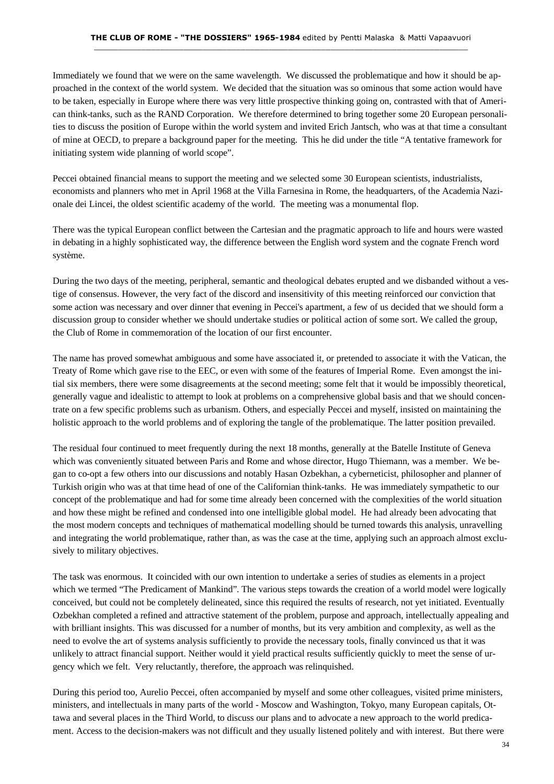Immediately we found that we were on the same wavelength. We discussed the problematique and how it should be approached in the context of the world system. We decided that the situation was so ominous that some action would have to be taken, especially in Europe where there was very little prospective thinking going on, contrasted with that of American think-tanks, such as the RAND Corporation. We therefore determined to bring together some 20 European personalities to discuss the position of Europe within the world system and invited Erich Jantsch, who was at that time a consultant of mine at OECD, to prepare a background paper for the meeting. This he did under the title "A tentative framework for initiating system wide planning of world scope".

Peccei obtained financial means to support the meeting and we selected some 30 European scientists, industrialists, economists and planners who met in April 1968 at the Villa Farnesina in Rome, the headquarters, of the Academia Nazionale dei Lincei, the oldest scientific academy of the world. The meeting was a monumental flop.

There was the typical European conflict between the Cartesian and the pragmatic approach to life and hours were wasted in debating in a highly sophisticated way, the difference between the English word system and the cognate French word système.

During the two days of the meeting, peripheral, semantic and theological debates erupted and we disbanded without a vestige of consensus. However, the very fact of the discord and insensitivity of this meeting reinforced our conviction that some action was necessary and over dinner that evening in Peccei's apartment, a few of us decided that we should form a discussion group to consider whether we should undertake studies or political action of some sort. We called the group, the Club of Rome in commemoration of the location of our first encounter.

The name has proved somewhat ambiguous and some have associated it, or pretended to associate it with the Vatican, the Treaty of Rome which gave rise to the EEC, or even with some of the features of Imperial Rome. Even amongst the initial six members, there were some disagreements at the second meeting; some felt that it would be impossibly theoretical, generally vague and idealistic to attempt to look at problems on a comprehensive global basis and that we should concentrate on a few specific problems such as urbanism. Others, and especially Peccei and myself, insisted on maintaining the holistic approach to the world problems and of exploring the tangle of the problematique. The latter position prevailed.

The residual four continued to meet frequently during the next 18 months, generally at the Batelle Institute of Geneva which was conveniently situated between Paris and Rome and whose director, Hugo Thiemann, was a member. We began to co-opt a few others into our discussions and notably Hasan Ozbekhan, a cyberneticist, philosopher and planner of Turkish origin who was at that time head of one of the Californian think-tanks. He was immediately sympathetic to our concept of the problematique and had for some time already been concerned with the complexities of the world situation and how these might be refined and condensed into one intelligible global model. He had already been advocating that the most modern concepts and techniques of mathematical modelling should be turned towards this analysis, unravelling and integrating the world problematique, rather than, as was the case at the time, applying such an approach almost exclusively to military objectives.

The task was enormous. It coincided with our own intention to undertake a series of studies as elements in a project which we termed "The Predicament of Mankind". The various steps towards the creation of a world model were logically conceived, but could not be completely delineated, since this required the results of research, not yet initiated. Eventually Ozbekhan completed a refined and attractive statement of the problem, purpose and approach, intellectually appealing and with brilliant insights. This was discussed for a number of months, but its very ambition and complexity, as well as the need to evolve the art of systems analysis sufficiently to provide the necessary tools, finally convinced us that it was unlikely to attract financial support. Neither would it yield practical results sufficiently quickly to meet the sense of urgency which we felt. Very reluctantly, therefore, the approach was relinquished.

During this period too, Aurelio Peccei, often accompanied by myself and some other colleagues, visited prime ministers, ministers, and intellectuals in many parts of the world - Moscow and Washington, Tokyo, many European capitals, Ottawa and several places in the Third World, to discuss our plans and to advocate a new approach to the world predicament. Access to the decision-makers was not difficult and they usually listened politely and with interest. But there were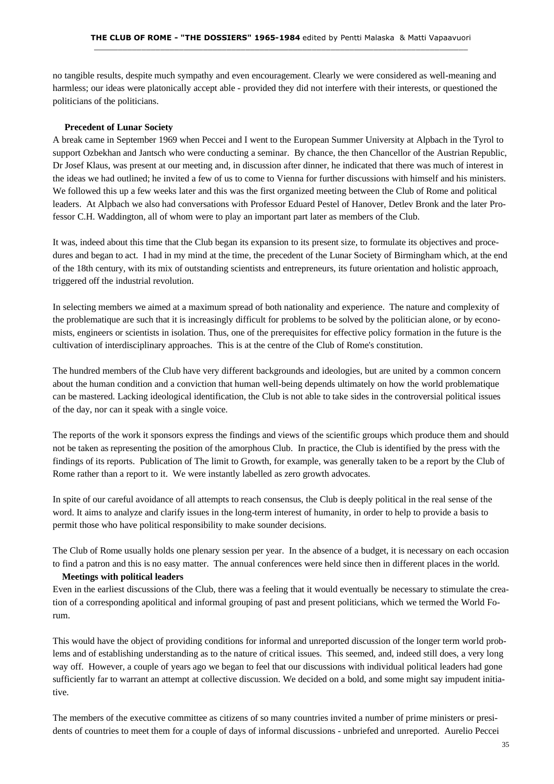no tangible results, despite much sympathy and even encouragement. Clearly we were considered as well-meaning and harmless; our ideas were platonically accept able - provided they did not interfere with their interests, or questioned the politicians of the politicians.

#### **Precedent of Lunar Society**

A break came in September 1969 when Peccei and I went to the European Summer University at Alpbach in the Tyrol to support Ozbekhan and Jantsch who were conducting a seminar. By chance, the then Chancellor of the Austrian Republic, Dr Josef Klaus, was present at our meeting and, in discussion after dinner, he indicated that there was much of interest in the ideas we had outlined; he invited a few of us to come to Vienna for further discussions with himself and his ministers. We followed this up a few weeks later and this was the first organized meeting between the Club of Rome and political leaders. At Alpbach we also had conversations with Professor Eduard Pestel of Hanover, Detlev Bronk and the later Professor C.H. Waddington, all of whom were to play an important part later as members of the Club.

It was, indeed about this time that the Club began its expansion to its present size, to formulate its objectives and procedures and began to act. I had in my mind at the time, the precedent of the Lunar Society of Birmingham which, at the end of the 18th century, with its mix of outstanding scientists and entrepreneurs, its future orientation and holistic approach, triggered off the industrial revolution.

In selecting members we aimed at a maximum spread of both nationality and experience. The nature and complexity of the problematique are such that it is increasingly difficult for problems to be solved by the politician alone, or by economists, engineers or scientists in isolation. Thus, one of the prerequisites for effective policy formation in the future is the cultivation of interdisciplinary approaches. This is at the centre of the Club of Rome's constitution.

The hundred members of the Club have very different backgrounds and ideologies, but are united by a common concern about the human condition and a conviction that human well-being depends ultimately on how the world problematique can be mastered. Lacking ideological identification, the Club is not able to take sides in the controversial political issues of the day, nor can it speak with a single voice.

The reports of the work it sponsors express the findings and views of the scientific groups which produce them and should not be taken as representing the position of the amorphous Club. In practice, the Club is identified by the press with the findings of its reports. Publication of The limit to Growth, for example, was generally taken to be a report by the Club of Rome rather than a report to it. We were instantly labelled as zero growth advocates.

In spite of our careful avoidance of all attempts to reach consensus, the Club is deeply political in the real sense of the word. It aims to analyze and clarify issues in the long-term interest of humanity, in order to help to provide a basis to permit those who have political responsibility to make sounder decisions.

The Club of Rome usually holds one plenary session per year. In the absence of a budget, it is necessary on each occasion to find a patron and this is no easy matter. The annual conferences were held since then in different places in the world.

## **Meetings with political leaders**

Even in the earliest discussions of the Club, there was a feeling that it would eventually be necessary to stimulate the creation of a corresponding apolitical and informal grouping of past and present politicians, which we termed the World Forum.

This would have the object of providing conditions for informal and unreported discussion of the longer term world problems and of establishing understanding as to the nature of critical issues. This seemed, and, indeed still does, a very long way off. However, a couple of years ago we began to feel that our discussions with individual political leaders had gone sufficiently far to warrant an attempt at collective discussion. We decided on a bold, and some might say impudent initiative.

The members of the executive committee as citizens of so many countries invited a number of prime ministers or presidents of countries to meet them for a couple of days of informal discussions - unbriefed and unreported. Aurelio Peccei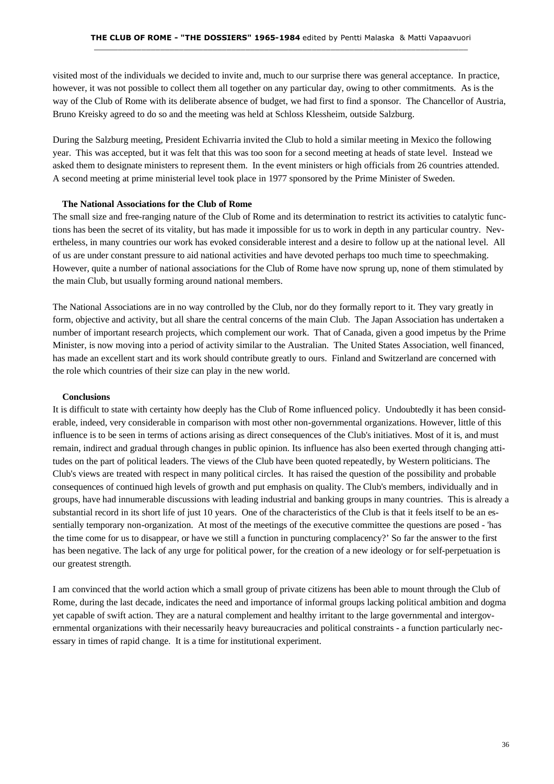visited most of the individuals we decided to invite and, much to our surprise there was general acceptance. In practice, however, it was not possible to collect them all together on any particular day, owing to other commitments. As is the way of the Club of Rome with its deliberate absence of budget, we had first to find a sponsor. The Chancellor of Austria, Bruno Kreisky agreed to do so and the meeting was held at Schloss Klessheim, outside Salzburg.

During the Salzburg meeting, President Echivarria invited the Club to hold a similar meeting in Mexico the following year. This was accepted, but it was felt that this was too soon for a second meeting at heads of state level. Instead we asked them to designate ministers to represent them. In the event ministers or high officials from 26 countries attended. A second meeting at prime ministerial level took place in 1977 sponsored by the Prime Minister of Sweden.

# **The National Associations for the Club of Rome**

The small size and free-ranging nature of the Club of Rome and its determination to restrict its activities to catalytic functions has been the secret of its vitality, but has made it impossible for us to work in depth in any particular country. Nevertheless, in many countries our work has evoked considerable interest and a desire to follow up at the national level. All of us are under constant pressure to aid national activities and have devoted perhaps too much time to speechmaking. However, quite a number of national associations for the Club of Rome have now sprung up, none of them stimulated by the main Club, but usually forming around national members.

The National Associations are in no way controlled by the Club, nor do they formally report to it. They vary greatly in form, objective and activity, but all share the central concerns of the main Club. The Japan Association has undertaken a number of important research projects, which complement our work. That of Canada, given a good impetus by the Prime Minister, is now moving into a period of activity similar to the Australian. The United States Association, well financed, has made an excellent start and its work should contribute greatly to ours. Finland and Switzerland are concerned with the role which countries of their size can play in the new world.

#### **Conclusions**

It is difficult to state with certainty how deeply has the Club of Rome influenced policy. Undoubtedly it has been considerable, indeed, very considerable in comparison with most other non-governmental organizations. However, little of this influence is to be seen in terms of actions arising as direct consequences of the Club's initiatives. Most of it is, and must remain, indirect and gradual through changes in public opinion. Its influence has also been exerted through changing attitudes on the part of political leaders. The views of the Club have been quoted repeatedly, by Western politicians. The Club's views are treated with respect in many political circles. It has raised the question of the possibility and probable consequences of continued high levels of growth and put emphasis on quality. The Club's members, individually and in groups, have had innumerable discussions with leading industrial and banking groups in many countries. This is already a substantial record in its short life of just 10 years. One of the characteristics of the Club is that it feels itself to be an essentially temporary non-organization. At most of the meetings of the executive committee the questions are posed - 'has the time come for us to disappear, or have we still a function in puncturing complacency?' So far the answer to the first has been negative. The lack of any urge for political power, for the creation of a new ideology or for self-perpetuation is our greatest strength.

I am convinced that the world action which a small group of private citizens has been able to mount through the Club of Rome, during the last decade, indicates the need and importance of informal groups lacking political ambition and dogma yet capable of swift action. They are a natural complement and healthy irritant to the large governmental and intergovernmental organizations with their necessarily heavy bureaucracies and political constraints - a function particularly necessary in times of rapid change. It is a time for institutional experiment.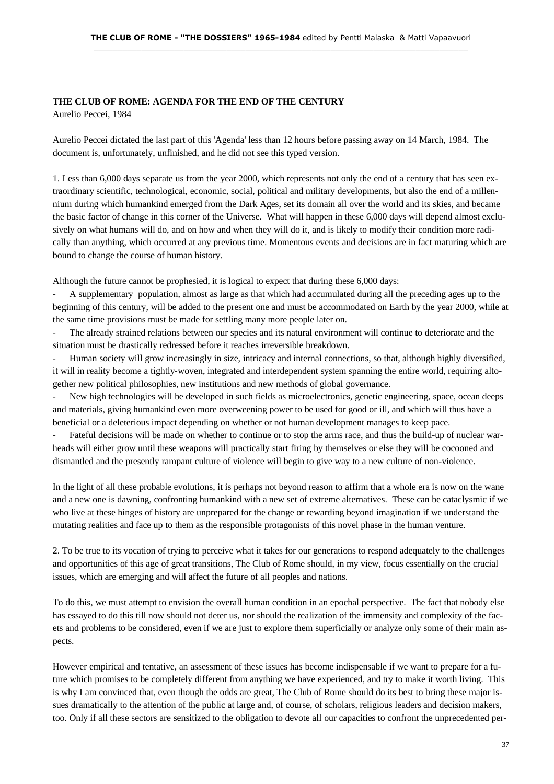# **THE CLUB OF ROME: AGENDA FOR THE END OF THE CENTURY**

Aurelio Peccei, 1984

Aurelio Peccei dictated the last part of this 'Agenda' less than 12 hours before passing away on 14 March, 1984. The document is, unfortunately, unfinished, and he did not see this typed version.

1. Less than 6,000 days separate us from the year 2000, which represents not only the end of a century that has seen extraordinary scientific, technological, economic, social, political and military developments, but also the end of a millennium during which humankind emerged from the Dark Ages, set its domain all over the world and its skies, and became the basic factor of change in this corner of the Universe. What will happen in these 6,000 days will depend almost exclusively on what humans will do, and on how and when they will do it, and is likely to modify their condition more radically than anything, which occurred at any previous time. Momentous events and decisions are in fact maturing which are bound to change the course of human history.

Although the future cannot be prophesied, it is logical to expect that during these 6,000 days:

- A supplementary population, almost as large as that which had accumulated during all the preceding ages up to the beginning of this century, will be added to the present one and must be accommodated on Earth by the year 2000, while at the same time provisions must be made for settling many more people later on.

The already strained relations between our species and its natural environment will continue to deteriorate and the situation must be drastically redressed before it reaches irreversible breakdown.

- Human society will grow increasingly in size, intricacy and internal connections, so that, although highly diversified, it will in reality become a tightly-woven, integrated and interdependent system spanning the entire world, requiring altogether new political philosophies, new institutions and new methods of global governance.

New high technologies will be developed in such fields as microelectronics, genetic engineering, space, ocean deeps and materials, giving humankind even more overweening power to be used for good or ill, and which will thus have a beneficial or a deleterious impact depending on whether or not human development manages to keep pace.

- Fateful decisions will be made on whether to continue or to stop the arms race, and thus the build-up of nuclear warheads will either grow until these weapons will practically start firing by themselves or else they will be cocooned and dismantled and the presently rampant culture of violence will begin to give way to a new culture of non-violence.

In the light of all these probable evolutions, it is perhaps not beyond reason to affirm that a whole era is now on the wane and a new one is dawning, confronting humankind with a new set of extreme alternatives. These can be cataclysmic if we who live at these hinges of history are unprepared for the change or rewarding beyond imagination if we understand the mutating realities and face up to them as the responsible protagonists of this novel phase in the human venture.

2. To be true to its vocation of trying to perceive what it takes for our generations to respond adequately to the challenges and opportunities of this age of great transitions, The Club of Rome should, in my view, focus essentially on the crucial issues, which are emerging and will affect the future of all peoples and nations.

To do this, we must attempt to envision the overall human condition in an epochal perspective. The fact that nobody else has essayed to do this till now should not deter us, nor should the realization of the immensity and complexity of the facets and problems to be considered, even if we are just to explore them superficially or analyze only some of their main aspects.

However empirical and tentative, an assessment of these issues has become indispensable if we want to prepare for a future which promises to be completely different from anything we have experienced, and try to make it worth living. This is why I am convinced that, even though the odds are great, The Club of Rome should do its best to bring these major issues dramatically to the attention of the public at large and, of course, of scholars, religious leaders and decision makers, too. Only if all these sectors are sensitized to the obligation to devote all our capacities to confront the unprecedented per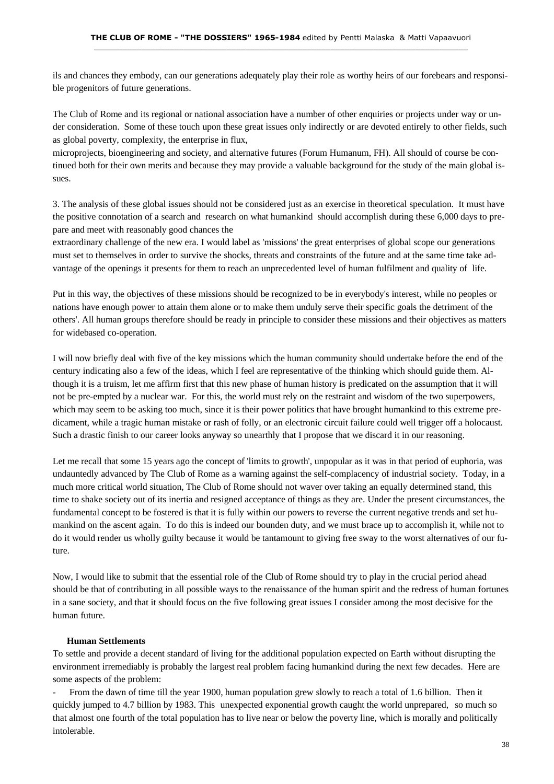ils and chances they embody, can our generations adequately play their role as worthy heirs of our forebears and responsible progenitors of future generations.

The Club of Rome and its regional or national association have a number of other enquiries or projects under way or under consideration. Some of these touch upon these great issues only indirectly or are devoted entirely to other fields, such as global poverty, complexity, the enterprise in flux,

microprojects, bioengineering and society, and alternative futures (Forum Humanum, FH). All should of course be continued both for their own merits and because they may provide a valuable background for the study of the main global issues.

3. The analysis of these global issues should not be considered just as an exercise in theoretical speculation. It must have the positive connotation of a search and research on what humankind should accomplish during these 6,000 days to prepare and meet with reasonably good chances the

extraordinary challenge of the new era. I would label as 'missions' the great enterprises of global scope our generations must set to themselves in order to survive the shocks, threats and constraints of the future and at the same time take advantage of the openings it presents for them to reach an unprecedented level of human fulfilment and quality of life.

Put in this way, the objectives of these missions should be recognized to be in everybody's interest, while no peoples or nations have enough power to attain them alone or to make them unduly serve their specific goals the detriment of the others'. All human groups therefore should be ready in principle to consider these missions and their objectives as matters for widebased co-operation.

I will now briefly deal with five of the key missions which the human community should undertake before the end of the century indicating also a few of the ideas, which I feel are representative of the thinking which should guide them. Although it is a truism, let me affirm first that this new phase of human history is predicated on the assumption that it will not be pre-empted by a nuclear war. For this, the world must rely on the restraint and wisdom of the two superpowers, which may seem to be asking too much, since it is their power politics that have brought humankind to this extreme predicament, while a tragic human mistake or rash of folly, or an electronic circuit failure could well trigger off a holocaust. Such a drastic finish to our career looks anyway so unearthly that I propose that we discard it in our reasoning.

Let me recall that some 15 years ago the concept of 'limits to growth', unpopular as it was in that period of euphoria, was undauntedly advanced by The Club of Rome as a warning against the self-complacency of industrial society. Today, in a much more critical world situation, The Club of Rome should not waver over taking an equally determined stand, this time to shake society out of its inertia and resigned acceptance of things as they are. Under the present circumstances, the fundamental concept to be fostered is that it is fully within our powers to reverse the current negative trends and set humankind on the ascent again. To do this is indeed our bounden duty, and we must brace up to accomplish it, while not to do it would render us wholly guilty because it would be tantamount to giving free sway to the worst alternatives of our future.

Now, I would like to submit that the essential role of the Club of Rome should try to play in the crucial period ahead should be that of contributing in all possible ways to the renaissance of the human spirit and the redress of human fortunes in a sane society, and that it should focus on the five following great issues I consider among the most decisive for the human future.

#### **Human Settlements**

To settle and provide a decent standard of living for the additional population expected on Earth without disrupting the environment irremediably is probably the largest real problem facing humankind during the next few decades. Here are some aspects of the problem:

From the dawn of time till the year 1900, human population grew slowly to reach a total of 1.6 billion. Then it quickly jumped to 4.7 billion by 1983. This unexpected exponential growth caught the world unprepared, so much so that almost one fourth of the total population has to live near or below the poverty line, which is morally and politically intolerable.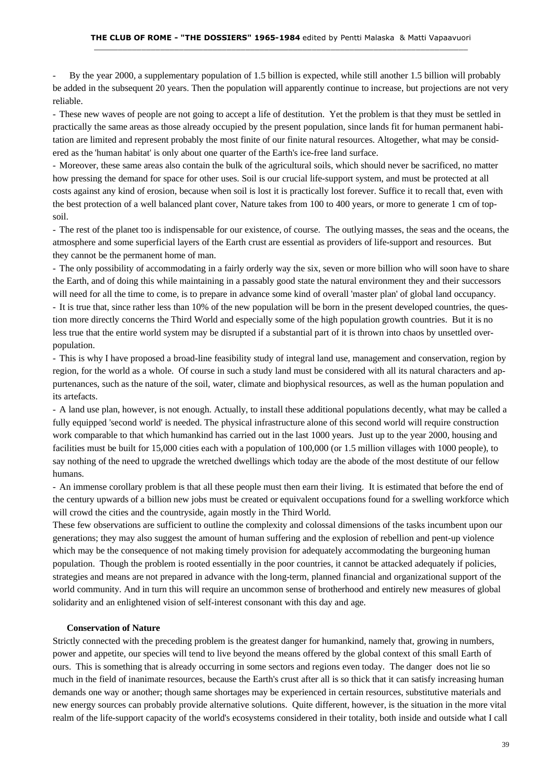- By the year 2000, a supplementary population of 1.5 billion is expected, while still another 1.5 billion will probably be added in the subsequent 20 years. Then the population will apparently continue to increase, but projections are not very reliable.

- These new waves of people are not going to accept a life of destitution. Yet the problem is that they must be settled in practically the same areas as those already occupied by the present population, since lands fit for human permanent habitation are limited and represent probably the most finite of our finite natural resources. Altogether, what may be considered as the 'human habitat' is only about one quarter of the Earth's ice-free land surface.

- Moreover, these same areas also contain the bulk of the agricultural soils, which should never be sacrificed, no matter how pressing the demand for space for other uses. Soil is our crucial life-support system, and must be protected at all costs against any kind of erosion, because when soil is lost it is practically lost forever. Suffice it to recall that, even with the best protection of a well balanced plant cover, Nature takes from 100 to 400 years, or more to generate 1 cm of topsoil.

- The rest of the planet too is indispensable for our existence, of course. The outlying masses, the seas and the oceans, the atmosphere and some superficial layers of the Earth crust are essential as providers of life-support and resources. But they cannot be the permanent home of man.

- The only possibility of accommodating in a fairly orderly way the six, seven or more billion who will soon have to share the Earth, and of doing this while maintaining in a passably good state the natural environment they and their successors will need for all the time to come, is to prepare in advance some kind of overall 'master plan' of global land occupancy. - It is true that, since rather less than 10% of the new population will be born in the present developed countries, the question more directly concerns the Third World and especially some of the high population growth countries. But it is no less true that the entire world system may be disrupted if a substantial part of it is thrown into chaos by unsettled over-

- This is why I have proposed a broad-line feasibility study of integral land use, management and conservation, region by region, for the world as a whole. Of course in such a study land must be considered with all its natural characters and appurtenances, such as the nature of the soil, water, climate and biophysical resources, as well as the human population and its artefacts.

- A land use plan, however, is not enough. Actually, to install these additional populations decently, what may be called a fully equipped 'second world' is needed. The physical infrastructure alone of this second world will require construction work comparable to that which humankind has carried out in the last 1000 years. Just up to the year 2000, housing and facilities must be built for 15,000 cities each with a population of 100,000 (or 1.5 million villages with 1000 people), to say nothing of the need to upgrade the wretched dwellings which today are the abode of the most destitute of our fellow humans.

- An immense corollary problem is that all these people must then earn their living. It is estimated that before the end of the century upwards of a billion new jobs must be created or equivalent occupations found for a swelling workforce which will crowd the cities and the countryside, again mostly in the Third World.

These few observations are sufficient to outline the complexity and colossal dimensions of the tasks incumbent upon our generations; they may also suggest the amount of human suffering and the explosion of rebellion and pent-up violence which may be the consequence of not making timely provision for adequately accommodating the burgeoning human population. Though the problem is rooted essentially in the poor countries, it cannot be attacked adequately if policies, strategies and means are not prepared in advance with the long-term, planned financial and organizational support of the world community. And in turn this will require an uncommon sense of brotherhood and entirely new measures of global solidarity and an enlightened vision of self-interest consonant with this day and age.

# **Conservation of Nature**

population.

Strictly connected with the preceding problem is the greatest danger for humankind, namely that, growing in numbers, power and appetite, our species will tend to live beyond the means offered by the global context of this small Earth of ours. This is something that is already occurring in some sectors and regions even today. The danger does not lie so much in the field of inanimate resources, because the Earth's crust after all is so thick that it can satisfy increasing human demands one way or another; though same shortages may be experienced in certain resources, substitutive materials and new energy sources can probably provide alternative solutions. Quite different, however, is the situation in the more vital realm of the life-support capacity of the world's ecosystems considered in their totality, both inside and outside what I call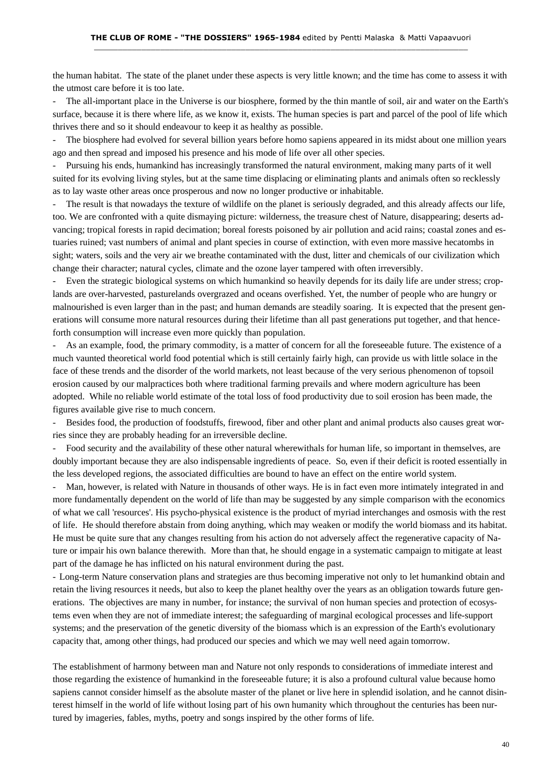the human habitat. The state of the planet under these aspects is very little known; and the time has come to assess it with the utmost care before it is too late.

- The all-important place in the Universe is our biosphere, formed by the thin mantle of soil, air and water on the Earth's surface, because it is there where life, as we know it, exists. The human species is part and parcel of the pool of life which thrives there and so it should endeavour to keep it as healthy as possible.

- The biosphere had evolved for several billion years before homo sapiens appeared in its midst about one million years ago and then spread and imposed his presence and his mode of life over all other species.

- Pursuing his ends, humankind has increasingly transformed the natural environment, making many parts of it well suited for its evolving living styles, but at the same time displacing or eliminating plants and animals often so recklessly as to lay waste other areas once prosperous and now no longer productive or inhabitable.

- The result is that nowadays the texture of wildlife on the planet is seriously degraded, and this already affects our life, too. We are confronted with a quite dismaying picture: wilderness, the treasure chest of Nature, disappearing; deserts advancing; tropical forests in rapid decimation; boreal forests poisoned by air pollution and acid rains; coastal zones and estuaries ruined; vast numbers of animal and plant species in course of extinction, with even more massive hecatombs in sight; waters, soils and the very air we breathe contaminated with the dust, litter and chemicals of our civilization which change their character; natural cycles, climate and the ozone layer tampered with often irreversibly.

Even the strategic biological systems on which humankind so heavily depends for its daily life are under stress; croplands are over-harvested, pasturelands overgrazed and oceans overfished. Yet, the number of people who are hungry or malnourished is even larger than in the past; and human demands are steadily soaring. It is expected that the present generations will consume more natural resources during their lifetime than all past generations put together, and that henceforth consumption will increase even more quickly than population.

As an example, food, the primary commodity, is a matter of concern for all the foreseeable future. The existence of a much vaunted theoretical world food potential which is still certainly fairly high, can provide us with little solace in the face of these trends and the disorder of the world markets, not least because of the very serious phenomenon of topsoil erosion caused by our malpractices both where traditional farming prevails and where modern agriculture has been adopted. While no reliable world estimate of the total loss of food productivity due to soil erosion has been made, the figures available give rise to much concern.

Besides food, the production of foodstuffs, firewood, fiber and other plant and animal products also causes great worries since they are probably heading for an irreversible decline.

- Food security and the availability of these other natural wherewithals for human life, so important in themselves, are doubly important because they are also indispensable ingredients of peace. So, even if their deficit is rooted essentially in the less developed regions, the associated difficulties are bound to have an effect on the entire world system.

- Man, however, is related with Nature in thousands of other ways. He is in fact even more intimately integrated in and more fundamentally dependent on the world of life than may be suggested by any simple comparison with the economics of what we call 'resources'. His psycho-physical existence is the product of myriad interchanges and osmosis with the rest of life. He should therefore abstain from doing anything, which may weaken or modify the world biomass and its habitat. He must be quite sure that any changes resulting from his action do not adversely affect the regenerative capacity of Nature or impair his own balance therewith. More than that, he should engage in a systematic campaign to mitigate at least part of the damage he has inflicted on his natural environment during the past.

- Long-term Nature conservation plans and strategies are thus becoming imperative not only to let humankind obtain and retain the living resources it needs, but also to keep the planet healthy over the years as an obligation towards future generations. The objectives are many in number, for instance; the survival of non human species and protection of ecosystems even when they are not of immediate interest; the safeguarding of marginal ecological processes and life-support systems; and the preservation of the genetic diversity of the biomass which is an expression of the Earth's evolutionary capacity that, among other things, had produced our species and which we may well need again tomorrow.

The establishment of harmony between man and Nature not only responds to considerations of immediate interest and those regarding the existence of humankind in the foreseeable future; it is also a profound cultural value because homo sapiens cannot consider himself as the absolute master of the planet or live here in splendid isolation, and he cannot disinterest himself in the world of life without losing part of his own humanity which throughout the centuries has been nurtured by imageries, fables, myths, poetry and songs inspired by the other forms of life.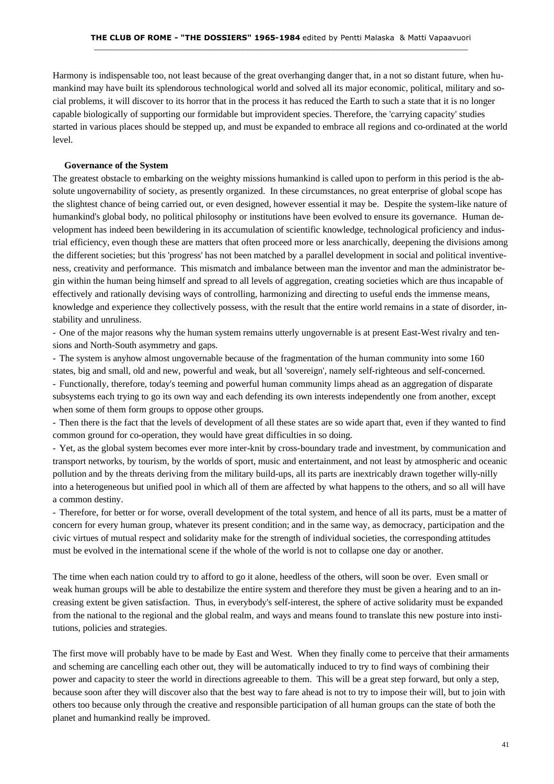Harmony is indispensable too, not least because of the great overhanging danger that, in a not so distant future, when humankind may have built its splendorous technological world and solved all its major economic, political, military and social problems, it will discover to its horror that in the process it has reduced the Earth to such a state that it is no longer capable biologically of supporting our formidable but improvident species. Therefore, the 'carrying capacity' studies started in various places should be stepped up, and must be expanded to embrace all regions and co-ordinated at the world level.

#### **Governance of the System**

The greatest obstacle to embarking on the weighty missions humankind is called upon to perform in this period is the absolute ungovernability of society, as presently organized. In these circumstances, no great enterprise of global scope has the slightest chance of being carried out, or even designed, however essential it may be. Despite the system-like nature of humankind's global body, no political philosophy or institutions have been evolved to ensure its governance. Human development has indeed been bewildering in its accumulation of scientific knowledge, technological proficiency and industrial efficiency, even though these are matters that often proceed more or less anarchically, deepening the divisions among the different societies; but this 'progress' has not been matched by a parallel development in social and political inventiveness, creativity and performance. This mismatch and imbalance between man the inventor and man the administrator begin within the human being himself and spread to all levels of aggregation, creating societies which are thus incapable of effectively and rationally devising ways of controlling, harmonizing and directing to useful ends the immense means, knowledge and experience they collectively possess, with the result that the entire world remains in a state of disorder, instability and unruliness.

- One of the major reasons why the human system remains utterly ungovernable is at present East-West rivalry and tensions and North-South asymmetry and gaps.

- The system is anyhow almost ungovernable because of the fragmentation of the human community into some 160 states, big and small, old and new, powerful and weak, but all 'sovereign', namely self-righteous and self-concerned. - Functionally, therefore, today's teeming and powerful human community limps ahead as an aggregation of disparate subsystems each trying to go its own way and each defending its own interests independently one from another, except when some of them form groups to oppose other groups.

- Then there is the fact that the levels of development of all these states are so wide apart that, even if they wanted to find common ground for co-operation, they would have great difficulties in so doing.

- Yet, as the global system becomes ever more inter-knit by cross-boundary trade and investment, by communication and transport networks, by tourism, by the worlds of sport, music and entertainment, and not least by atmospheric and oceanic pollution and by the threats deriving from the military build-ups, all its parts are inextricably drawn together willy-nilly into a heterogeneous but unified pool in which all of them are affected by what happens to the others, and so all will have a common destiny.

- Therefore, for better or for worse, overall development of the total system, and hence of all its parts, must be a matter of concern for every human group, whatever its present condition; and in the same way, as democracy, participation and the civic virtues of mutual respect and solidarity make for the strength of individual societies, the corresponding attitudes must be evolved in the international scene if the whole of the world is not to collapse one day or another.

The time when each nation could try to afford to go it alone, heedless of the others, will soon be over. Even small or weak human groups will be able to destabilize the entire system and therefore they must be given a hearing and to an increasing extent be given satisfaction. Thus, in everybody's self-interest, the sphere of active solidarity must be expanded from the national to the regional and the global realm, and ways and means found to translate this new posture into institutions, policies and strategies.

The first move will probably have to be made by East and West. When they finally come to perceive that their armaments and scheming are cancelling each other out, they will be automatically induced to try to find ways of combining their power and capacity to steer the world in directions agreeable to them. This will be a great step forward, but only a step, because soon after they will discover also that the best way to fare ahead is not to try to impose their will, but to join with others too because only through the creative and responsible participation of all human groups can the state of both the planet and humankind really be improved.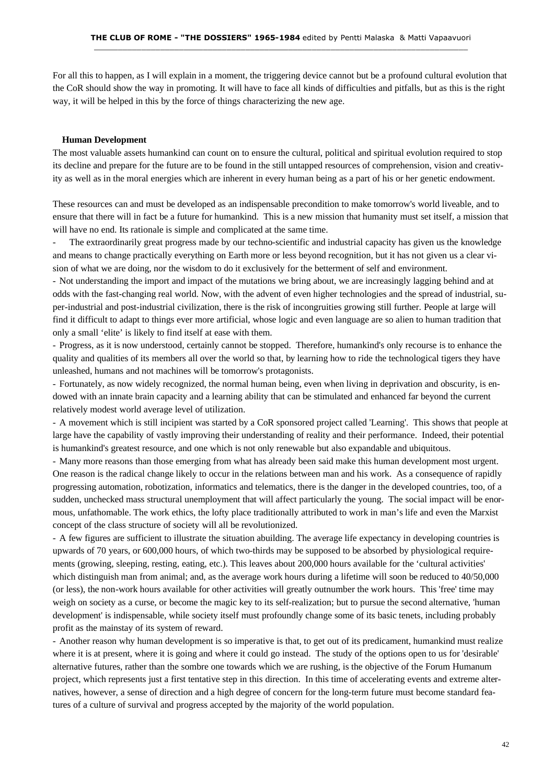For all this to happen, as I will explain in a moment, the triggering device cannot but be a profound cultural evolution that the CoR should show the way in promoting. It will have to face all kinds of difficulties and pitfalls, but as this is the right way, it will be helped in this by the force of things characterizing the new age.

#### **Human Development**

The most valuable assets humankind can count on to ensure the cultural, political and spiritual evolution required to stop its decline and prepare for the future are to be found in the still untapped resources of comprehension, vision and creativity as well as in the moral energies which are inherent in every human being as a part of his or her genetic endowment.

These resources can and must be developed as an indispensable precondition to make tomorrow's world liveable, and to ensure that there will in fact be a future for humankind. This is a new mission that humanity must set itself, a mission that will have no end. Its rationale is simple and complicated at the same time.

- The extraordinarily great progress made by our techno-scientific and industrial capacity has given us the knowledge and means to change practically everything on Earth more or less beyond recognition, but it has not given us a clear vision of what we are doing, nor the wisdom to do it exclusively for the betterment of self and environment.

- Not understanding the import and impact of the mutations we bring about, we are increasingly lagging behind and at odds with the fast-changing real world. Now, with the advent of even higher technologies and the spread of industrial, super-industrial and post-industrial civilization, there is the risk of incongruities growing still further. People at large will find it difficult to adapt to things ever more artificial, whose logic and even language are so alien to human tradition that only a small 'elite' is likely to find itself at ease with them.

- Progress, as it is now understood, certainly cannot be stopped. Therefore, humankind's only recourse is to enhance the quality and qualities of its members all over the world so that, by learning how to ride the technological tigers they have unleashed, humans and not machines will be tomorrow's protagonists.

- Fortunately, as now widely recognized, the normal human being, even when living in deprivation and obscurity, is endowed with an innate brain capacity and a learning ability that can be stimulated and enhanced far beyond the current relatively modest world average level of utilization.

- A movement which is still incipient was started by a CoR sponsored project called 'Learning'. This shows that people at large have the capability of vastly improving their understanding of reality and their performance. Indeed, their potential is humankind's greatest resource, and one which is not only renewable but also expandable and ubiquitous.

- Many more reasons than those emerging from what has already been said make this human development most urgent. One reason is the radical change likely to occur in the relations between man and his work. As a consequence of rapidly progressing automation, robotization, informatics and telematics, there is the danger in the developed countries, too, of a sudden, unchecked mass structural unemployment that will affect particularly the young. The social impact will be enormous, unfathomable. The work ethics, the lofty place traditionally attributed to work in man's life and even the Marxist concept of the class structure of society will all be revolutionized.

- A few figures are sufficient to illustrate the situation abuilding. The average life expectancy in developing countries is upwards of 70 years, or 600,000 hours, of which two-thirds may be supposed to be absorbed by physiological requirements (growing, sleeping, resting, eating, etc.). This leaves about 200,000 hours available for the 'cultural activities' which distinguish man from animal; and, as the average work hours during a lifetime will soon be reduced to 40/50,000 (or less), the non-work hours available for other activities will greatly outnumber the work hours. This 'free' time may weigh on society as a curse, or become the magic key to its self-realization; but to pursue the second alternative, 'human development' is indispensable, while society itself must profoundly change some of its basic tenets, including probably profit as the mainstay of its system of reward.

- Another reason why human development is so imperative is that, to get out of its predicament, humankind must realize where it is at present, where it is going and where it could go instead. The study of the options open to us for 'desirable' alternative futures, rather than the sombre one towards which we are rushing, is the objective of the Forum Humanum project, which represents just a first tentative step in this direction. In this time of accelerating events and extreme alternatives, however, a sense of direction and a high degree of concern for the long-term future must become standard features of a culture of survival and progress accepted by the majority of the world population.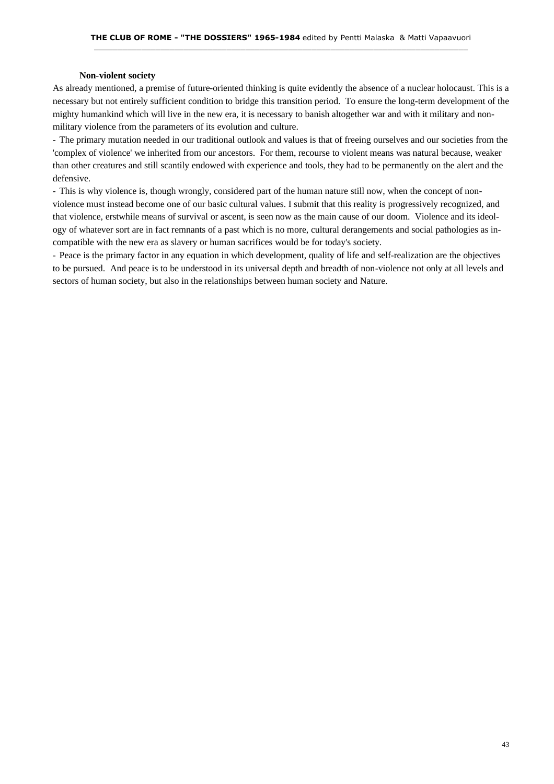#### **Non-violent society**

As already mentioned, a premise of future-oriented thinking is quite evidently the absence of a nuclear holocaust. This is a necessary but not entirely sufficient condition to bridge this transition period. To ensure the long-term development of the mighty humankind which will live in the new era, it is necessary to banish altogether war and with it military and nonmilitary violence from the parameters of its evolution and culture.

- The primary mutation needed in our traditional outlook and values is that of freeing ourselves and our societies from the 'complex of violence' we inherited from our ancestors. For them, recourse to violent means was natural because, weaker than other creatures and still scantily endowed with experience and tools, they had to be permanently on the alert and the defensive.

- This is why violence is, though wrongly, considered part of the human nature still now, when the concept of nonviolence must instead become one of our basic cultural values. I submit that this reality is progressively recognized, and that violence, erstwhile means of survival or ascent, is seen now as the main cause of our doom. Violence and its ideology of whatever sort are in fact remnants of a past which is no more, cultural derangements and social pathologies as incompatible with the new era as slavery or human sacrifices would be for today's society.

- Peace is the primary factor in any equation in which development, quality of life and self-realization are the objectives to be pursued. And peace is to be understood in its universal depth and breadth of non-violence not only at all levels and sectors of human society, but also in the relationships between human society and Nature.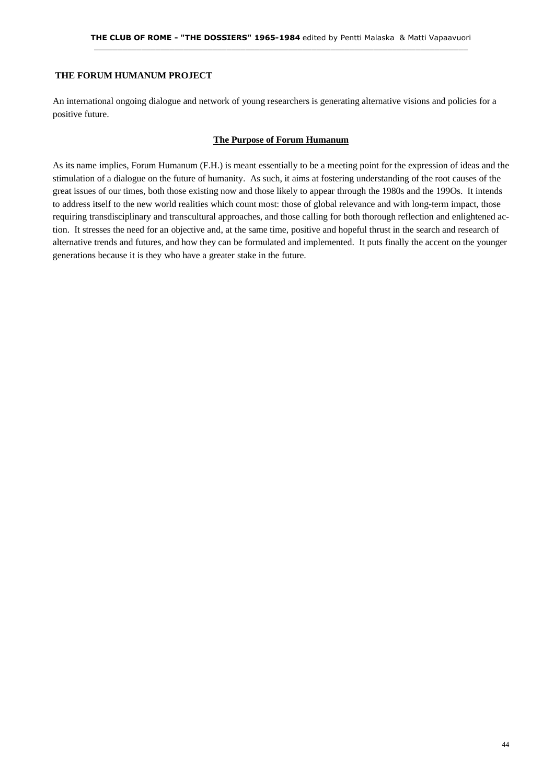#### **THE FORUM HUMANUM PROJECT**

An international ongoing dialogue and network of young researchers is generating alternative visions and policies for a positive future.

# **The Purpose of Forum Humanum**

As its name implies, Forum Humanum (F.H.) is meant essentially to be a meeting point for the expression of ideas and the stimulation of a dialogue on the future of humanity. As such, it aims at fostering understanding of the root causes of the great issues of our times, both those existing now and those likely to appear through the 1980s and the 199Os. It intends to address itself to the new world realities which count most: those of global relevance and with long-term impact, those requiring transdisciplinary and transcultural approaches, and those calling for both thorough reflection and enlightened action. It stresses the need for an objective and, at the same time, positive and hopeful thrust in the search and research of alternative trends and futures, and how they can be formulated and implemented. It puts finally the accent on the younger generations because it is they who have a greater stake in the future.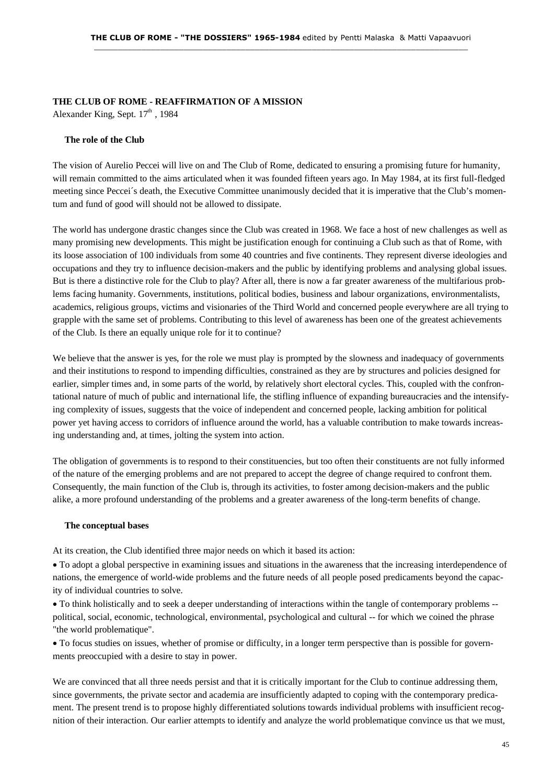# **THE CLUB OF ROME - REAFFIRMATION OF A MISSION**

Alexander King, Sept. 17<sup>th</sup>, 1984

#### **The role of the Club**

The vision of Aurelio Peccei will live on and The Club of Rome, dedicated to ensuring a promising future for humanity, will remain committed to the aims articulated when it was founded fifteen years ago. In May 1984, at its first full-fledged meeting since Peccei´s death, the Executive Committee unanimously decided that it is imperative that the Club's momentum and fund of good will should not be allowed to dissipate.

The world has undergone drastic changes since the Club was created in 1968. We face a host of new challenges as well as many promising new developments. This might be justification enough for continuing a Club such as that of Rome, with its loose association of 100 individuals from some 40 countries and five continents. They represent diverse ideologies and occupations and they try to influence decision-makers and the public by identifying problems and analysing global issues. But is there a distinctive role for the Club to play? After all, there is now a far greater awareness of the multifarious problems facing humanity. Governments, institutions, political bodies, business and labour organizations, environmentalists, academics, religious groups, victims and visionaries of the Third World and concerned people everywhere are all trying to grapple with the same set of problems. Contributing to this level of awareness has been one of the greatest achievements of the Club. Is there an equally unique role for it to continue?

We believe that the answer is yes, for the role we must play is prompted by the slowness and inadequacy of governments and their institutions to respond to impending difficulties, constrained as they are by structures and policies designed for earlier, simpler times and, in some parts of the world, by relatively short electoral cycles. This, coupled with the confrontational nature of much of public and international life, the stifling influence of expanding bureaucracies and the intensifying complexity of issues, suggests that the voice of independent and concerned people, lacking ambition for political power yet having access to corridors of influence around the world, has a valuable contribution to make towards increasing understanding and, at times, jolting the system into action.

The obligation of governments is to respond to their constituencies, but too often their constituents are not fully informed of the nature of the emerging problems and are not prepared to accept the degree of change required to confront them. Consequently, the main function of the Club is, through its activities, to foster among decision-makers and the public alike, a more profound understanding of the problems and a greater awareness of the long-term benefits of change.

#### **The conceptual bases**

At its creation, the Club identified three major needs on which it based its action:

 To adopt a global perspective in examining issues and situations in the awareness that the increasing interdependence of nations, the emergence of world-wide problems and the future needs of all people posed predicaments beyond the capacity of individual countries to solve.

 To think holistically and to seek a deeper understanding of interactions within the tangle of contemporary problems - political, social, economic, technological, environmental, psychological and cultural -- for which we coined the phrase "the world problematique".

 To focus studies on issues, whether of promise or difficulty, in a longer term perspective than is possible for governments preoccupied with a desire to stay in power.

We are convinced that all three needs persist and that it is critically important for the Club to continue addressing them, since governments, the private sector and academia are insufficiently adapted to coping with the contemporary predicament. The present trend is to propose highly differentiated solutions towards individual problems with insufficient recognition of their interaction. Our earlier attempts to identify and analyze the world problematique convince us that we must,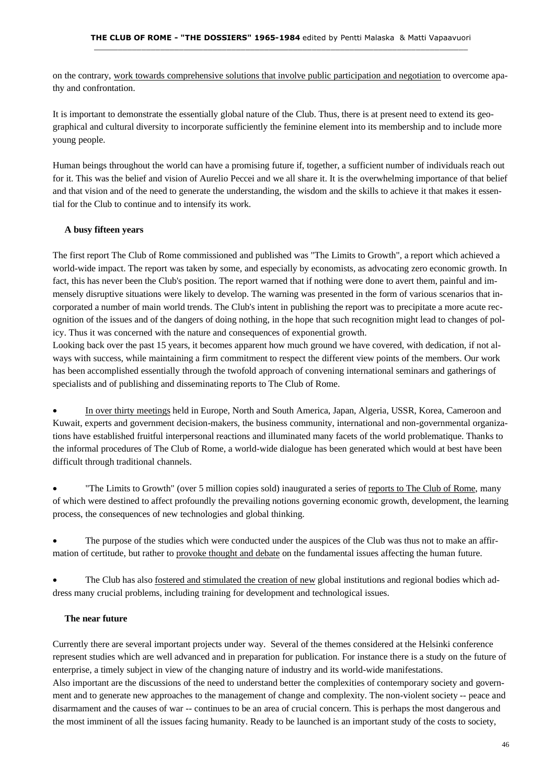on the contrary, work towards comprehensive solutions that involve public participation and negotiation to overcome apathy and confrontation.

It is important to demonstrate the essentially global nature of the Club. Thus, there is at present need to extend its geographical and cultural diversity to incorporate sufficiently the feminine element into its membership and to include more young people.

Human beings throughout the world can have a promising future if, together, a sufficient number of individuals reach out for it. This was the belief and vision of Aurelio Peccei and we all share it. It is the overwhelming importance of that belief and that vision and of the need to generate the understanding, the wisdom and the skills to achieve it that makes it essential for the Club to continue and to intensify its work.

## **A busy fifteen years**

The first report The Club of Rome commissioned and published was "The Limits to Growth", a report which achieved a world-wide impact. The report was taken by some, and especially by economists, as advocating zero economic growth. In fact, this has never been the Club's position. The report warned that if nothing were done to avert them, painful and immensely disruptive situations were likely to develop. The warning was presented in the form of various scenarios that incorporated a number of main world trends. The Club's intent in publishing the report was to precipitate a more acute recognition of the issues and of the dangers of doing nothing, in the hope that such recognition might lead to changes of policy. Thus it was concerned with the nature and consequences of exponential growth.

Looking back over the past 15 years, it becomes apparent how much ground we have covered, with dedication, if not always with success, while maintaining a firm commitment to respect the different view points of the members. Our work has been accomplished essentially through the twofold approach of convening international seminars and gatherings of specialists and of publishing and disseminating reports to The Club of Rome.

 In over thirty meetings held in Europe, North and South America, Japan, Algeria, USSR, Korea, Cameroon and Kuwait, experts and government decision-makers, the business community, international and non-governmental organizations have established fruitful interpersonal reactions and illuminated many facets of the world problematique. Thanks to the informal procedures of The Club of Rome, a world-wide dialogue has been generated which would at best have been difficult through traditional channels.

 "The Limits to Growth" (over 5 million copies sold) inaugurated a series of reports to The Club of Rome, many of which were destined to affect profoundly the prevailing notions governing economic growth, development, the learning process, the consequences of new technologies and global thinking.

 The purpose of the studies which were conducted under the auspices of the Club was thus not to make an affirmation of certitude, but rather to provoke thought and debate on the fundamental issues affecting the human future.

 The Club has also fostered and stimulated the creation of new global institutions and regional bodies which address many crucial problems, including training for development and technological issues.

#### **The near future**

Currently there are several important projects under way. Several of the themes considered at the Helsinki conference represent studies which are well advanced and in preparation for publication. For instance there is a study on the future of enterprise, a timely subject in view of the changing nature of industry and its world-wide manifestations. Also important are the discussions of the need to understand better the complexities of contemporary society and government and to generate new approaches to the management of change and complexity. The non-violent society -- peace and disarmament and the causes of war -- continues to be an area of crucial concern. This is perhaps the most dangerous and the most imminent of all the issues facing humanity. Ready to be launched is an important study of the costs to society,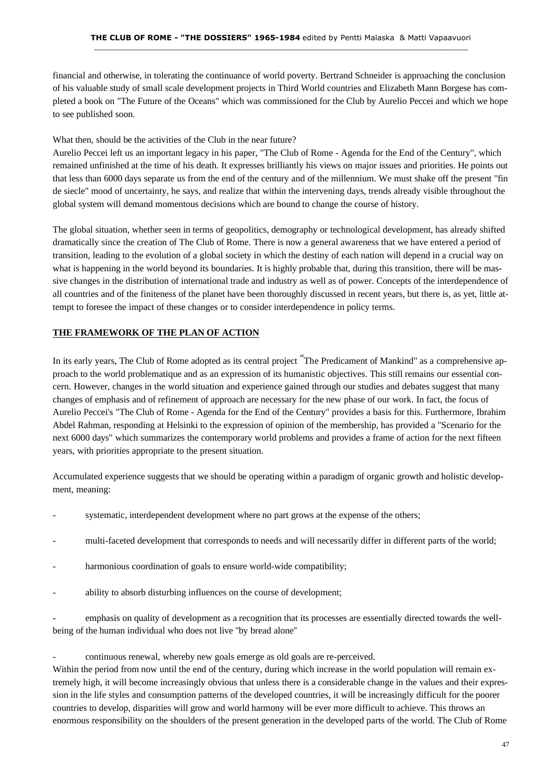financial and otherwise, in tolerating the continuance of world poverty. Bertrand Schneider is approaching the conclusion of his valuable study of small scale development projects in Third World countries and Elizabeth Mann Borgese has completed a book on "The Future of the Oceans" which was commissioned for the Club by Aurelio Peccei and which we hope to see published soon.

#### What then, should be the activities of the Club in the near future?

Aurelio Peccei left us an important legacy in his paper, "The Club of Rome - Agenda for the End of the Century", which remained unfinished at the time of his death. It expresses brilliantly his views on major issues and priorities. He points out that less than 6000 days separate us from the end of the century and of the millennium. We must shake off the present "fin de siecle" mood of uncertainty, he says, and realize that within the intervening days, trends already visible throughout the global system will demand momentous decisions which are bound to change the course of history.

The global situation, whether seen in terms of geopolitics, demography or technological development, has already shifted dramatically since the creation of The Club of Rome. There is now a general awareness that we have entered a period of transition, leading to the evolution of a global society in which the destiny of each nation will depend in a crucial way on what is happening in the world beyond its boundaries. It is highly probable that, during this transition, there will be massive changes in the distribution of international trade and industry as well as of power. Concepts of the interdependence of all countries and of the finiteness of the planet have been thoroughly discussed in recent years, but there is, as yet, little attempt to foresee the impact of these changes or to consider interdependence in policy terms.

# **THE FRAMEWORK OF THE PLAN OF ACTION**

In its early years, The Club of Rome adopted as its central project "The Predicament of Mankind" as a comprehensive approach to the world problematique and as an expression of its humanistic objectives. This still remains our essential concern. However, changes in the world situation and experience gained through our studies and debates suggest that many changes of emphasis and of refinement of approach are necessary for the new phase of our work. In fact, the focus of Aurelio Peccei's "The Club of Rome - Agenda for the End of the Century" provides a basis for this. Furthermore, Ibrahim Abdel Rahman, responding at Helsinki to the expression of opinion of the membership, has provided a "Scenario for the next 6000 days" which summarizes the contemporary world problems and provides a frame of action for the next fifteen years, with priorities appropriate to the present situation.

Accumulated experience suggests that we should be operating within a paradigm of organic growth and holistic development, meaning:

- systematic, interdependent development where no part grows at the expense of the others;
- multi-faceted development that corresponds to needs and will necessarily differ in different parts of the world;
- harmonious coordination of goals to ensure world-wide compatibility;
- ability to absorb disturbing influences on the course of development;

- emphasis on quality of development as a recognition that its processes are essentially directed towards the wellbeing of the human individual who does not live ''by bread alone''

continuous renewal, whereby new goals emerge as old goals are re-perceived.

Within the period from now until the end of the century, during which increase in the world population will remain extremely high, it will become increasingly obvious that unless there is a considerable change in the values and their expression in the life styles and consumption patterns of the developed countries, it will be increasingly difficult for the poorer countries to develop, disparities will grow and world harmony will be ever more difficult to achieve. This throws an enormous responsibility on the shoulders of the present generation in the developed parts of the world. The Club of Rome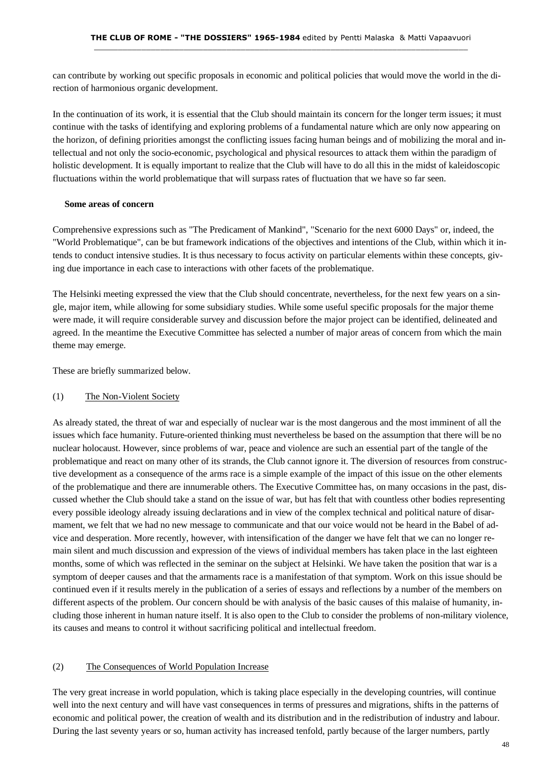can contribute by working out specific proposals in economic and political policies that would move the world in the direction of harmonious organic development.

In the continuation of its work, it is essential that the Club should maintain its concern for the longer term issues; it must continue with the tasks of identifying and exploring problems of a fundamental nature which are only now appearing on the horizon, of defining priorities amongst the conflicting issues facing human beings and of mobilizing the moral and intellectual and not only the socio-economic, psychological and physical resources to attack them within the paradigm of holistic development. It is equally important to realize that the Club will have to do all this in the midst of kaleidoscopic fluctuations within the world problematique that will surpass rates of fluctuation that we have so far seen.

#### **Some areas of concern**

Comprehensive expressions such as "The Predicament of Mankind", "Scenario for the next 6000 Days" or, indeed, the "World Problematique", can be but framework indications of the objectives and intentions of the Club, within which it intends to conduct intensive studies. It is thus necessary to focus activity on particular elements within these concepts, giving due importance in each case to interactions with other facets of the problematique.

The Helsinki meeting expressed the view that the Club should concentrate, nevertheless, for the next few years on a single, major item, while allowing for some subsidiary studies. While some useful specific proposals for the major theme were made, it will require considerable survey and discussion before the major project can be identified, delineated and agreed. In the meantime the Executive Committee has selected a number of major areas of concern from which the main theme may emerge.

These are briefly summarized below.

## (1) The Non-Violent Society

As already stated, the threat of war and especially of nuclear war is the most dangerous and the most imminent of all the issues which face humanity. Future-oriented thinking must nevertheless be based on the assumption that there will be no nuclear holocaust. However, since problems of war, peace and violence are such an essential part of the tangle of the problematique and react on many other of its strands, the Club cannot ignore it. The diversion of resources from constructive development as a consequence of the arms race is a simple example of the impact of this issue on the other elements of the problematique and there are innumerable others. The Executive Committee has, on many occasions in the past, discussed whether the Club should take a stand on the issue of war, but has felt that with countless other bodies representing every possible ideology already issuing declarations and in view of the complex technical and political nature of disarmament, we felt that we had no new message to communicate and that our voice would not be heard in the Babel of advice and desperation. More recently, however, with intensification of the danger we have felt that we can no longer remain silent and much discussion and expression of the views of individual members has taken place in the last eighteen months, some of which was reflected in the seminar on the subject at Helsinki. We have taken the position that war is a symptom of deeper causes and that the armaments race is a manifestation of that symptom. Work on this issue should be continued even if it results merely in the publication of a series of essays and reflections by a number of the members on different aspects of the problem. Our concern should be with analysis of the basic causes of this malaise of humanity, including those inherent in human nature itself. It is also open to the Club to consider the problems of non-military violence, its causes and means to control it without sacrificing political and intellectual freedom.

## (2) The Consequences of World Population Increase

The very great increase in world population, which is taking place especially in the developing countries, will continue well into the next century and will have vast consequences in terms of pressures and migrations, shifts in the patterns of economic and political power, the creation of wealth and its distribution and in the redistribution of industry and labour. During the last seventy years or so, human activity has increased tenfold, partly because of the larger numbers, partly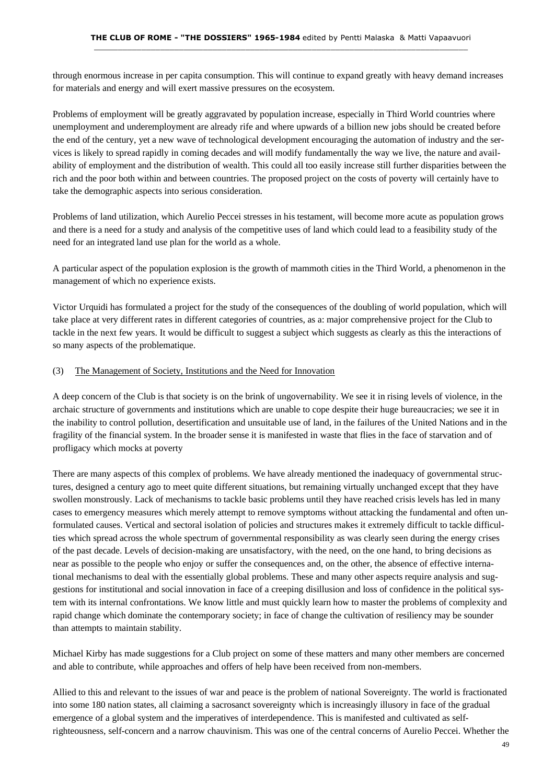through enormous increase in per capita consumption. This will continue to expand greatly with heavy demand increases for materials and energy and will exert massive pressures on the ecosystem.

Problems of employment will be greatly aggravated by population increase, especially in Third World countries where unemployment and underemployment are already rife and where upwards of a billion new jobs should be created before the end of the century, yet a new wave of technological development encouraging the automation of industry and the services is likely to spread rapidly in coming decades and will modify fundamentally the way we live, the nature and availability of employment and the distribution of wealth. This could all too easily increase still further disparities between the rich and the poor both within and between countries. The proposed project on the costs of poverty will certainly have to take the demographic aspects into serious consideration.

Problems of land utilization, which Aurelio Peccei stresses in his testament, will become more acute as population grows and there is a need for a study and analysis of the competitive uses of land which could lead to a feasibility study of the need for an integrated land use plan for the world as a whole.

A particular aspect of the population explosion is the growth of mammoth cities in the Third World, a phenomenon in the management of which no experience exists.

Victor Urquidi has formulated a project for the study of the consequences of the doubling of world population, which will take place at very different rates in different categories of countries, as a: major comprehensive project for the Club to tackle in the next few years. It would be difficult to suggest a subject which suggests as clearly as this the interactions of so many aspects of the problematique.

#### (3) The Management of Society, Institutions and the Need for Innovation

A deep concern of the Club is that society is on the brink of ungovernability. We see it in rising levels of violence, in the archaic structure of governments and institutions which are unable to cope despite their huge bureaucracies; we see it in the inability to control pollution, desertification and unsuitable use of land, in the failures of the United Nations and in the fragility of the financial system. In the broader sense it is manifested in waste that flies in the face of starvation and of profligacy which mocks at poverty

There are many aspects of this complex of problems. We have already mentioned the inadequacy of governmental structures, designed a century ago to meet quite different situations, but remaining virtually unchanged except that they have swollen monstrously. Lack of mechanisms to tackle basic problems until they have reached crisis levels has led in many cases to emergency measures which merely attempt to remove symptoms without attacking the fundamental and often unformulated causes. Vertical and sectoral isolation of policies and structures makes it extremely difficult to tackle difficulties which spread across the whole spectrum of governmental responsibility as was clearly seen during the energy crises of the past decade. Levels of decision-making are unsatisfactory, with the need, on the one hand, to bring decisions as near as possible to the people who enjoy or suffer the consequences and, on the other, the absence of effective international mechanisms to deal with the essentially global problems. These and many other aspects require analysis and suggestions for institutional and social innovation in face of a creeping disillusion and loss of confidence in the political system with its internal confrontations. We know little and must quickly learn how to master the problems of complexity and rapid change which dominate the contemporary society; in face of change the cultivation of resiliency may be sounder than attempts to maintain stability.

Michael Kirby has made suggestions for a Club project on some of these matters and many other members are concerned and able to contribute, while approaches and offers of help have been received from non-members.

Allied to this and relevant to the issues of war and peace is the problem of national Sovereignty. The world is fractionated into some 180 nation states, all claiming a sacrosanct sovereignty which is increasingly illusory in face of the gradual emergence of a global system and the imperatives of interdependence. This is manifested and cultivated as selfrighteousness, self-concern and a narrow chauvinism. This was one of the central concerns of Aurelio Peccei. Whether the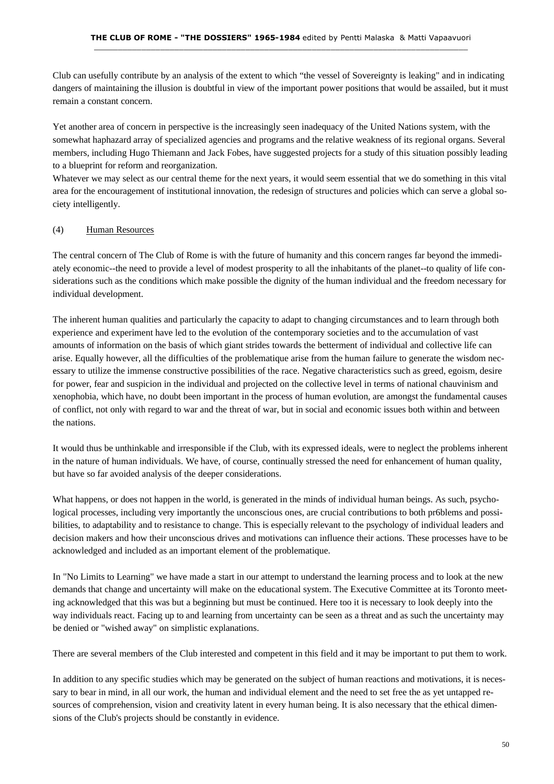Club can usefully contribute by an analysis of the extent to which "the vessel of Sovereignty is leaking" and in indicating dangers of maintaining the illusion is doubtful in view of the important power positions that would be assailed, but it must remain a constant concern.

Yet another area of concern in perspective is the increasingly seen inadequacy of the United Nations system, with the somewhat haphazard array of specialized agencies and programs and the relative weakness of its regional organs. Several members, including Hugo Thiemann and Jack Fobes, have suggested projects for a study of this situation possibly leading to a blueprint for reform and reorganization.

Whatever we may select as our central theme for the next years, it would seem essential that we do something in this vital area for the encouragement of institutional innovation, the redesign of structures and policies which can serve a global society intelligently.

# (4) Human Resources

The central concern of The Club of Rome is with the future of humanity and this concern ranges far beyond the immediately economic--the need to provide a level of modest prosperity to all the inhabitants of the planet--to quality of life considerations such as the conditions which make possible the dignity of the human individual and the freedom necessary for individual development.

The inherent human qualities and particularly the capacity to adapt to changing circumstances and to learn through both experience and experiment have led to the evolution of the contemporary societies and to the accumulation of vast amounts of information on the basis of which giant strides towards the betterment of individual and collective life can arise. Equally however, all the difficulties of the problematique arise from the human failure to generate the wisdom necessary to utilize the immense constructive possibilities of the race. Negative characteristics such as greed, egoism, desire for power, fear and suspicion in the individual and projected on the collective level in terms of national chauvinism and xenophobia, which have, no doubt been important in the process of human evolution, are amongst the fundamental causes of conflict, not only with regard to war and the threat of war, but in social and economic issues both within and between the nations.

It would thus be unthinkable and irresponsible if the Club, with its expressed ideals, were to neglect the problems inherent in the nature of human individuals. We have, of course, continually stressed the need for enhancement of human quality, but have so far avoided analysis of the deeper considerations.

What happens, or does not happen in the world, is generated in the minds of individual human beings. As such, psychological processes, including very importantly the unconscious ones, are crucial contributions to both pr6blems and possibilities, to adaptability and to resistance to change. This is especially relevant to the psychology of individual leaders and decision makers and how their unconscious drives and motivations can influence their actions. These processes have to be acknowledged and included as an important element of the problematique.

In "No Limits to Learning" we have made a start in our attempt to understand the learning process and to look at the new demands that change and uncertainty will make on the educational system. The Executive Committee at its Toronto meeting acknowledged that this was but a beginning but must be continued. Here too it is necessary to look deeply into the way individuals react. Facing up to and learning from uncertainty can be seen as a threat and as such the uncertainty may be denied or "wished away" on simplistic explanations.

There are several members of the Club interested and competent in this field and it may be important to put them to work.

In addition to any specific studies which may be generated on the subject of human reactions and motivations, it is necessary to bear in mind, in all our work, the human and individual element and the need to set free the as yet untapped resources of comprehension, vision and creativity latent in every human being. It is also necessary that the ethical dimensions of the Club's projects should be constantly in evidence.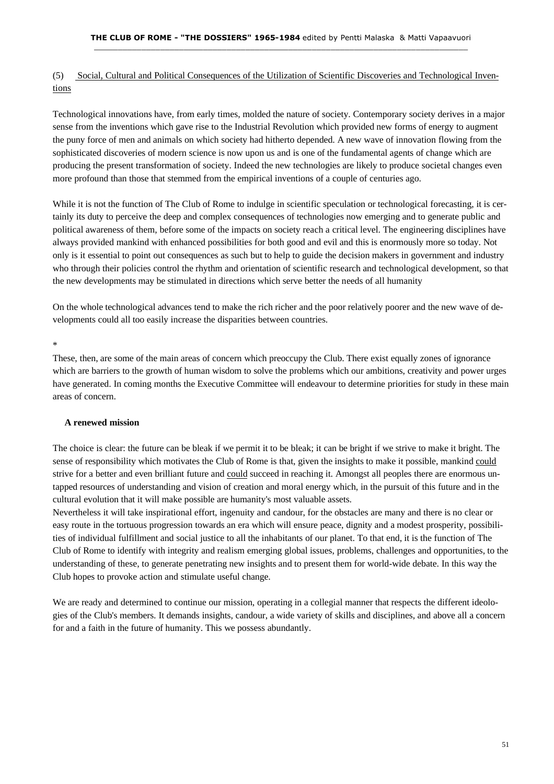# (5) Social, Cultural and Political Consequences of the Utilization of Scientific Discoveries and Technological Inventions

Technological innovations have, from early times, molded the nature of society. Contemporary society derives in a major sense from the inventions which gave rise to the Industrial Revolution which provided new forms of energy to augment the puny force of men and animals on which society had hitherto depended. A new wave of innovation flowing from the sophisticated discoveries of modern science is now upon us and is one of the fundamental agents of change which are producing the present transformation of society. Indeed the new technologies are likely to produce societal changes even more profound than those that stemmed from the empirical inventions of a couple of centuries ago.

While it is not the function of The Club of Rome to indulge in scientific speculation or technological forecasting, it is certainly its duty to perceive the deep and complex consequences of technologies now emerging and to generate public and political awareness of them, before some of the impacts on society reach a critical level. The engineering disciplines have always provided mankind with enhanced possibilities for both good and evil and this is enormously more so today. Not only is it essential to point out consequences as such but to help to guide the decision makers in government and industry who through their policies control the rhythm and orientation of scientific research and technological development, so that the new developments may be stimulated in directions which serve better the needs of all humanity

On the whole technological advances tend to make the rich richer and the poor relatively poorer and the new wave of developments could all too easily increase the disparities between countries.

\*

These, then, are some of the main areas of concern which preoccupy the Club. There exist equally zones of ignorance which are barriers to the growth of human wisdom to solve the problems which our ambitions, creativity and power urges have generated. In coming months the Executive Committee will endeavour to determine priorities for study in these main areas of concern.

## **A renewed mission**

The choice is clear: the future can be bleak if we permit it to be bleak; it can be bright if we strive to make it bright. The sense of responsibility which motivates the Club of Rome is that, given the insights to make it possible, mankind could strive for a better and even brilliant future and could succeed in reaching it. Amongst all peoples there are enormous untapped resources of understanding and vision of creation and moral energy which, in the pursuit of this future and in the cultural evolution that it will make possible are humanity's most valuable assets.

Nevertheless it will take inspirational effort, ingenuity and candour, for the obstacles are many and there is no clear or easy route in the tortuous progression towards an era which will ensure peace, dignity and a modest prosperity, possibilities of individual fulfillment and social justice to all the inhabitants of our planet. To that end, it is the function of The Club of Rome to identify with integrity and realism emerging global issues, problems, challenges and opportunities, to the understanding of these, to generate penetrating new insights and to present them for world-wide debate. In this way the Club hopes to provoke action and stimulate useful change.

We are ready and determined to continue our mission, operating in a collegial manner that respects the different ideologies of the Club's members. It demands insights, candour, a wide variety of skills and disciplines, and above all a concern for and a faith in the future of humanity. This we possess abundantly.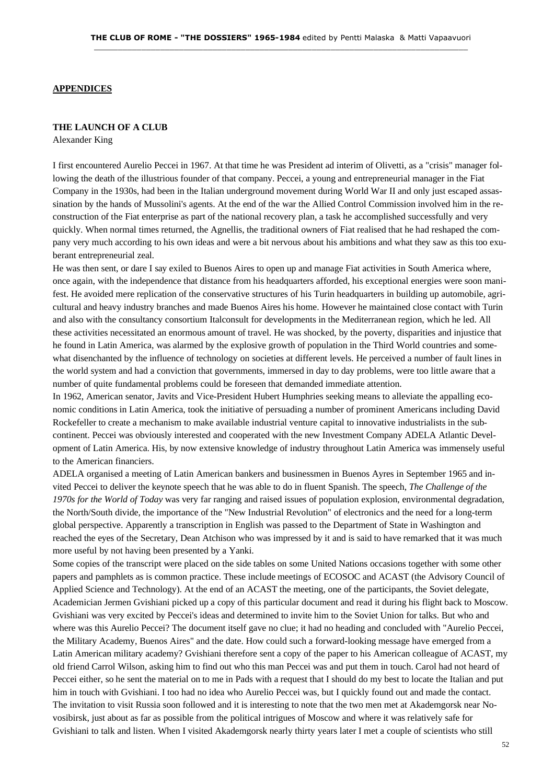#### **APPENDICES**

# **THE LAUNCH OF A CLUB**

Alexander King

I first encountered Aurelio Peccei in 1967. At that time he was President ad interim of Olivetti, as a "crisis" manager following the death of the illustrious founder of that company. Peccei, a young and entrepreneurial manager in the Fiat Company in the 1930s, had been in the Italian underground movement during World War II and only just escaped assassination by the hands of Mussolini's agents. At the end of the war the Allied Control Commission involved him in the reconstruction of the Fiat enterprise as part of the national recovery plan, a task he accomplished successfully and very quickly. When normal times returned, the Agnellis, the traditional owners of Fiat realised that he had reshaped the company very much according to his own ideas and were a bit nervous about his ambitions and what they saw as this too exuberant entrepreneurial zeal.

He was then sent, or dare I say exiled to Buenos Aires to open up and manage Fiat activities in South America where, once again, with the independence that distance from his headquarters afforded, his exceptional energies were soon manifest. He avoided mere replication of the conservative structures of his Turin headquarters in building up automobile, agricultural and heavy industry branches and made Buenos Aires his home. However he maintained close contact with Turin and also with the consultancy consortium Italconsult for developments in the Mediterranean region, which he led. All these activities necessitated an enormous amount of travel. He was shocked, by the poverty, disparities and injustice that he found in Latin America, was alarmed by the explosive growth of population in the Third World countries and somewhat disenchanted by the influence of technology on societies at different levels. He perceived a number of fault lines in the world system and had a conviction that governments, immersed in day to day problems, were too little aware that a number of quite fundamental problems could be foreseen that demanded immediate attention.

In 1962, American senator, Javits and Vice-President Hubert Humphries seeking means to alleviate the appalling economic conditions in Latin America, took the initiative of persuading a number of prominent Americans including David Rockefeller to create a mechanism to make available industrial venture capital to innovative industrialists in the subcontinent. Peccei was obviously interested and cooperated with the new Investment Company ADELA Atlantic Development of Latin America. His, by now extensive knowledge of industry throughout Latin America was immensely useful to the American financiers.

ADELA organised a meeting of Latin American bankers and businessmen in Buenos Ayres in September 1965 and invited Peccei to deliver the keynote speech that he was able to do in fluent Spanish. The speech, *The Challenge of the 1970s for the World of Today* was very far ranging and raised issues of population explosion, environmental degradation, the North/South divide, the importance of the "New Industrial Revolution" of electronics and the need for a long-term global perspective. Apparently a transcription in English was passed to the Department of State in Washington and reached the eyes of the Secretary, Dean Atchison who was impressed by it and is said to have remarked that it was much more useful by not having been presented by a Yanki.

Some copies of the transcript were placed on the side tables on some United Nations occasions together with some other papers and pamphlets as is common practice. These include meetings of ECOSOC and ACAST (the Advisory Council of Applied Science and Technology). At the end of an ACAST the meeting, one of the participants, the Soviet delegate, Academician Jermen Gvishiani picked up a copy of this particular document and read it during his flight back to Moscow. Gvishiani was very excited by Peccei's ideas and determined to invite him to the Soviet Union for talks. But who and where was this Aurelio Peccei? The document itself gave no clue; it had no heading and concluded with "Aurelio Peccei, the Military Academy, Buenos Aires" and the date. How could such a forward-looking message have emerged from a Latin American military academy? Gvishiani therefore sent a copy of the paper to his American colleague of ACAST, my old friend Carrol Wilson, asking him to find out who this man Peccei was and put them in touch. Carol had not heard of Peccei either, so he sent the material on to me in Pads with a request that I should do my best to locate the Italian and put him in touch with Gvishiani. I too had no idea who Aurelio Peccei was, but I quickly found out and made the contact. The invitation to visit Russia soon followed and it is interesting to note that the two men met at Akademgorsk near Novosibirsk, just about as far as possible from the political intrigues of Moscow and where it was relatively safe for Gvishiani to talk and listen. When I visited Akademgorsk nearly thirty years later I met a couple of scientists who still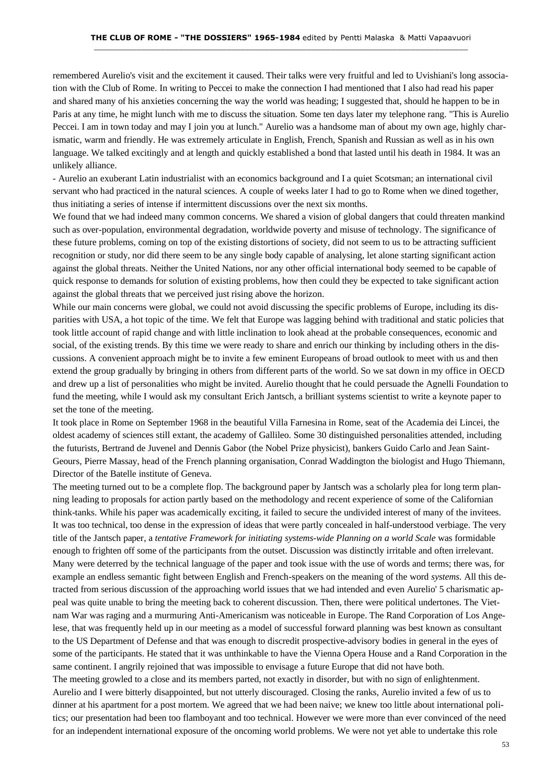remembered Aurelio's visit and the excitement it caused. Their talks were very fruitful and led to Uvishiani's long association with the Club of Rome. In writing to Peccei to make the connection I had mentioned that I also had read his paper and shared many of his anxieties concerning the way the world was heading; I suggested that, should he happen to be in Paris at any time, he might lunch with me to discuss the situation. Some ten days later my telephone rang. "This is Aurelio Peccei. I am in town today and may I join you at lunch." Aurelio was a handsome man of about my own age, highly charismatic, warm and friendly. He was extremely articulate in English, French, Spanish and Russian as well as in his own language. We talked excitingly and at length and quickly established a bond that lasted until his death in 1984. It was an unlikely alliance.

- Aurelio an exuberant Latin industrialist with an economics background and I a quiet Scotsman; an international civil servant who had practiced in the natural sciences. A couple of weeks later I had to go to Rome when we dined together, thus initiating a series of intense if intermittent discussions over the next six months.

We found that we had indeed many common concerns. We shared a vision of global dangers that could threaten mankind such as over-population, environmental degradation, worldwide poverty and misuse of technology. The significance of these future problems, coming on top of the existing distortions of society, did not seem to us to be attracting sufficient recognition or study, nor did there seem to be any single body capable of analysing, let alone starting significant action against the global threats. Neither the United Nations, nor any other official international body seemed to be capable of quick response to demands for solution of existing problems, how then could they be expected to take significant action against the global threats that we perceived just rising above the horizon.

While our main concerns were global, we could not avoid discussing the specific problems of Europe, including its disparities with USA, a hot topic of the time. We felt that Europe was lagging behind with traditional and static policies that took little account of rapid change and with little inclination to look ahead at the probable consequences, economic and social, of the existing trends. By this time we were ready to share and enrich our thinking by including others in the discussions. A convenient approach might be to invite a few eminent Europeans of broad outlook to meet with us and then extend the group gradually by bringing in others from different parts of the world. So we sat down in my office in OECD and drew up a list of personalities who might be invited. Aurelio thought that he could persuade the Agnelli Foundation to fund the meeting, while I would ask my consultant Erich Jantsch, a brilliant systems scientist to write a keynote paper to set the tone of the meeting.

It took place in Rome on September 1968 in the beautiful Villa Farnesina in Rome, seat of the Academia dei Lincei, the oldest academy of sciences still extant, the academy of Gallileo. Some 30 distinguished personalities attended, including the futurists, Bertrand de Juvenel and Dennis Gabor (the Nobel Prize physicist), bankers Guido Carlo and Jean Saint-Geours, Pierre Massay, head of the French planning organisation, Conrad Waddington the biologist and Hugo Thiemann, Director of the Batelle institute of Geneva.

The meeting turned out to be a complete flop. The background paper by Jantsch was a scholarly plea for long term planning leading to proposals for action partly based on the methodology and recent experience of some of the Californian think-tanks. While his paper was academically exciting, it failed to secure the undivided interest of many of the invitees. It was too technical, too dense in the expression of ideas that were partly concealed in half-understood verbiage. The very title of the Jantsch paper, a *tentative Framework for initiating systems-wide Planning on a world Scale* was formidable enough to frighten off some of the participants from the outset. Discussion was distinctly irritable and often irrelevant. Many were deterred by the technical language of the paper and took issue with the use of words and terms; there was, for example an endless semantic fight between English and French-speakers on the meaning of the word *systems.* All this detracted from serious discussion of the approaching world issues that we had intended and even Aurelio' 5 charismatic appeal was quite unable to bring the meeting back to coherent discussion. Then, there were political undertones. The Vietnam War was raging and a murmuring Anti-Americanism was noticeable in Europe. The Rand Corporation of Los Angelese, that was frequently held up in our meeting as a model of successful forward planning was best known as consultant to the US Department of Defense and that was enough to discredit prospective-advisory bodies in general in the eyes of some of the participants. He stated that it was unthinkable to have the Vienna Opera House and a Rand Corporation in the same continent. I angrily rejoined that was impossible to envisage a future Europe that did not have both. The meeting growled to a close and its members parted, not exactly in disorder, but with no sign of enlightenment. Aurelio and I were bitterly disappointed, but not utterly discouraged. Closing the ranks, Aurelio invited a few of us to

dinner at his apartment for a post mortem. We agreed that we had been naive; we knew too little about international politics; our presentation had been too flamboyant and too technical. However we were more than ever convinced of the need for an independent international exposure of the oncoming world problems. We were not yet able to undertake this role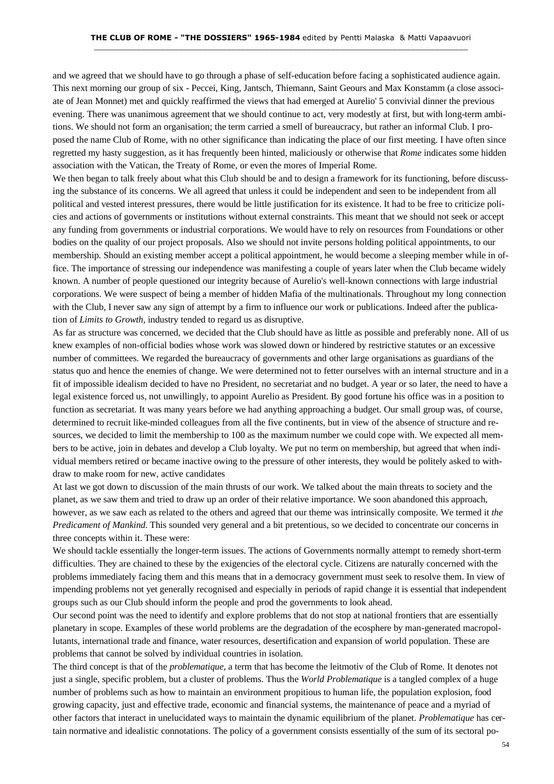and we agreed that we should have to go through a phase of self-education before facing a sophisticated audience again. This next morning our group of six - Peccei, King, Jantsch, Thiemann, Saint Geours and Max Konstamm (a close associate of Jean Monnet) met and quickly reaffirmed the views that had emerged at Aurelio' 5 convivial dinner the previous evening. There was unanimous agreement that we should continue to act, very modestly at first, but with long-term ambitions. We should not form an organisation; the term carried a smell of bureaucracy, but rather an informal Club. I proposed the name Club of Rome, with no other significance than indicating the place of our first meeting. I have often since regretted my hasty suggestion, as it has frequently been hinted, maliciously or otherwise that *Rome* indicates some hidden association with the Vatican, the Treaty of Rome, or even the mores of Imperial Rome.

We then began to talk freely about what this Club should be and to design a framework for its functioning, before discussing the substance of its concerns. We all agreed that unless it could be independent and seen to be independent from all political and vested interest pressures, there would be little justification for its existence. It had to be free to criticize policies and actions of governments or institutions without external constraints. This meant that we should not seek or accept any funding from governments or industrial corporations. We would have to rely on resources from Foundations or other bodies on the quality of our project proposals. Also we should not invite persons holding political appointments, to our membership. Should an existing member accept a political appointment, he would become a sleeping member while in office. The importance of stressing our independence was manifesting a couple of years later when the Club became widely known. A number of people questioned our integrity because of Aurelio's well-known connections with large industrial corporations. We were suspect of being a member of hidden Mafia of the multinationals. Throughout my long connection with the Club, I never saw any sign of attempt by a firm to influence our work or publications. Indeed after the publication of *Limits to Growth,* industry tended to regard us as disruptive.

As far as structure was concerned, we decided that the Club should have as little as possible and preferably none. All of us knew examples of non-official bodies whose work was slowed down or hindered by restrictive statutes or an excessive number of committees. We regarded the bureaucracy of governments and other large organisations as guardians of the status quo and hence the enemies of change. We were determined not to fetter ourselves with an internal structure and in a fit of impossible idealism decided to have no President, no secretariat and no budget. A year or so later, the need to have a legal existence forced us, not unwillingly, to appoint Aurelio as President. By good fortune his office was in a position to function as secretariat. It was many years before we had anything approaching a budget. Our small group was, of course, determined to recruit like-minded colleagues from all the five continents, but in view of the absence of structure and resources, we decided to limit the membership to 100 as the maximum number we could cope with. We expected all members to be active, join in debates and develop a Club loyalty. We put no term on membership, but agreed that when individual members retired or became inactive owing to the pressure of other interests, they would be politely asked to withdraw to make room for new, active candidates

At last we got down to discussion of the main thrusts of our work. We talked about the main threats to society and the planet, as we saw them and tried to draw up an order of their relative importance. We soon abandoned this approach, however, as we saw each as related to the others and agreed that our theme was intrinsically composite. We termed it *the Predicament of Mankind.* This sounded very general and a bit pretentious, so we decided to concentrate our concerns in three concepts within it. These were:

We should tackle essentially the longer-term issues. The actions of Governments normally attempt to remedy short-term difficulties. They are chained to these by the exigencies of the electoral cycle. Citizens are naturally concerned with the problems immediately facing them and this means that in a democracy government must seek to resolve them. In view of impending problems not yet generally recognised and especially in periods of rapid change it is essential that independent groups such as our Club should inform the people and prod the governments to look ahead.

Our second point was the need to identify and explore problems that do not stop at national frontiers that are essentially planetary in scope. Examples of these world problems are the degradation of the ecosphere by man-generated macropollutants, international trade and finance, water resources, desertification and expansion of world population. These are problems that cannot be solved by individual countries in isolation.

The third concept is that of the *problematique,* a term that has become the leitmotiv of the Club of Rome. It denotes not just a single, specific problem, but a cluster of problems. Thus the *World Problematique* is a tangled complex of a huge number of problems such as how to maintain an environment propitious to human life, the population explosion, food growing capacity, just and effective trade, economic and financial systems, the maintenance of peace and a myriad of other factors that interact in unelucidated ways to maintain the dynamic equilibrium of the planet. *Problematique* has certain normative and idealistic connotations. The policy of a government consists essentially of the sum of its sectoral po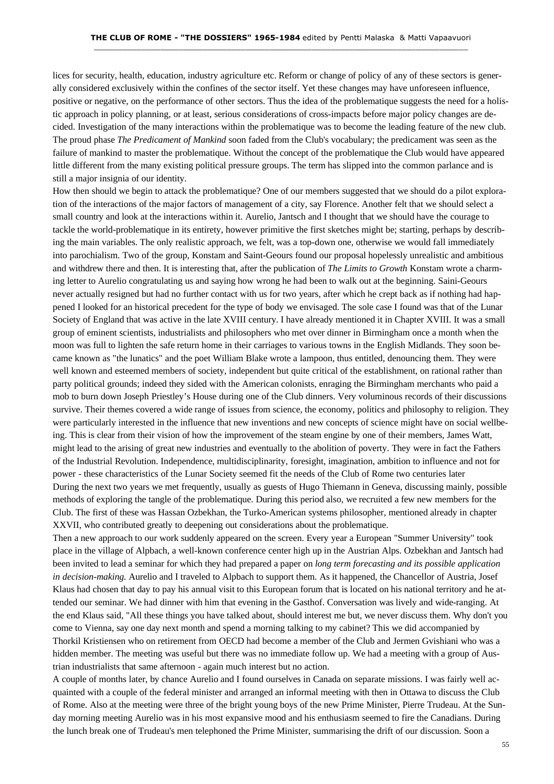lices for security, health, education, industry agriculture etc. Reform or change of policy of any of these sectors is generally considered exclusively within the confines of the sector itself. Yet these changes may have unforeseen influence, positive or negative, on the performance of other sectors. Thus the idea of the problematique suggests the need for a holistic approach in policy planning, or at least, serious considerations of cross-impacts before major policy changes are decided. Investigation of the many interactions within the problematique was to become the leading feature of the new club. The proud phase *The Predicament of Mankind* soon faded from the Club's vocabulary; the predicament was seen as the failure of mankind to master the problematique. Without the concept of the problematique the Club would have appeared little different from the many existing political pressure groups. The term has slipped into the common parlance and is still a major insignia of our identity.

How then should we begin to attack the problematique? One of our members suggested that we should do a pilot exploration of the interactions of the major factors of management of a city, say Florence. Another felt that we should select a small country and look at the interactions within it. Aurelio, Jantsch and I thought that we should have the courage to tackle the world-problematique in its entirety, however primitive the first sketches might be; starting, perhaps by describing the main variables. The only realistic approach, we felt, was a top-down one, otherwise we would fall immediately into parochialism. Two of the group, Konstam and Saint-Geours found our proposal hopelessly unrealistic and ambitious and withdrew there and then. It is interesting that, after the publication of *The Limits to Growth* Konstam wrote a charming letter to Aurelio congratulating us and saying how wrong he had been to walk out at the beginning. Saini-Geours never actually resigned but had no further contact with us for two years, after which he crept back as if nothing had happened I looked for an historical precedent for the type of body we envisaged. The sole case I found was that of the Lunar Society of England that was active in the late XVIII century. I have already mentioned it in Chapter XVIII. It was a small group of eminent scientists, industrialists and philosophers who met over dinner in Birmingham once a month when the moon was full to lighten the safe return home in their carriages to various towns in the English Midlands. They soon became known as "the lunatics" and the poet William Blake wrote a lampoon, thus entitled, denouncing them. They were well known and esteemed members of society, independent but quite critical of the establishment, on rational rather than party political grounds; indeed they sided with the American colonists, enraging the Birmingham merchants who paid a mob to burn down Joseph Priestley's House during one of the Club dinners. Very voluminous records of their discussions survive. Their themes covered a wide range of issues from science, the economy, politics and philosophy to religion. They were particularly interested in the influence that new inventions and new concepts of science might have on social wellbeing. This is clear from their vision of how the improvement of the steam engine by one of their members, James Watt, might lead to the arising of great new industries and eventually to the abolition of poverty. They were in fact the Fathers of the Industrial Revolution. Independence, multidisciplinarity, foresight, imagination, ambition to influence and not for power - these characteristics of the Lunar Society seemed fit the needs of the Club of Rome two centuries later During the next two years we met frequently, usually as guests of Hugo Thiemann in Geneva, discussing mainly, possible methods of exploring the tangle of the problematique. During this period also, we recruited a few new members for the Club. The first of these was Hassan Ozbekhan, the Turko-American systems philosopher, mentioned already in chapter XXVII, who contributed greatly to deepening out considerations about the problematique.

Then a new approach to our work suddenly appeared on the screen. Every year a European "Summer University" took place in the village of Alpbach, a well-known conference center high up in the Austrian Alps. Ozbekhan and Jantsch had been invited to lead a seminar for which they had prepared a paper on *long term forecasting and its possible application in decision-making.* Aurelio and I traveled to Alpbach to support them. As it happened, the Chancellor of Austria, Josef Klaus had chosen that day to pay his annual visit to this European forum that is located on his national territory and he attended our seminar. We had dinner with him that evening in the Gasthof. Conversation was lively and wide-ranging. At the end Klaus said, "All these things you have talked about, should interest me but, we never discuss them. Why don't you come to Vienna, say one day next month and spend a morning talking to my cabinet? This we did accompanied by Thorkil Kristiensen who on retirement from OECD had become a member of the Club and Jermen Gvishiani who was a hidden member. The meeting was useful but there was no immediate follow up. We had a meeting with a group of Austrian industrialists that same afternoon - again much interest but no action.

A couple of months later, by chance Aurelio and I found ourselves in Canada on separate missions. I was fairly well acquainted with a couple of the federal minister and arranged an informal meeting with then in Ottawa to discuss the Club of Rome. Also at the meeting were three of the bright young boys of the new Prime Minister, Pierre Trudeau. At the Sunday morning meeting Aurelio was in his most expansive mood and his enthusiasm seemed to fire the Canadians. During the lunch break one of Trudeau's men telephoned the Prime Minister, summarising the drift of our discussion. Soon a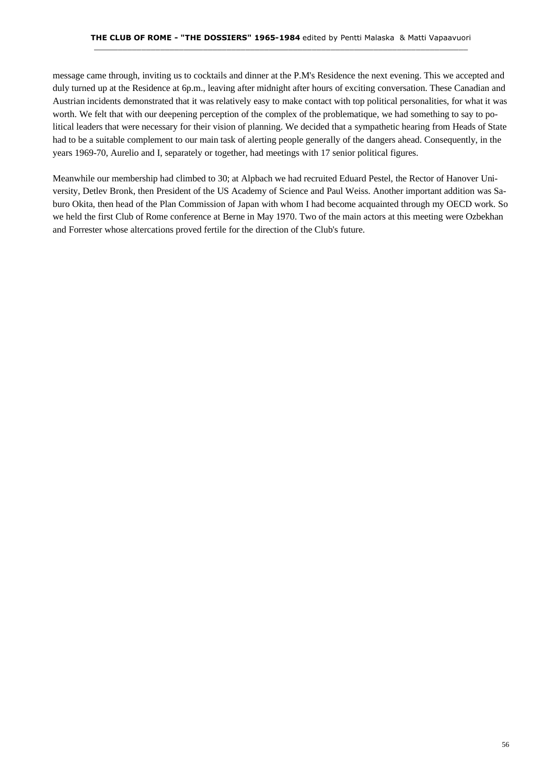message came through, inviting us to cocktails and dinner at the P.M's Residence the next evening. This we accepted and duly turned up at the Residence at 6p.m., leaving after midnight after hours of exciting conversation. These Canadian and Austrian incidents demonstrated that it was relatively easy to make contact with top political personalities, for what it was worth. We felt that with our deepening perception of the complex of the problematique, we had something to say to political leaders that were necessary for their vision of planning. We decided that a sympathetic hearing from Heads of State had to be a suitable complement to our main task of alerting people generally of the dangers ahead. Consequently, in the years 1969-70, Aurelio and I, separately or together, had meetings with 17 senior political figures.

Meanwhile our membership had climbed to 30; at Alpbach we had recruited Eduard Pestel, the Rector of Hanover University, Detlev Bronk, then President of the US Academy of Science and Paul Weiss. Another important addition was Saburo Okita, then head of the Plan Commission of Japan with whom I had become acquainted through my OECD work. So we held the first Club of Rome conference at Berne in May 1970. Two of the main actors at this meeting were Ozbekhan and Forrester whose altercations proved fertile for the direction of the Club's future.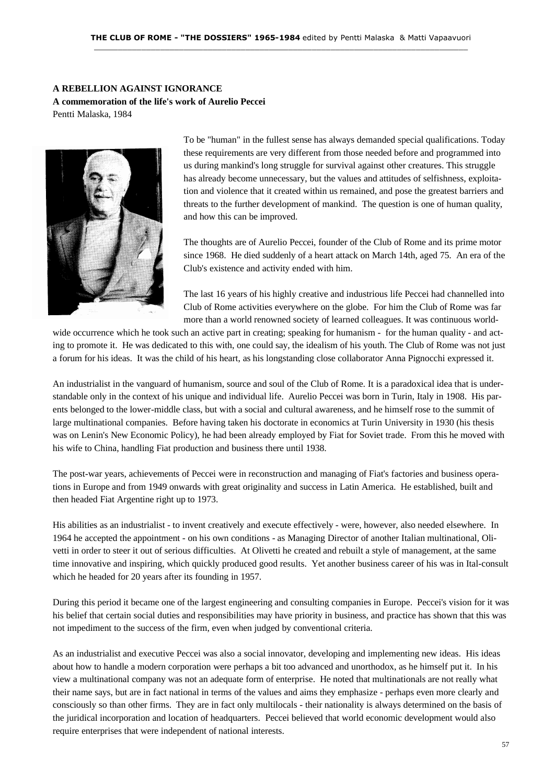# **A REBELLION AGAINST IGNORANCE A commemoration of the life's work of Aurelio Peccei** Pentti Malaska, 1984



To be "human" in the fullest sense has always demanded special qualifications. Today these requirements are very different from those needed before and programmed into us during mankind's long struggle for survival against other creatures. This struggle has already become unnecessary, but the values and attitudes of selfishness, exploitation and violence that it created within us remained, and pose the greatest barriers and threats to the further development of mankind. The question is one of human quality, and how this can be improved.

The thoughts are of Aurelio Peccei, founder of the Club of Rome and its prime motor since 1968. He died suddenly of a heart attack on March 14th, aged 75. An era of the Club's existence and activity ended with him.

The last 16 years of his highly creative and industrious life Peccei had channelled into Club of Rome activities everywhere on the globe. For him the Club of Rome was far more than a world renowned society of learned colleagues. It was continuous world-

wide occurrence which he took such an active part in creating; speaking for humanism - for the human quality - and acting to promote it. He was dedicated to this with, one could say, the idealism of his youth. The Club of Rome was not just a forum for his ideas. It was the child of his heart, as his longstanding close collaborator Anna Pignocchi expressed it.

An industrialist in the vanguard of humanism, source and soul of the Club of Rome. It is a paradoxical idea that is understandable only in the context of his unique and individual life. Aurelio Peccei was born in Turin, Italy in 1908. His parents belonged to the lower-middle class, but with a social and cultural awareness, and he himself rose to the summit of large multinational companies. Before having taken his doctorate in economics at Turin University in 1930 (his thesis was on Lenin's New Economic Policy), he had been already employed by Fiat for Soviet trade. From this he moved with his wife to China, handling Fiat production and business there until 1938.

The post-war years, achievements of Peccei were in reconstruction and managing of Fiat's factories and business operations in Europe and from 1949 onwards with great originality and success in Latin America. He established, built and then headed Fiat Argentine right up to 1973.

His abilities as an industrialist - to invent creatively and execute effectively - were, however, also needed elsewhere. In 1964 he accepted the appointment - on his own conditions - as Managing Director of another Italian multinational, Olivetti in order to steer it out of serious difficulties. At Olivetti he created and rebuilt a style of management, at the same time innovative and inspiring, which quickly produced good results. Yet another business career of his was in Ital-consult which he headed for 20 years after its founding in 1957.

During this period it became one of the largest engineering and consulting companies in Europe. Peccei's vision for it was his belief that certain social duties and responsibilities may have priority in business, and practice has shown that this was not impediment to the success of the firm, even when judged by conventional criteria.

As an industrialist and executive Peccei was also a social innovator, developing and implementing new ideas. His ideas about how to handle a modern corporation were perhaps a bit too advanced and unorthodox, as he himself put it. In his view a multinational company was not an adequate form of enterprise. He noted that multinationals are not really what their name says, but are in fact national in terms of the values and aims they emphasize - perhaps even more clearly and consciously so than other firms. They are in fact only multilocals - their nationality is always determined on the basis of the juridical incorporation and location of headquarters. Peccei believed that world economic development would also require enterprises that were independent of national interests.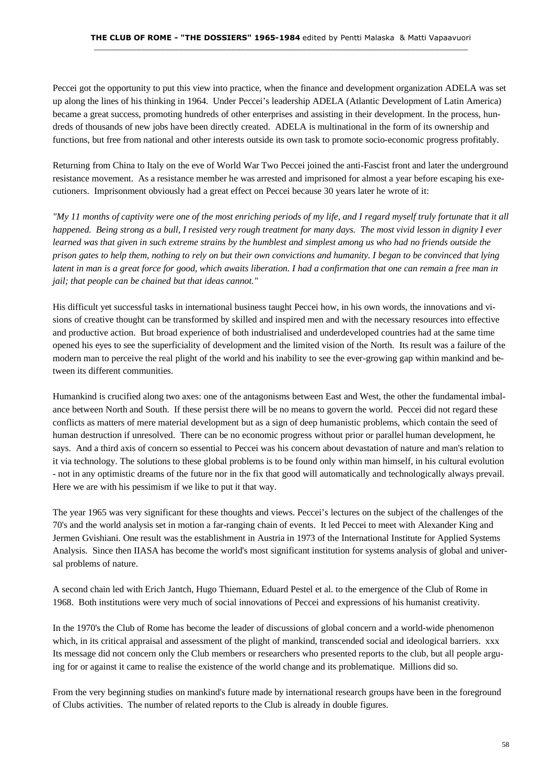Peccei got the opportunity to put this view into practice, when the finance and development organization ADELA was set up along the lines of his thinking in 1964. Under Peccei's leadership ADELA (Atlantic Development of Latin America) became a great success, promoting hundreds of other enterprises and assisting in their development. In the process, hundreds of thousands of new jobs have been directly created. ADELA is multinational in the form of its ownership and functions, but free from national and other interests outside its own task to promote socio-economic progress profitably.

Returning from China to Italy on the eve of World War Two Peccei joined the anti-Fascist front and later the underground resistance movement. As a resistance member he was arrested and imprisoned for almost a year before escaping his executioners. Imprisonment obviously had a great effect on Peccei because 30 years later he wrote of it:

*"My 11 months of captivity were one of the most enriching periods of my life, and I regard myself truly fortunate that it all happened. Being strong as a bull, I resisted very rough treatment for many days. The most vivid lesson in dignity I ever learned was that given in such extreme strains by the humblest and simplest among us who had no friends outside the prison gates to help them, nothing to rely on but their own convictions and humanity. I began to be convinced that lying latent in man is a great force for good, which awaits liberation. I had a confirmation that one can remain a free man in jail; that people can be chained but that ideas cannot."*

His difficult yet successful tasks in international business taught Peccei how, in his own words, the innovations and visions of creative thought can be transformed by skilled and inspired men and with the necessary resources into effective and productive action. But broad experience of both industrialised and underdeveloped countries had at the same time opened his eyes to see the superficiality of development and the limited vision of the North. Its result was a failure of the modern man to perceive the real plight of the world and his inability to see the ever-growing gap within mankind and between its different communities.

Humankind is crucified along two axes: one of the antagonisms between East and West, the other the fundamental imbalance between North and South. If these persist there will be no means to govern the world. Peccei did not regard these conflicts as matters of mere material development but as a sign of deep humanistic problems, which contain the seed of human destruction if unresolved. There can be no economic progress without prior or parallel human development, he says. And a third axis of concern so essential to Peccei was his concern about devastation of nature and man's relation to it via technology. The solutions to these global problems is to be found only within man himself, in his cultural evolution - not in any optimistic dreams of the future nor in the fix that good will automatically and technologically always prevail. Here we are with his pessimism if we like to put it that way.

The year 1965 was very significant for these thoughts and views. Peccei's lectures on the subject of the challenges of the 70's and the world analysis set in motion a far-ranging chain of events. It led Peccei to meet with Alexander King and Jermen Gvishiani. One result was the establishment in Austria in 1973 of the International Institute for Applied Systems Analysis. Since then IIASA has become the world's most significant institution for systems analysis of global and universal problems of nature.

A second chain led with Erich Jantch, Hugo Thiemann, Eduard Pestel et al. to the emergence of the Club of Rome in 1968. Both institutions were very much of social innovations of Peccei and expressions of his humanist creativity.

In the 1970's the Club of Rome has become the leader of discussions of global concern and a world-wide phenomenon which, in its critical appraisal and assessment of the plight of mankind, transcended social and ideological barriers. xxx Its message did not concern only the Club members or researchers who presented reports to the club, but all people arguing for or against it came to realise the existence of the world change and its problematique. Millions did so.

From the very beginning studies on mankind's future made by international research groups have been in the foreground of Clubs activities. The number of related reports to the Club is already in double figures.